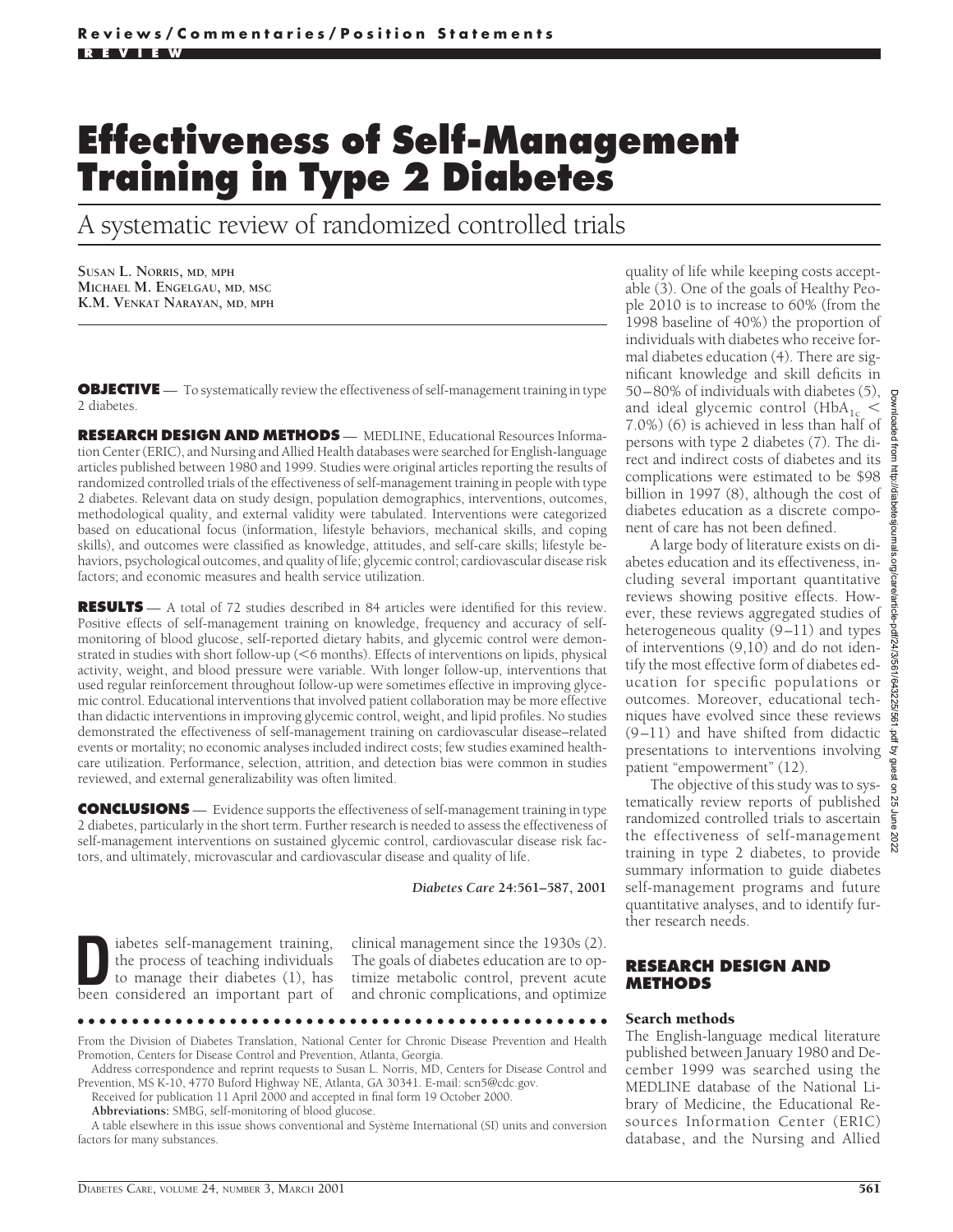# **Effectiveness of Self-Management Training in Type 2 Diabetes**

A systematic review of randomized controlled trials

**SUSAN L. NORRIS, MD, MPH MICHAEL M. ENGELGAU, MD, MSC K.M. VENKAT NARAYAN, MD, MPH**

**OBJECTIVE** — To systematically review the effectiveness of self-management training in type 2 diabetes.

**RESEARCH DESIGN AND METHODS** — MEDLINE, Educational Resources Information Center (ERIC), and Nursing and Allied Health databases were searched for English-language articles published between 1980 and 1999. Studies were original articles reporting the results of randomized controlled trials of the effectiveness of self-management training in people with type 2 diabetes. Relevant data on study design, population demographics, interventions, outcomes, methodological quality, and external validity were tabulated. Interventions were categorized based on educational focus (information, lifestyle behaviors, mechanical skills, and coping skills), and outcomes were classified as knowledge, attitudes, and self-care skills; lifestyle behaviors, psychological outcomes, and quality of life; glycemic control; cardiovascular disease risk factors; and economic measures and health service utilization.

**RESULTS** — A total of 72 studies described in 84 articles were identified for this review. Positive effects of self-management training on knowledge, frequency and accuracy of selfmonitoring of blood glucose, self-reported dietary habits, and glycemic control were demonstrated in studies with short follow-up (<6 months). Effects of interventions on lipids, physical activity, weight, and blood pressure were variable. With longer follow-up, interventions that used regular reinforcement throughout follow-up were sometimes effective in improving glycemic control. Educational interventions that involved patient collaboration may be more effective than didactic interventions in improving glycemic control, weight, and lipid profiles. No studies demonstrated the effectiveness of self-management training on cardiovascular disease–related events or mortality; no economic analyses included indirect costs; few studies examined healthcare utilization. Performance, selection, attrition, and detection bias were common in studies reviewed, and external generalizability was often limited.

**CONCLUSIONS** — Evidence supports the effectiveness of self-management training in type 2 diabetes, particularly in the short term. Further research is needed to assess the effectiveness of self-management interventions on sustained glycemic control, cardiovascular disease risk factors, and ultimately, microvascular and cardiovascular disease and quality of life.

*Diabetes Care* **24:561–587, 2001**

**D**iabetes self-management training,<br>the process of teaching individuals<br>to manage their diabetes (1), has<br>heen considered an important part of the process of teaching individuals to manage their diabetes (1), has been considered an important part of clinical management since the 1930s (2). The goals of diabetes education are to optimize metabolic control, prevent acute and chronic complications, and optimize

●●●●●●●●●●●●●●●●●●●●●●●●●●●●●●●●●●●●●●●●●●●●●●●●● From the Division of Diabetes Translation, National Center for Chronic Disease Prevention and Health Promotion, Centers for Disease Control and Prevention, Atlanta, Georgia.

Address correspondence and reprint requests to Susan L. Norris, MD, Centers for Disease Control and Prevention, MS K-10, 4770 Buford Highway NE, Atlanta, GA 30341. E-mail: scn5@cdc.gov.

Received for publication 11 April 2000 and accepted in final form 19 October 2000.

**Abbreviations:** SMBG, self-monitoring of blood glucose.

A table elsewhere in this issue shows conventional and Système International (SI) units and conversion factors for many substances.

quality of life while keeping costs acceptable (3). One of the goals of Healthy People 2010 is to increase to 60% (from the 1998 baseline of 40%) the proportion of individuals with diabetes who receive formal diabetes education (4). There are significant knowledge and skill deficits in 50–80% of individuals with diabetes (5), and ideal glycemic control (HbA<sub>1c</sub>  $\lt$ 7.0%) (6) is achieved in less than half of persons with type 2 diabetes (7). The direct and indirect costs of diabetes and its complications were estimated to be \$98 billion in 1997 (8), although the cost of diabetes education as a discrete component of care has not been defined.

A large body of literature exists on diabetes education and its effectiveness, including several important quantitative reviews showing positive effects. However, these reviews aggregated studies of heterogeneous quality (9–11) and types of interventions (9,10) and do not identify the most effective form of diabetes education for specific populations or outcomes. Moreover, educational techniques have evolved since these reviews (9–11) and have shifted from didactic presentations to interventions involving patient "empowerment" (12).

The objective of this study was to sys- $\overline{9}$ tematically review reports of published randomized controlled trials to ascertain the effectiveness of self-management  $\frac{8}{10}$ training in type 2 diabetes, to provide summary information to guide diabetes self-management programs and future quantitative analyses, and to identify further research needs.

#### **RESEARCH DESIGN AND METHODS**

#### Search methods

The English-language medical literature published between January 1980 and December 1999 was searched using the MEDLINE database of the National Library of Medicine, the Educational Resources Information Center (ERIC) database, and the Nursing and Allied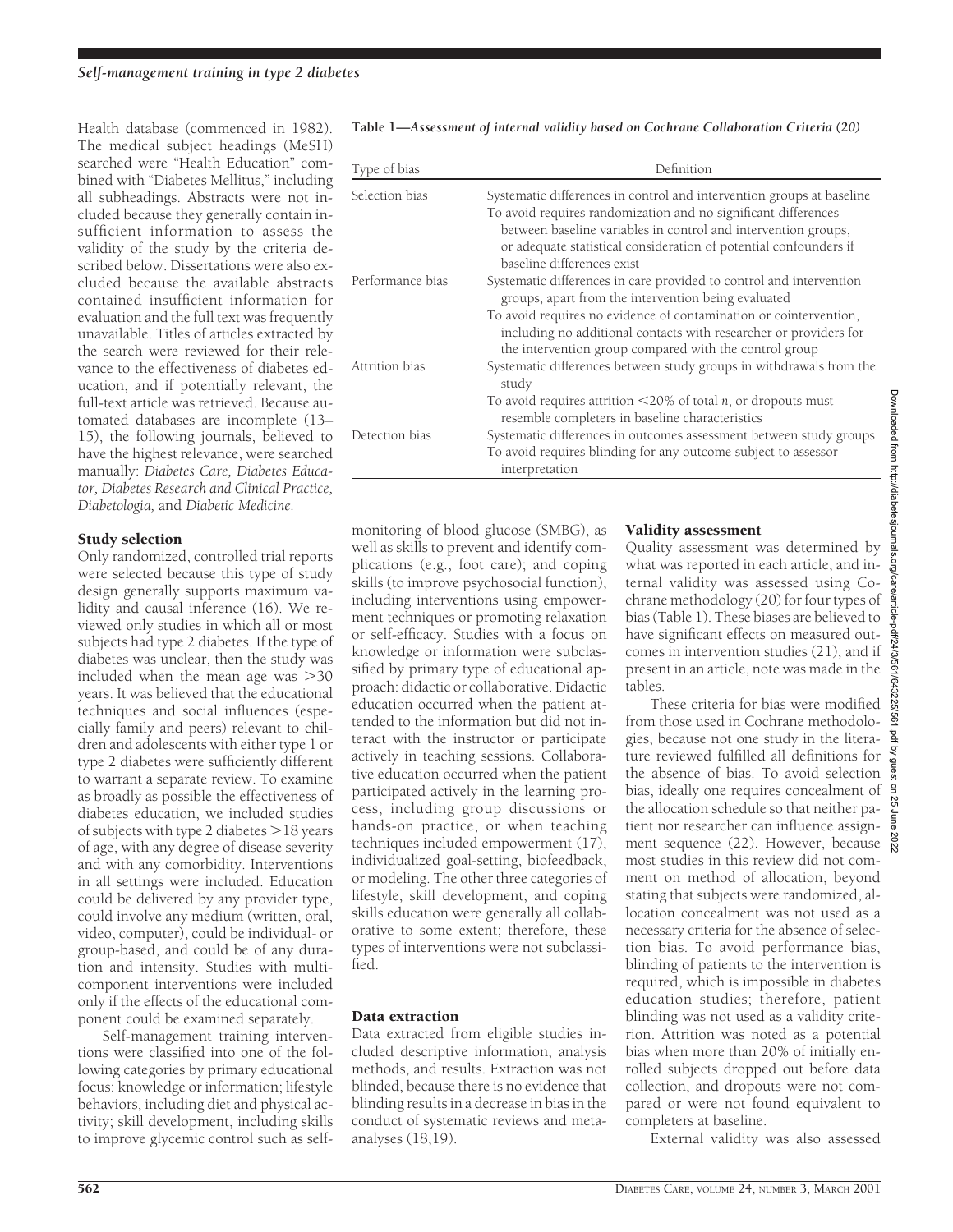Health database (commenced in 1982). The medical subject headings (MeSH) searched were "Health Education" combined with "Diabetes Mellitus," including all subheadings. Abstracts were not included because they generally contain insufficient information to assess the validity of the study by the criteria described below. Dissertations were also excluded because the available abstracts contained insufficient information for evaluation and the full text was frequently unavailable. Titles of articles extracted by the search were reviewed for their relevance to the effectiveness of diabetes education, and if potentially relevant, the full-text article was retrieved. Because automated databases are incomplete (13– 15), the following journals, believed to have the highest relevance, were searched manually: *Diabetes Care, Diabetes Educator, Diabetes Research and Clinical Practice, Diabetologia,* and *Diabetic Medicine.*

#### Study selection

Only randomized, controlled trial reports were selected because this type of study design generally supports maximum validity and causal inference (16). We reviewed only studies in which all or most subjects had type 2 diabetes. If the type of diabetes was unclear, then the study was included when the mean age was  $>30$ years. It was believed that the educational techniques and social influences (especially family and peers) relevant to children and adolescents with either type 1 or type 2 diabetes were sufficiently different to warrant a separate review. To examine as broadly as possible the effectiveness of diabetes education, we included studies of subjects with type 2 diabetes  $>$  18 years of age, with any degree of disease severity and with any comorbidity. Interventions in all settings were included. Education could be delivered by any provider type, could involve any medium (written, oral, video, computer), could be individual- or group-based, and could be of any duration and intensity. Studies with multicomponent interventions were included only if the effects of the educational component could be examined separately.

Self-management training interventions were classified into one of the following categories by primary educational focus: knowledge or information; lifestyle behaviors, including diet and physical activity; skill development, including skills to improve glycemic control such as self**Table 1—***Assessment of internal validity based on Cochrane Collaboration Criteria (20)*

| Type of bias     | Definition                                                                                                                                                                                                                                                                                                                     |
|------------------|--------------------------------------------------------------------------------------------------------------------------------------------------------------------------------------------------------------------------------------------------------------------------------------------------------------------------------|
| Selection bias   | Systematic differences in control and intervention groups at baseline<br>To avoid requires randomization and no significant differences<br>between baseline variables in control and intervention groups,<br>or adequate statistical consideration of potential confounders if<br>baseline differences exist                   |
| Performance bias | Systematic differences in care provided to control and intervention<br>groups, apart from the intervention being evaluated<br>To avoid requires no evidence of contamination or cointervention,<br>including no additional contacts with researcher or providers for<br>the intervention group compared with the control group |
| Attrition bias   | Systematic differences between study groups in withdrawals from the<br>study<br>To avoid requires attrition $\leq$ 20% of total <i>n</i> , or dropouts must<br>resemble completers in baseline characteristics                                                                                                                 |
| Detection bias   | Systematic differences in outcomes assessment between study groups<br>To avoid requires blinding for any outcome subject to assessor<br>interpretation                                                                                                                                                                         |

monitoring of blood glucose (SMBG), as well as skills to prevent and identify complications (e.g., foot care); and coping skills (to improve psychosocial function), including interventions using empowerment techniques or promoting relaxation or self-efficacy. Studies with a focus on knowledge or information were subclassified by primary type of educational approach: didactic or collaborative. Didactic education occurred when the patient attended to the information but did not interact with the instructor or participate actively in teaching sessions. Collaborative education occurred when the patient participated actively in the learning process, including group discussions or hands-on practice, or when teaching techniques included empowerment (17), individualized goal-setting, biofeedback, or modeling. The other three categories of lifestyle, skill development, and coping skills education were generally all collaborative to some extent; therefore, these types of interventions were not subclassified.

## Data extraction

Data extracted from eligible studies included descriptive information, analysis methods, and results. Extraction was not blinded, because there is no evidence that blinding results in a decrease in bias in the conduct of systematic reviews and metaanalyses (18,19).

## Validity assessment

Quality assessment was determined by what was reported in each article, and internal validity was assessed using Cochrane methodology (20) for four types of bias (Table 1). These biases are believed to have significant effects on measured outcomes in intervention studies (21), and if present in an article, note was made in the tables.

These criteria for bias were modified from those used in Cochrane methodologies, because not one study in the literature reviewed fulfilled all definitions for the absence of bias. To avoid selection bias, ideally one requires concealment of the allocation schedule so that neither patient nor researcher can influence assignment sequence (22). However, because  $\ddot{8}$ most studies in this review did not comment on method of allocation, beyond stating that subjects were randomized, allocation concealment was not used as a necessary criteria for the absence of selection bias. To avoid performance bias, blinding of patients to the intervention is required, which is impossible in diabetes education studies; therefore, patient blinding was not used as a validity criterion. Attrition was noted as a potential bias when more than 20% of initially enrolled subjects dropped out before data collection, and dropouts were not compared or were not found equivalent to completers at baseline.

External validity was also assessed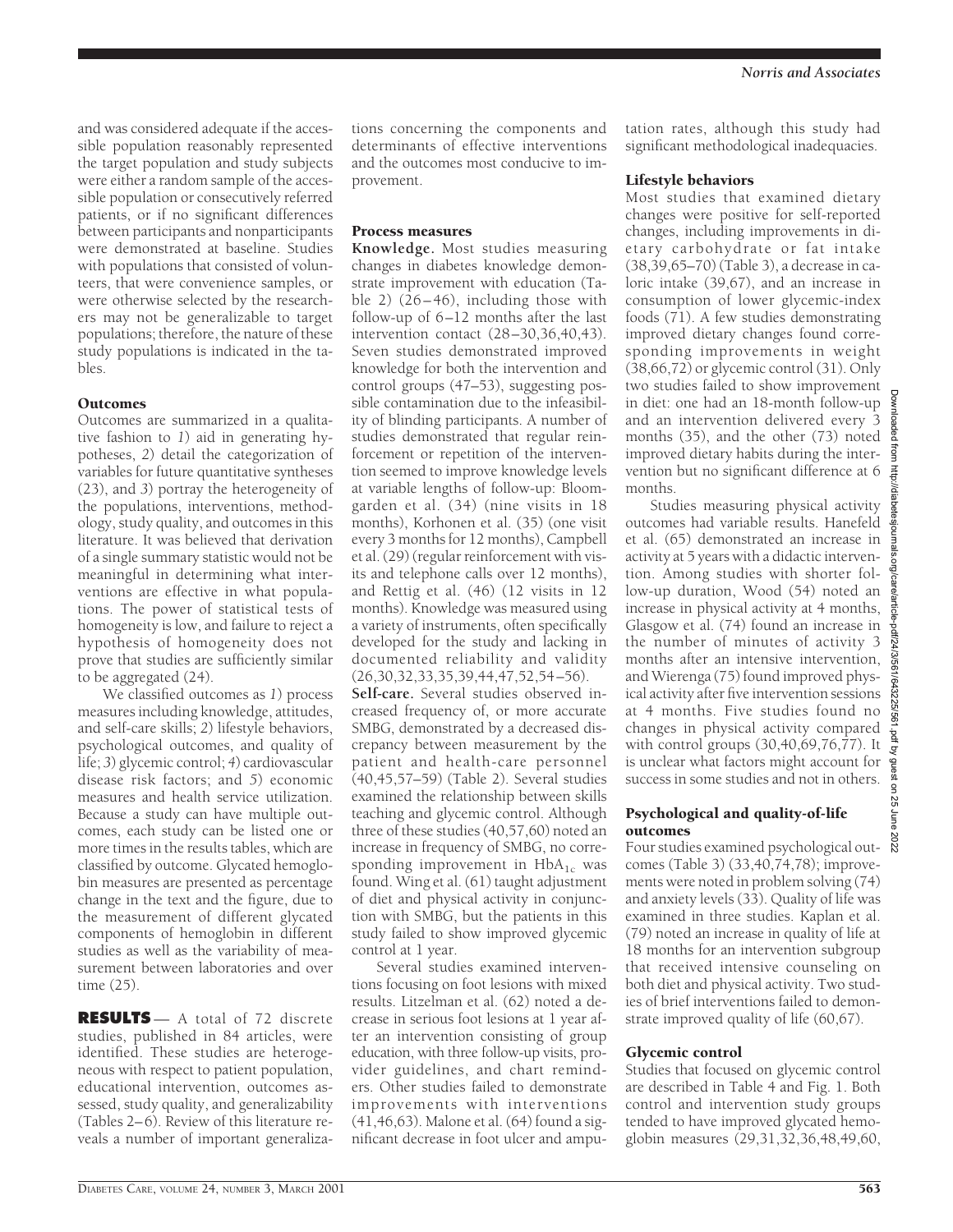and was considered adequate if the accessible population reasonably represented the target population and study subjects were either a random sample of the accessible population or consecutively referred patients, or if no significant differences between participants and nonparticipants were demonstrated at baseline. Studies with populations that consisted of volunteers, that were convenience samples, or were otherwise selected by the researchers may not be generalizable to target populations; therefore, the nature of these study populations is indicated in the tables.

## **Outcomes**

Outcomes are summarized in a qualitative fashion to *1*) aid in generating hypotheses, *2*) detail the categorization of variables for future quantitative syntheses (23), and *3*) portray the heterogeneity of the populations, interventions, methodology, study quality, and outcomes in this literature. It was believed that derivation of a single summary statistic would not be meaningful in determining what interventions are effective in what populations. The power of statistical tests of homogeneity is low, and failure to reject a hypothesis of homogeneity does not prove that studies are sufficiently similar to be aggregated (24).

We classified outcomes as *1*) process measures including knowledge, attitudes, and self-care skills; *2*) lifestyle behaviors, psychological outcomes, and quality of life; *3*) glycemic control; *4*) cardiovascular disease risk factors; and *5*) economic measures and health service utilization. Because a study can have multiple outcomes, each study can be listed one or more times in the results tables, which are classified by outcome. Glycated hemoglobin measures are presented as percentage change in the text and the figure, due to the measurement of different glycated components of hemoglobin in different studies as well as the variability of measurement between laboratories and over time (25).

**RESULTS** — A total of 72 discrete studies, published in 84 articles, were identified. These studies are heterogeneous with respect to patient population, educational intervention, outcomes assessed, study quality, and generalizability (Tables 2–6). Review of this literature reveals a number of important generalizations concerning the components and determinants of effective interventions and the outcomes most conducive to improvement.

## Process measures

**Knowledge.** Most studies measuring changes in diabetes knowledge demonstrate improvement with education (Table 2)  $(26-46)$ , including those with follow-up of 6–12 months after the last intervention contact (28–30,36,40,43). Seven studies demonstrated improved knowledge for both the intervention and control groups (47–53), suggesting possible contamination due to the infeasibility of blinding participants. A number of studies demonstrated that regular reinforcement or repetition of the intervention seemed to improve knowledge levels at variable lengths of follow-up: Bloomgarden et al. (34) (nine visits in 18 months), Korhonen et al. (35) (one visit every 3 months for 12 months), Campbell et al. (29) (regular reinforcement with visits and telephone calls over 12 months), and Rettig et al. (46) (12 visits in 12 months). Knowledge was measured using a variety of instruments, often specifically developed for the study and lacking in documented reliability and validity (26,30,32,33,35,39,44,47,52,54–56).

**Self-care.** Several studies observed increased frequency of, or more accurate SMBG, demonstrated by a decreased discrepancy between measurement by the patient and health-care personnel (40,45,57–59) (Table 2). Several studies examined the relationship between skills teaching and glycemic control. Although three of these studies (40,57,60) noted an increase in frequency of SMBG, no corresponding improvement in  $HbA_{1c}$  was found. Wing et al. (61) taught adjustment of diet and physical activity in conjunction with SMBG, but the patients in this study failed to show improved glycemic control at 1 year.

Several studies examined interventions focusing on foot lesions with mixed results. Litzelman et al. (62) noted a decrease in serious foot lesions at 1 year after an intervention consisting of group education, with three follow-up visits, provider guidelines, and chart reminders. Other studies failed to demonstrate improvements with interventions (41,46,63). Malone et al. (64) found a significant decrease in foot ulcer and amputation rates, although this study had significant methodological inadequacies.

## Lifestyle behaviors

Most studies that examined dietary changes were positive for self-reported changes, including improvements in dietary carbohydrate or fat intake (38,39,65–70) (Table 3), a decrease in caloric intake (39,67), and an increase in consumption of lower glycemic-index foods (71). A few studies demonstrating improved dietary changes found corresponding improvements in weight (38,66,72) or glycemic control (31). Only two studies failed to show improvement in diet: one had an 18-month follow-up and an intervention delivered every 3 months  $(35)$ , and the other  $(73)$  noted  $\frac{6}{9}$ improved dietary habits during the intervention but no significant difference at 6 months.

Studies measuring physical activity outcomes had variable results. Hanefeld et al. (65) demonstrated an increase in activity at 5 years with a didactic intervention. Among studies with shorter follow-up duration, Wood (54) noted an increase in physical activity at 4 months, Glasgow et al. (74) found an increase in the number of minutes of activity 3 months after an intensive intervention, and Wierenga (75) found improved physical activity after five intervention sessions at 4 months. Five studies found no changes in physical activity compared with control groups (30,40,69,76,77). It is unclear what factors might account for success in some studies and not in others.

## Psychological and quality-of-life outcomes

Four studies examined psychological outcomes (Table 3) (33,40,74,78); improvements were noted in problem solving (74) and anxiety levels (33). Quality of life was examined in three studies. Kaplan et al. (79) noted an increase in quality of life at 18 months for an intervention subgroup that received intensive counseling on both diet and physical activity. Two studies of brief interventions failed to demonstrate improved quality of life (60,67).

#### Glycemic control

Studies that focused on glycemic control are described in Table 4 and Fig. 1. Both control and intervention study groups tended to have improved glycated hemoglobin measures (29,31,32,36,48,49,60,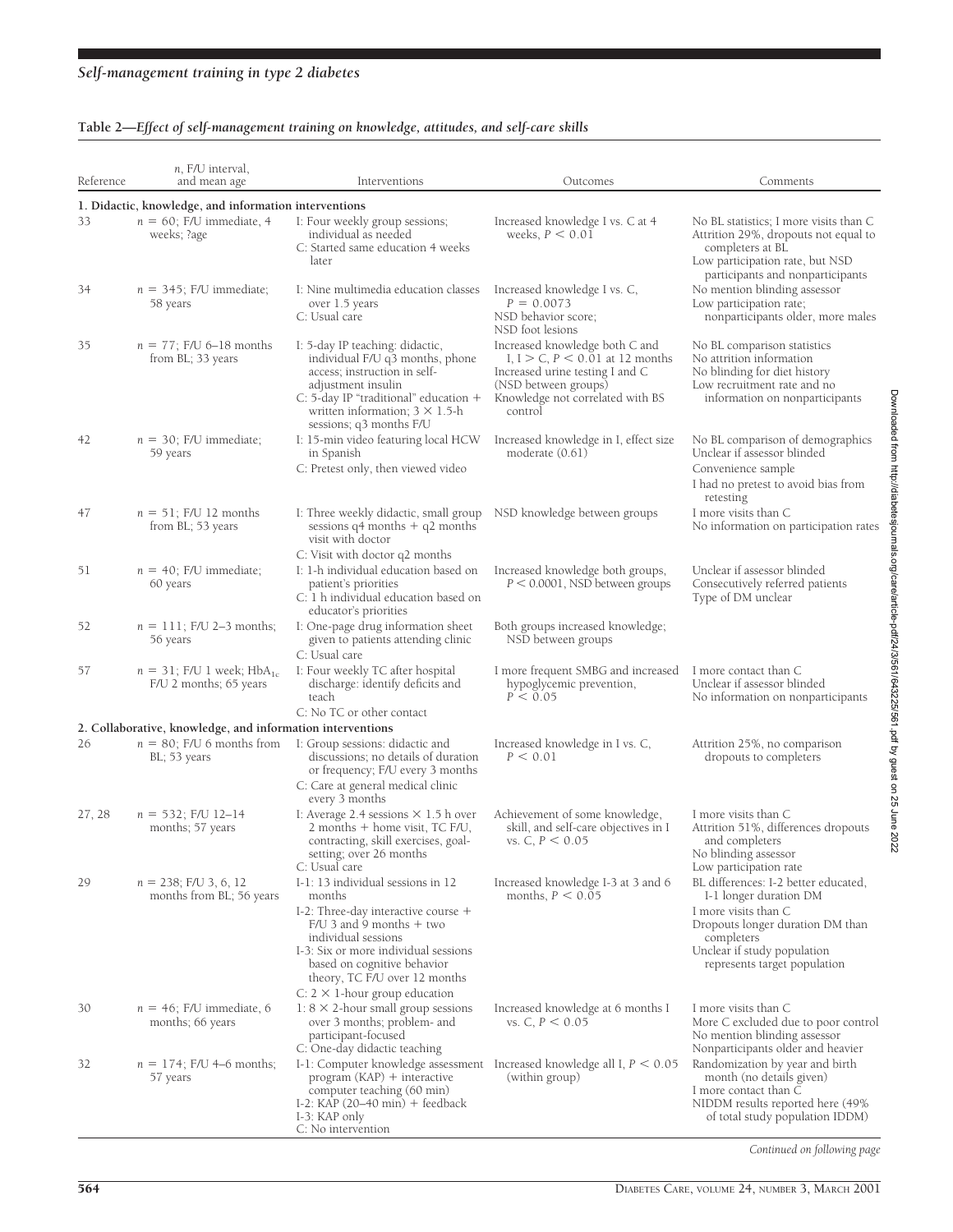| Table 2-Effect of self-management training on knowledge, attitudes, and self-care skills |  |  |  |
|------------------------------------------------------------------------------------------|--|--|--|
|                                                                                          |  |  |  |

| Reference | n, F/U interval,<br>and mean age                                   | Interventions                                                                                                                                                                                                                                                                              | Outcomes                                                                                                                                                                         | Comments                                                                                                                                                                                                |
|-----------|--------------------------------------------------------------------|--------------------------------------------------------------------------------------------------------------------------------------------------------------------------------------------------------------------------------------------------------------------------------------------|----------------------------------------------------------------------------------------------------------------------------------------------------------------------------------|---------------------------------------------------------------------------------------------------------------------------------------------------------------------------------------------------------|
|           | 1. Didactic, knowledge, and information interventions              |                                                                                                                                                                                                                                                                                            |                                                                                                                                                                                  |                                                                                                                                                                                                         |
| 33        | $n = 60$ ; F/U immediate, 4<br>weeks; ?age                         | I: Four weekly group sessions;<br>individual as needed<br>C: Started same education 4 weeks<br>later                                                                                                                                                                                       | Increased knowledge I vs. C at 4<br>weeks, $P < 0.01$                                                                                                                            | No BL statistics; I more visits than C<br>Attrition 29%, dropouts not equal to<br>completers at BL<br>Low participation rate, but NSD<br>participants and nonparticipants                               |
| 34        | $n = 345$ ; F/U immediate;<br>58 years                             | I: Nine multimedia education classes<br>over 1.5 years<br>C: Usual care                                                                                                                                                                                                                    | Increased knowledge I vs. C,<br>$P = 0.0073$<br>NSD behavior score;<br>NSD foot lesions                                                                                          | No mention blinding assessor<br>Low participation rate;<br>nonparticipants older, more males                                                                                                            |
| 35        | $n = 77$ ; F/U 6-18 months<br>from BL; 33 years                    | I: 5-day IP teaching: didactic,<br>individual F/U q3 months, phone<br>access; instruction in self-<br>adjustment insulin<br>C: 5-day IP "traditional" education +<br>written information; $3 \times 1.5$ -h<br>sessions; q3 months F/U                                                     | Increased knowledge both C and<br>I, $I > C$ , $P < 0.01$ at 12 months<br>Increased urine testing I and C<br>(NSD between groups)<br>Knowledge not correlated with BS<br>control | No BL comparison statistics<br>No attrition information<br>No blinding for diet history<br>Low recruitment rate and no<br>information on nonparticipants                                                |
| 42        | $n = 30$ ; F/U immediate;<br>59 years                              | I: 15-min video featuring local HCW<br>in Spanish<br>C: Pretest only, then viewed video                                                                                                                                                                                                    | Increased knowledge in I, effect size<br>moderate (0.61)                                                                                                                         | No BL comparison of demographics<br>Unclear if assessor blinded<br>Convenience sample<br>I had no pretest to avoid bias from<br>retesting                                                               |
| 47        | $n = 51$ ; F/U 12 months<br>from BL; 53 years                      | I: Three weekly didactic, small group<br>sessions $q4$ months $+ q2$ months<br>visit with doctor<br>C: Visit with doctor q2 months                                                                                                                                                         | NSD knowledge between groups                                                                                                                                                     | I more visits than C<br>No information on participation rates                                                                                                                                           |
| 51        | $n = 40$ ; F/U immediate;<br>60 years                              | I: 1-h individual education based on<br>patient's priorities<br>C: 1 h individual education based on<br>educator's priorities                                                                                                                                                              | Increased knowledge both groups,<br>$P < 0.0001$ , NSD between groups                                                                                                            | Unclear if assessor blinded<br>Consecutively referred patients<br>Type of DM unclear                                                                                                                    |
| 52        | $n = 111$ ; F/U 2-3 months;<br>56 years                            | I: One-page drug information sheet<br>given to patients attending clinic<br>C: Usual care                                                                                                                                                                                                  | Both groups increased knowledge;<br>NSD between groups                                                                                                                           |                                                                                                                                                                                                         |
| 57        | $n = 31$ ; F/U 1 week; HbA <sub>1c</sub><br>F/U 2 months; 65 years | I: Four weekly TC after hospital<br>discharge: identify deficits and<br>teach                                                                                                                                                                                                              | I more frequent SMBG and increased<br>hypoglycemic prevention,<br>P < 0.05                                                                                                       | I more contact than C<br>Unclear if assessor blinded<br>No information on nonparticipants                                                                                                               |
|           |                                                                    | C: No TC or other contact                                                                                                                                                                                                                                                                  |                                                                                                                                                                                  |                                                                                                                                                                                                         |
|           | 2. Collaborative, knowledge, and information interventions         |                                                                                                                                                                                                                                                                                            |                                                                                                                                                                                  |                                                                                                                                                                                                         |
| 26        | $n = 80$ ; F/U 6 months from<br>BL; 53 years                       | I: Group sessions: didactic and<br>discussions; no details of duration<br>or frequency; F/U every 3 months<br>C: Care at general medical clinic                                                                                                                                            | Increased knowledge in I vs. C,<br>P < 0.01                                                                                                                                      | Attrition 25%, no comparison<br>dropouts to completers                                                                                                                                                  |
| 27, 28    | $n = 532$ ; F/U 12-14<br>months; 57 years                          | every 3 months<br>I: Average 2.4 sessions $\times$ 1.5 h over<br>2 months + home visit, TC F/U,<br>contracting, skill exercises, goal-<br>setting; over 26 months<br>C: Usual care                                                                                                         | Achievement of some knowledge,<br>skill, and self-care objectives in I<br>vs. C, $P < 0.05$                                                                                      | I more visits than C<br>Attrition 51%, differences dropouts<br>and completers<br>No blinding assessor<br>Low participation rate                                                                         |
| 29        | $n = 238$ ; F/U 3, 6, 12<br>months from BL; 56 years               | I-1: 13 individual sessions in 12<br>months<br>I-2: Three-day interactive course +<br>$F/U$ 3 and 9 months $+$ two<br>individual sessions<br>I-3: Six or more individual sessions<br>based on cognitive behavior<br>theory, TC F/U over 12 months<br>$C: 2 \times 1$ -hour group education | Increased knowledge I-3 at 3 and 6<br>months, $P \leq 0.05$                                                                                                                      | BL differences: I-2 better educated,<br>I-1 longer duration DM<br>I more visits than C<br>Dropouts longer duration DM than<br>completers<br>Unclear if study population<br>represents target population |
| 30        | $n = 46$ ; F/U immediate, 6<br>months; 66 years                    | 1: $8 \times$ 2-hour small group sessions<br>over 3 months; problem- and<br>participant-focused<br>C: One-day didactic teaching                                                                                                                                                            | Increased knowledge at 6 months I<br>vs. C, $P < 0.05$                                                                                                                           | I more visits than C<br>More C excluded due to poor control<br>No mention blinding assessor<br>Nonparticipants older and heavier                                                                        |
| 32        | $n = 174$ ; F/U 4–6 months;<br>57 years                            | I-1: Computer knowledge assessment<br>$program (KAP) + interactive$<br>computer teaching (60 min)<br>I-2: KAP $(20-40 \text{ min}) + \text{feedback}$<br>I-3: KAP only<br>C: No intervention                                                                                               | Increased knowledge all I, $P < 0.05$<br>(within group)                                                                                                                          | Randomization by year and birth<br>month (no details given)<br>I more contact than C<br>NIDDM results reported here (49%)<br>of total study population IDDM)                                            |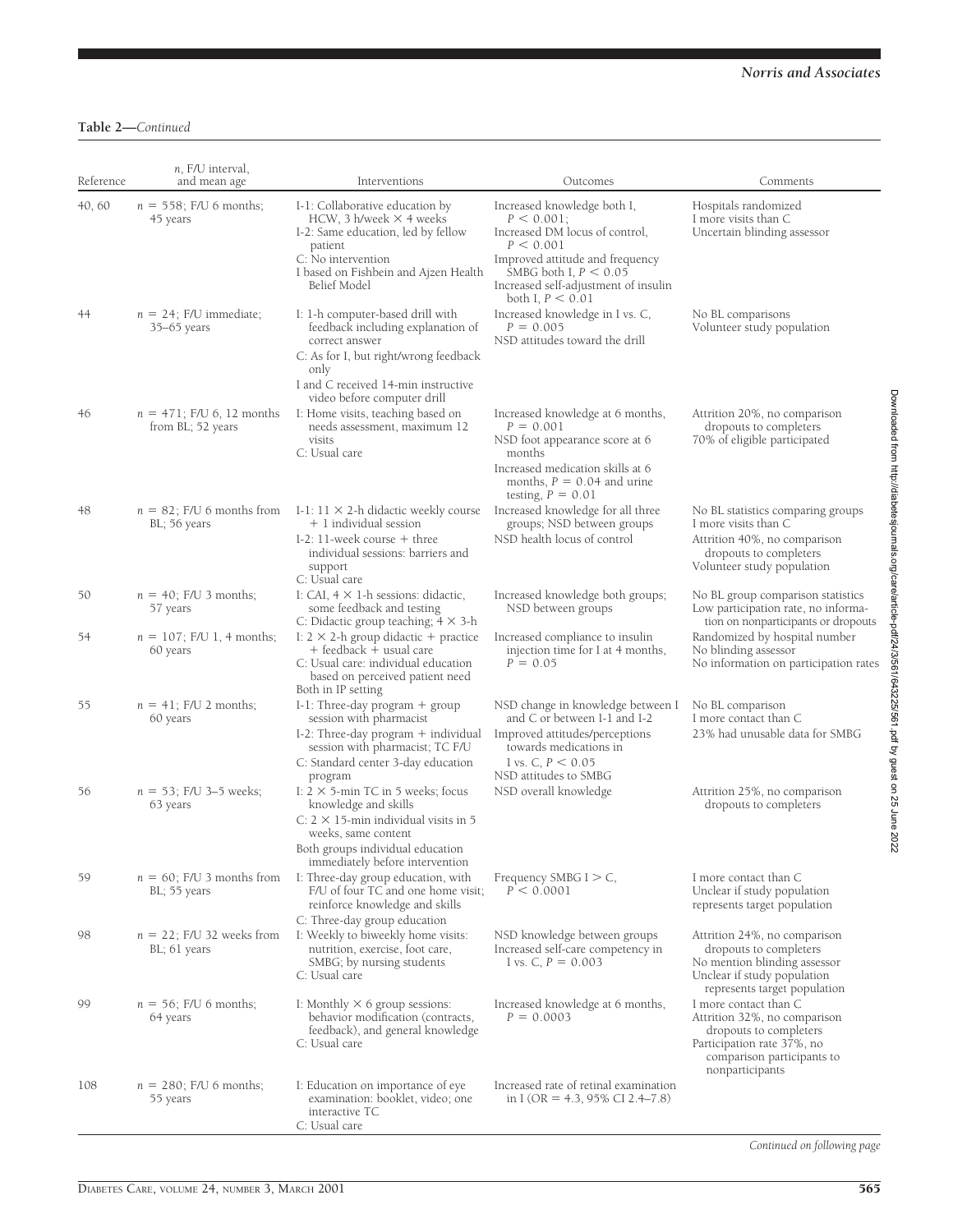#### **Table 2—***Continued*

| Reference | n, F/U interval,<br>and mean age                  | Interventions                                                                                                                                                                                                   | Outcomes                                                                                                                                                                                                                | Comments                                                                                                                                                       |
|-----------|---------------------------------------------------|-----------------------------------------------------------------------------------------------------------------------------------------------------------------------------------------------------------------|-------------------------------------------------------------------------------------------------------------------------------------------------------------------------------------------------------------------------|----------------------------------------------------------------------------------------------------------------------------------------------------------------|
| 40.60     | $n = 558$ ; F/U 6 months;<br>45 years             | I-1: Collaborative education by<br>$HCW$ , 3 h/week $\times$ 4 weeks<br>I-2: Same education, led by fellow<br>patient<br>C: No intervention<br>I based on Fishbein and Ajzen Health<br>Belief Model             | Increased knowledge both I,<br>$P < 0.001$ ;<br>Increased DM locus of control,<br>P < 0.001<br>Improved attitude and frequency<br>SMBG both I, $P < 0.05$<br>Increased self-adjustment of insulin<br>both I, $P < 0.01$ | Hospitals randomized<br>I more visits than C<br>Uncertain blinding assessor                                                                                    |
| 44        | $n = 24$ ; F/U immediate;<br>35-65 years          | I: 1-h computer-based drill with<br>feedback including explanation of<br>correct answer<br>C: As for I, but right/wrong feedback<br>only<br>I and C received 14-min instructive<br>video before computer drill  | Increased knowledge in I vs. C,<br>$P = 0.005$<br>NSD attitudes toward the drill                                                                                                                                        | No BL comparisons<br>Volunteer study population                                                                                                                |
| 46        | $n = 471$ ; F/U 6, 12 months<br>from BL; 52 years | I: Home visits, teaching based on<br>needs assessment, maximum 12<br>visits<br>C: Usual care                                                                                                                    | Increased knowledge at 6 months,<br>$P = 0.001$<br>NSD foot appearance score at 6<br>months<br>Increased medication skills at 6<br>months, $P = 0.04$ and urine<br>testing, $P = 0.01$                                  | Attrition 20%, no comparison<br>dropouts to completers<br>70% of eligible participated                                                                         |
| 48        | $n = 82$ ; F/U 6 months from<br>BL; 56 years      | I-1: $11 \times 2$ -h didactic weekly course<br>+ 1 individual session<br>I-2: $11$ -week course $+$ three<br>individual sessions: barriers and<br>support<br>C: Usual care                                     | Increased knowledge for all three<br>groups; NSD between groups<br>NSD health locus of control                                                                                                                          | No BL statistics comparing groups<br>I more visits than C<br>Attrition 40%, no comparison<br>dropouts to completers<br>Volunteer study population              |
| 50        | $n = 40$ ; F/U 3 months;<br>57 years              | I: CAI, $4 \times 1$ -h sessions: didactic,<br>some feedback and testing<br>C: Didactic group teaching; 4 × 3-h                                                                                                 | Increased knowledge both groups;<br>NSD between groups                                                                                                                                                                  | No BL group comparison statistics<br>Low participation rate, no informa-<br>tion on nonparticipants or dropouts                                                |
| 54        | $n = 107$ ; F/U 1, 4 months;<br>60 years          | I: $2 \times 2$ -h group didactic + practice<br>+ feedback + usual care<br>C: Usual care: individual education<br>based on perceived patient need<br>Both in IP setting                                         | Increased compliance to insulin<br>injection time for I at 4 months,<br>$P = 0.05$                                                                                                                                      | Randomized by hospital number<br>No blinding assessor<br>No information on participation rates                                                                 |
| 55        | $n = 41$ ; F/U 2 months;<br>60 years              | I-1: Three-day program + group<br>session with pharmacist<br>I-2: Three-day program + individual<br>session with pharmacist; TC F/U<br>C: Standard center 3-day education<br>program                            | NSD change in knowledge between I<br>and C or between I-1 and I-2<br>Improved attitudes/perceptions<br>towards medications in<br>I vs. C, $P < 0.05$<br>NSD attitudes to SMBG                                           | No BL comparison<br>I more contact than C<br>23% had unusable data for SMBG                                                                                    |
| 56        | $n = 53$ ; F/U 3-5 weeks;<br>63 years             | I: $2 \times 5$ -min TC in 5 weeks; focus<br>knowledge and skills<br>C: $2 \times 15$ -min individual visits in 5<br>weeks, same content<br>Both groups individual education<br>immediately before intervention | NSD overall knowledge                                                                                                                                                                                                   | Attrition 25%, no comparison<br>dropouts to completers                                                                                                         |
| 59        | $n = 60$ ; F/U 3 months from<br>$BL$ ; 55 years   | I: Three-day group education, with<br>F/U of four TC and one home visit;<br>reinforce knowledge and skills<br>C: Three-day group education                                                                      | Frequency SMBG $I > C$ ,<br>P < 0.0001                                                                                                                                                                                  | I more contact than C<br>Unclear if study population<br>represents target population                                                                           |
| 98        | $n = 22$ ; F/U 32 weeks from<br>BL; 61 years      | I: Weekly to biweekly home visits:<br>nutrition, exercise, foot care,<br>SMBG; by nursing students<br>C: Usual care                                                                                             | NSD knowledge between groups<br>Increased self-care competency in<br>I vs. C, $P = 0.003$                                                                                                                               | Attrition 24%, no comparison<br>dropouts to completers<br>No mention blinding assessor<br>Unclear if study population<br>represents target population          |
| 99        | $n = 56$ ; F/U 6 months;<br>64 years              | I: Monthly $\times$ 6 group sessions:<br>behavior modification (contracts,<br>feedback), and general knowledge<br>C: Usual care                                                                                 | Increased knowledge at 6 months,<br>$P = 0.0003$                                                                                                                                                                        | I more contact than C<br>Attrition 32%, no comparison<br>dropouts to completers<br>Participation rate 37%, no<br>comparison participants to<br>nonparticipants |
| 108       | $n = 280$ ; F/U 6 months;<br>55 years             | I: Education on importance of eye<br>examination: booklet, video; one<br>interactive TC<br>C: Usual care                                                                                                        | Increased rate of retinal examination<br>in I (OR = $4.3$ , 95% CI 2.4-7.8)                                                                                                                                             |                                                                                                                                                                |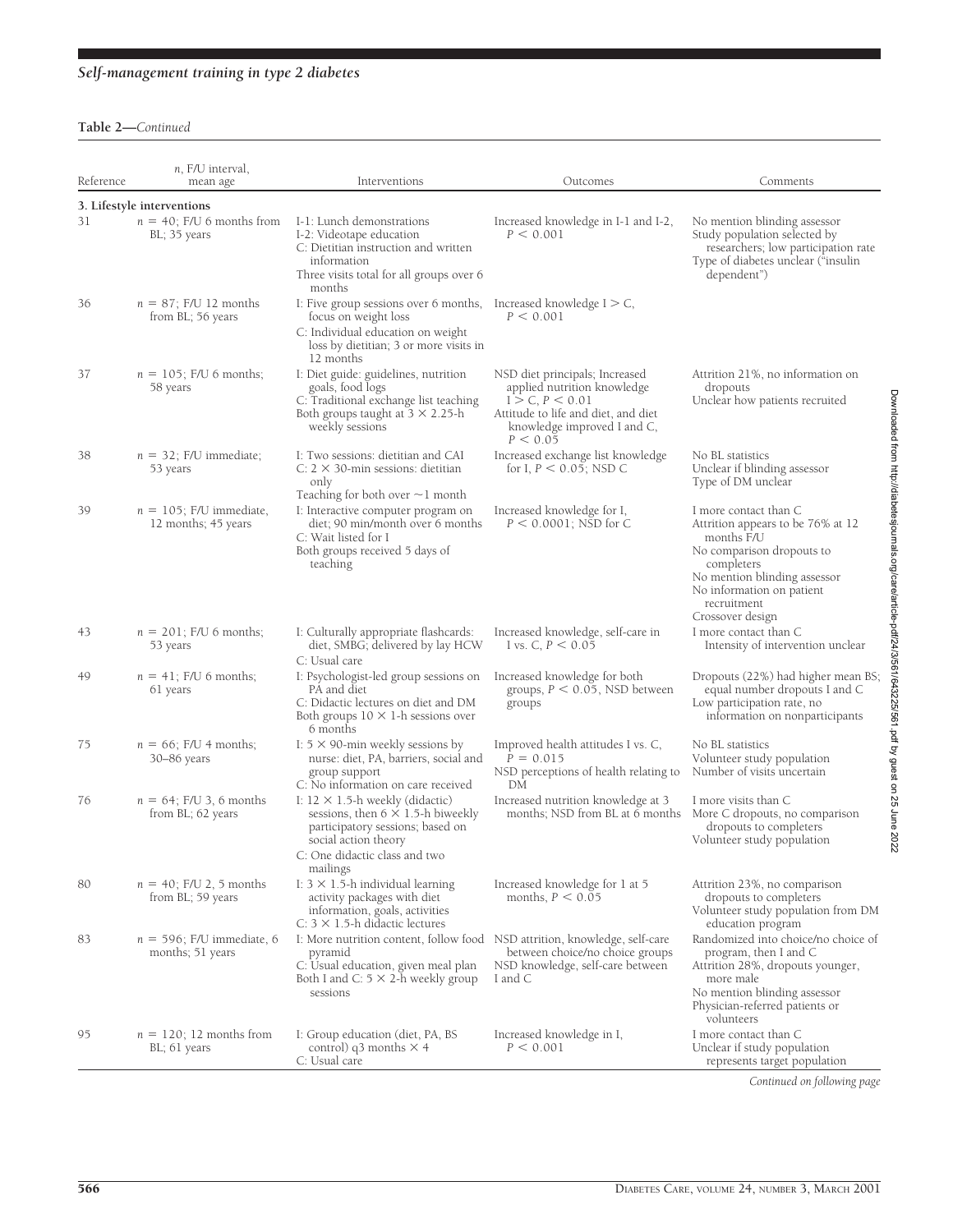#### **Table 2—***Continued*

| Reference | n, F/U interval,<br>mean age                      | Interventions                                                                                                                                                                                 | Outcomes                                                                                                                                                           | Comments                                                                                                                                                                                        |
|-----------|---------------------------------------------------|-----------------------------------------------------------------------------------------------------------------------------------------------------------------------------------------------|--------------------------------------------------------------------------------------------------------------------------------------------------------------------|-------------------------------------------------------------------------------------------------------------------------------------------------------------------------------------------------|
|           | 3. Lifestyle interventions                        |                                                                                                                                                                                               |                                                                                                                                                                    |                                                                                                                                                                                                 |
| 31        | $n = 40$ ; F/U 6 months from<br>BL; 35 years      | I-1: Lunch demonstrations<br>I-2: Videotape education<br>C: Dietitian instruction and written<br>information<br>Three visits total for all groups over 6<br>months                            | Increased knowledge in I-1 and I-2,<br>P < 0.001                                                                                                                   | No mention blinding assessor<br>Study population selected by<br>researchers; low participation rate<br>Type of diabetes unclear ("insulin<br>dependent")                                        |
| 36        | $n = 87$ ; F/U 12 months<br>from BL; 56 years     | I: Five group sessions over 6 months, Increased knowledge $I > C$ ,<br>focus on weight loss<br>C: Individual education on weight<br>loss by dietitian; 3 or more visits in<br>12 months       | P < 0.001                                                                                                                                                          |                                                                                                                                                                                                 |
| 37        | $n = 105$ ; F/U 6 months;<br>58 years             | I: Diet guide: guidelines, nutrition<br>goals, food logs<br>C: Traditional exchange list teaching<br>Both groups taught at $3 \times 2.25$ -h<br>weekly sessions                              | NSD diet principals; Increased<br>applied nutrition knowledge<br>I > C, P < 0.01<br>Attitude to life and diet, and diet<br>knowledge improved I and C,<br>P < 0.05 | Attrition 21%, no information on<br>dropouts<br>Unclear how patients recruited                                                                                                                  |
| 38        | $n = 32$ ; F/U immediate;<br>53 years             | I: Two sessions: dietitian and CAI<br>C: $2 \times 30$ -min sessions: dietitian<br>only                                                                                                       | Increased exchange list knowledge<br>for I, $P < 0.05$ ; NSD C                                                                                                     | No BL statistics<br>Unclear if blinding assessor<br>Type of DM unclear                                                                                                                          |
| 39        | $n = 105$ ; F/U immediate,<br>12 months; 45 years | Teaching for both over $\sim$ 1 month<br>I: Interactive computer program on<br>diet; 90 min/month over 6 months<br>C: Wait listed for I<br>Both groups received 5 days of<br>teaching         | Increased knowledge for I,<br>$P < 0.0001$ ; NSD for C                                                                                                             | I more contact than C<br>Attrition appears to be 76% at 12<br>months F/U<br>No comparison dropouts to<br>completers<br>No mention blinding assessor<br>No information on patient<br>recruitment |
| 43        | $n = 201$ ; F/U 6 months;<br>53 years             | I: Culturally appropriate flashcards:<br>diet, SMBG; delivered by lay HCW<br>C: Usual care                                                                                                    | Increased knowledge, self-care in<br>I vs. C, $P < 0.05$                                                                                                           | Crossover design<br>I more contact than C<br>Intensity of intervention unclear                                                                                                                  |
| 49        | $n = 41$ ; F/U 6 months;<br>61 years              | I: Psychologist-led group sessions on<br>PA and diet<br>C: Didactic lectures on diet and DM<br>Both groups $10 \times 1$ -h sessions over<br>6 months                                         | Increased knowledge for both<br>groups, $P \le 0.05$ , NSD between<br>groups                                                                                       | Dropouts (22%) had higher mean BS;<br>equal number dropouts I and C<br>Low participation rate, no<br>information on nonparticipants                                                             |
| 75        | $n = 66$ ; F/U 4 months;<br>30–86 years           | I: $5 \times 90$ -min weekly sessions by<br>nurse: diet, PA, barriers, social and<br>group support<br>C: No information on care received                                                      | Improved health attitudes I vs. C,<br>$P = 0.015$<br>NSD perceptions of health relating to<br>DM                                                                   | No BL statistics<br>Volunteer study population<br>Number of visits uncertain                                                                                                                    |
| 76        | $n = 64$ ; F/U 3, 6 months<br>from BL; 62 years   | I: $12 \times 1.5$ -h weekly (didactic)<br>sessions, then $6 \times 1.5$ -h biweekly<br>participatory sessions; based on<br>social action theory<br>C: One didactic class and two<br>mailings | Increased nutrition knowledge at 3<br>months; NSD from BL at 6 months                                                                                              | I more visits than C<br>More C dropouts, no comparison<br>dropouts to completers<br>Volunteer study population                                                                                  |
| 80        | $n = 40$ ; F/U 2, 5 months<br>from BL; 59 years   | I: $3 \times 1.5$ -h individual learning<br>activity packages with diet<br>information, goals, activities<br>C: $3 \times 1.5$ -h didactic lectures                                           | Increased knowledge for 1 at 5<br>months, $P \leq 0.05$                                                                                                            | Attrition 23%, no comparison<br>dropouts to completers<br>Volunteer study population from DM<br>education program                                                                               |
| 83        | $n = 596$ ; F/U immediate, 6<br>months; 51 years  | I: More nutrition content, follow food NSD attrition, knowledge, self-care<br>pyramid<br>C: Usual education, given meal plan<br>Both I and C: $5 \times 2$ -h weekly group<br>sessions        | between choice/no choice groups<br>NSD knowledge, self-care between<br>I and C                                                                                     | Randomized into choice/no choice of<br>program, then I and C<br>Attrition 28%, dropouts younger,<br>more male<br>No mention blinding assessor<br>Physician-referred patients or<br>volunteers   |
| 95        | $n = 120$ ; 12 months from<br>BL; 61 years        | I: Group education (diet, PA, BS<br>control) q3 months $\times$ 4<br>C: Usual care                                                                                                            | Increased knowledge in I,<br>P < 0.001                                                                                                                             | I more contact than C<br>Unclear if study population<br>represents target population                                                                                                            |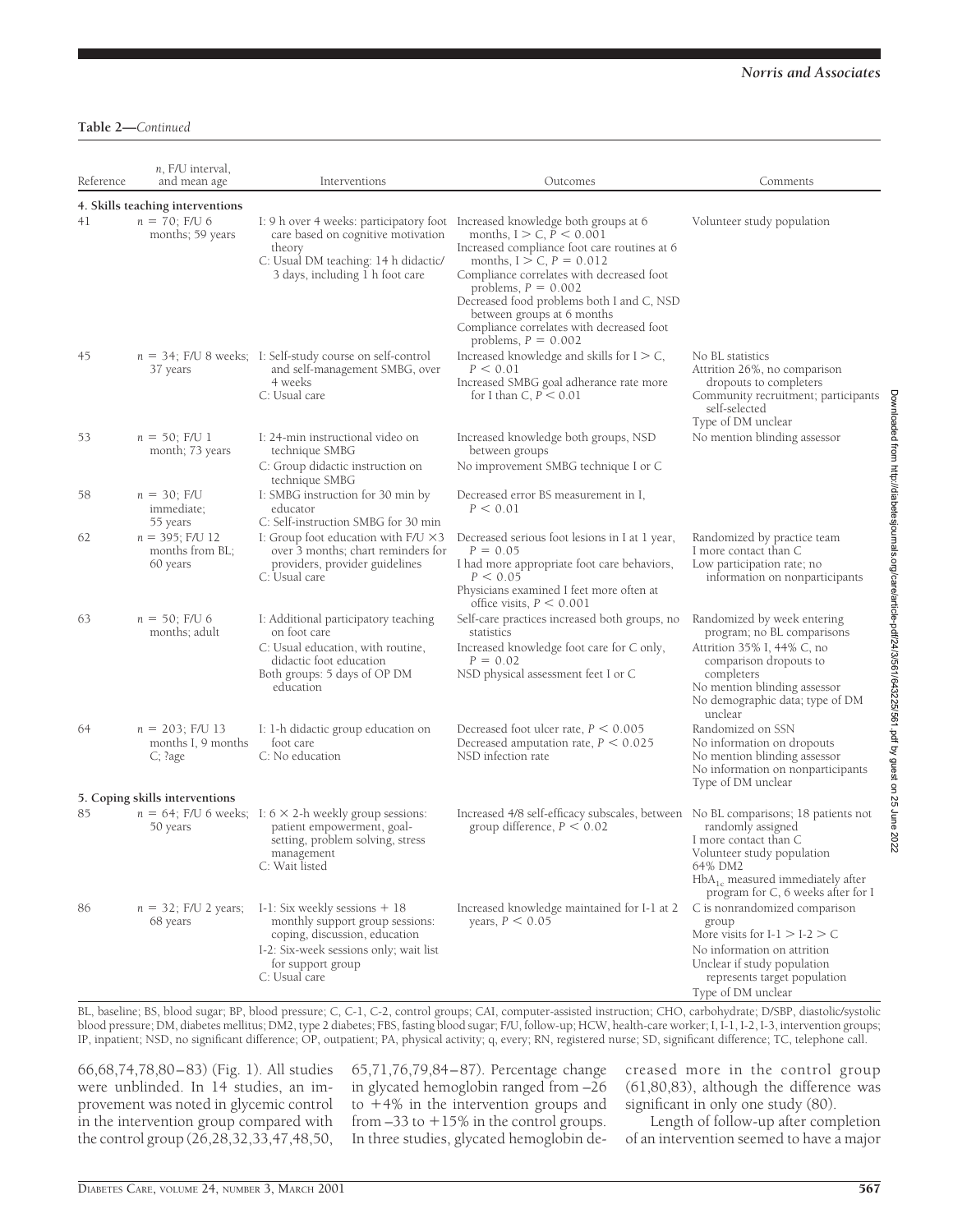#### *Norris and Associates*

**Table 2—***Continued*

| Reference | n, F/U interval,<br>and mean age                             | Interventions                                                                                                                                                                      | Outcomes                                                                                                                                                                                                                                                                                                                                                                                                              | Comments                                                                                                                                                                                                                                                                                               |
|-----------|--------------------------------------------------------------|------------------------------------------------------------------------------------------------------------------------------------------------------------------------------------|-----------------------------------------------------------------------------------------------------------------------------------------------------------------------------------------------------------------------------------------------------------------------------------------------------------------------------------------------------------------------------------------------------------------------|--------------------------------------------------------------------------------------------------------------------------------------------------------------------------------------------------------------------------------------------------------------------------------------------------------|
|           | 4. Skills teaching interventions                             |                                                                                                                                                                                    |                                                                                                                                                                                                                                                                                                                                                                                                                       |                                                                                                                                                                                                                                                                                                        |
| 41        | $n = 70$ ; F/U 6<br>months; 59 years                         | care based on cognitive motivation<br>theory<br>C: Usual DM teaching: 14 h didactic/<br>3 days, including 1 h foot care                                                            | I: 9 h over 4 weeks: participatory foot Increased knowledge both groups at 6<br>months, $I > C$ , $P < 0.001$<br>Increased compliance foot care routines at 6<br>months, $I > C$ , $P = 0.012$<br>Compliance correlates with decreased foot<br>problems, $P = 0.002$<br>Decreased food problems both I and C, NSD<br>between groups at 6 months<br>Compliance correlates with decreased foot<br>problems, $P = 0.002$ | Volunteer study population                                                                                                                                                                                                                                                                             |
| 45        | 37 years                                                     | $n = 34$ ; F/U 8 weeks; I: Self-study course on self-control<br>and self-management SMBG, over<br>4 weeks<br>C: Usual care                                                         | Increased knowledge and skills for $I > C$ ,<br>P < 0.01<br>Increased SMBG goal adherance rate more<br>for I than C, $P < 0.01$                                                                                                                                                                                                                                                                                       | No BL statistics<br>Attrition 26%, no comparison<br>dropouts to completers<br>Community recruitment; participants<br>Downloaded<br>self-selected<br>Type of DM unclear                                                                                                                                 |
| 53        | $n = 50$ ; F/U 1<br>month; 73 years                          | I: 24-min instructional video on<br>technique SMBG<br>C: Group didactic instruction on<br>technique SMBG                                                                           | Increased knowledge both groups, NSD<br>between groups<br>No improvement SMBG technique I or C                                                                                                                                                                                                                                                                                                                        | No mention blinding assessor                                                                                                                                                                                                                                                                           |
| 58        | $n = 30$ ; F/U<br>immediate;<br>55 years                     | I: SMBG instruction for 30 min by<br>educator<br>C: Self-instruction SMBG for 30 min                                                                                               | Decreased error BS measurement in I.<br>P < 0.01                                                                                                                                                                                                                                                                                                                                                                      |                                                                                                                                                                                                                                                                                                        |
| 62        | $n = 395$ ; F/U 12<br>months from BL;<br>60 years            | I: Group foot education with $F/U \times 3$<br>over 3 months; chart reminders for<br>providers, provider guidelines<br>C: Usual care                                               | Decreased serious foot lesions in I at 1 year,<br>$P = 0.05$<br>I had more appropriate foot care behaviors,<br>P < 0.05<br>Physicians examined I feet more often at<br>office visits, $P < 0.001$                                                                                                                                                                                                                     | Randomized by practice team<br>I more contact than C<br>Low participation rate; no<br>information on nonparticipants                                                                                                                                                                                   |
| 63        | $n = 50$ ; F/U 6<br>months; adult                            | I: Additional participatory teaching<br>on foot care<br>C: Usual education, with routine,<br>didactic foot education<br>Both groups: 5 days of OP DM<br>education                  | Self-care practices increased both groups, no<br>statistics<br>Increased knowledge foot care for C only,<br>$P = 0.02$<br>NSD physical assessment feet I or C                                                                                                                                                                                                                                                         | from http://diabetesjournals.org/care/article-pdf/24/3/561/643225/561.pdf by guest on<br>Randomized by week entering<br>program; no BL comparisons<br>Attrition 35% I, 44% C, no<br>comparison dropouts to<br>completers<br>No mention blinding assessor<br>No demographic data; type of DM<br>unclear |
| 64        | $n = 203$ ; F/U 13<br>months I, 9 months<br>$C: \text{?age}$ | I: 1-h didactic group education on<br>foot care<br>C: No education                                                                                                                 | Decreased foot ulcer rate, $P < 0.005$<br>Decreased amputation rate, $P < 0.025$<br>NSD infection rate                                                                                                                                                                                                                                                                                                                | Randomized on SSN<br>No information on dropouts<br>No mention blinding assessor<br>No information on nonparticipants<br>Type of DM unclear                                                                                                                                                             |
|           | 5. Coping skills interventions                               |                                                                                                                                                                                    |                                                                                                                                                                                                                                                                                                                                                                                                                       |                                                                                                                                                                                                                                                                                                        |
| 85        | 50 years                                                     | $n = 64$ ; F/U 6 weeks; I: 6 $\times$ 2-h weekly group sessions:<br>patient empowerment, goal-<br>setting, problem solving, stress<br>management<br>C: Wait listed                 | Increased 4/8 self-efficacy subscales, between No BL comparisons; 18 patients not<br>group difference, $P < 0.02$                                                                                                                                                                                                                                                                                                     | 25 June<br>randomly assigned<br>2022<br>I more contact than C<br>Volunteer study population<br>64% DM2<br>HbA <sub>1c</sub> measured immediately after<br>program for C, 6 weeks after for I                                                                                                           |
| 86        | $n = 32$ ; F/U 2 years;<br>68 years                          | I-1: Six weekly sessions $+18$<br>monthly support group sessions:<br>coping, discussion, education<br>I-2: Six-week sessions only; wait list<br>for support group<br>C: Usual care | Increased knowledge maintained for I-1 at 2<br>years, $P < 0.05$                                                                                                                                                                                                                                                                                                                                                      | C is nonrandomized comparison<br>group<br>More visits for $I-1 > I-2 > C$<br>No information on attrition<br>Unclear if study population<br>represents target population<br>Type of DM unclear                                                                                                          |

BL, baseline; BS, blood sugar; BP, blood pressure; C, C-1, C-2, control groups; CAI, computer-assisted instruction; CHO, carbohydrate; D/SBP, diastolic/systolic blood pressure; DM, diabetes mellitus; DM2, type 2 diabetes; FBS, fasting blood sugar; F/U, follow-up; HCW, health-care worker; I, I-1, I-2, I-3, intervention groups; IP, inpatient; NSD, no significant difference; OP, outpatient; PA, physical activity; q, every; RN, registered nurse; SD, significant difference; TC, telephone call.

66,68,74,78,80–83) (Fig. 1). All studies were unblinded. In 14 studies, an improvement was noted in glycemic control in the intervention group compared with the control group (26,28,32,33,47,48,50, 65,71,76,79,84–87). Percentage change in glycated hemoglobin ranged from –26 to  $+4\%$  in the intervention groups and from  $-33$  to  $+15\%$  in the control groups. In three studies, glycated hemoglobin decreased more in the control group (61,80,83), although the difference was significant in only one study (80).

Length of follow-up after completion of an intervention seemed to have a major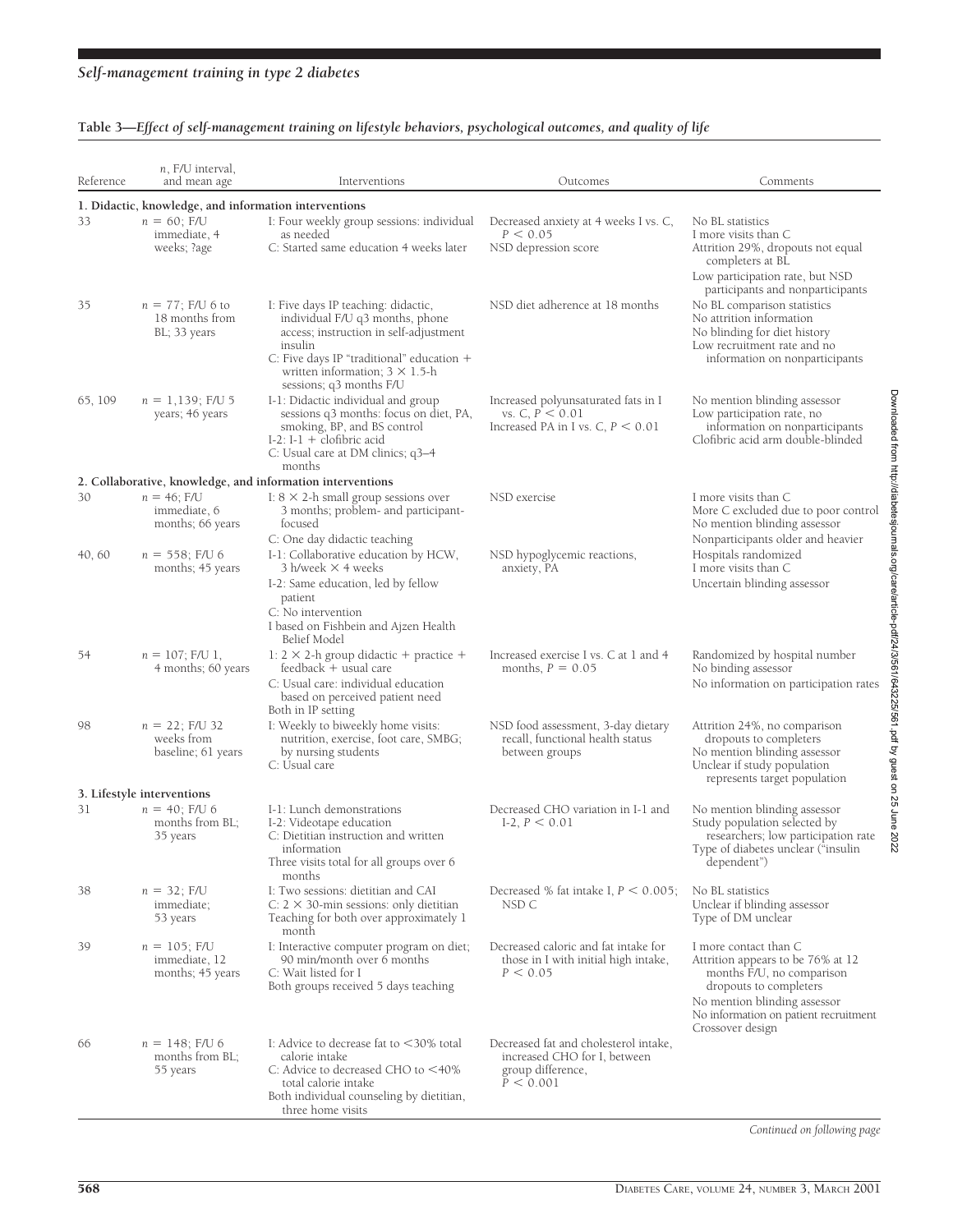| Reference | n, F/U interval,<br>and mean age                      | Interventions                                                                                                                                                                                                           | Outcomes                                                                                                | Comments                                                                                                                                                                                                       |
|-----------|-------------------------------------------------------|-------------------------------------------------------------------------------------------------------------------------------------------------------------------------------------------------------------------------|---------------------------------------------------------------------------------------------------------|----------------------------------------------------------------------------------------------------------------------------------------------------------------------------------------------------------------|
|           | 1. Didactic, knowledge, and information interventions |                                                                                                                                                                                                                         |                                                                                                         |                                                                                                                                                                                                                |
| 33        | $n = 60$ ; F/U<br>immediate, 4<br>weeks; ?age         | I: Four weekly group sessions: individual<br>as needed<br>C: Started same education 4 weeks later                                                                                                                       | Decreased anxiety at 4 weeks I vs. C,<br>P < 0.05<br>NSD depression score                               | No BL statistics<br>I more visits than C<br>Attrition 29%, dropouts not equal<br>completers at BL<br>Low participation rate, but NSD                                                                           |
| 35        | $n = 77$ ; F/U 6 to<br>18 months from<br>BL; 33 years | I: Five days IP teaching: didactic,<br>individual F/U q3 months, phone<br>access; instruction in self-adjustment<br>insulin<br>C: Five days IP "traditional" education +<br>written information; $3 \times 1.5$ -h      | NSD diet adherence at 18 months                                                                         | participants and nonparticipants<br>No BL comparison statistics<br>No attrition information<br>No blinding for diet history<br>Low recruitment rate and no<br>information on nonparticipants                   |
| 65, 109   | $n = 1,139$ ; F/U 5<br>years; 46 years                | sessions; q3 months F/U<br>I-1: Didactic individual and group<br>sessions q3 months: focus on diet, PA,<br>smoking, BP, and BS control<br>$I-2$ : $I-1 +$ clofibric acid<br>C: Usual care at DM clinics; q3–4<br>months | Increased polyunsaturated fats in I<br>vs. C, $P < 0.01$<br>Increased PA in I vs. C, $P < 0.01$         | No mention blinding assessor<br>Low participation rate, no<br>information on nonparticipants<br>Clofibric acid arm double-blinded                                                                              |
|           |                                                       | 2. Collaborative, knowledge, and information interventions                                                                                                                                                              |                                                                                                         |                                                                                                                                                                                                                |
| 30        | $n = 46$ ; F/U<br>immediate, 6<br>months; 66 years    | I: $8 \times 2$ -h small group sessions over<br>3 months; problem- and participant-<br>focused<br>C: One day didactic teaching                                                                                          | NSD exercise                                                                                            | I more visits than C<br>More C excluded due to poor control<br>No mention blinding assessor<br>Nonparticipants older and heavier                                                                               |
| 40,60     | $n = 558$ ; F/U 6<br>months; 45 years                 | I-1: Collaborative education by HCW,<br>3 h/week $\times$ 4 weeks<br>I-2: Same education, led by fellow<br>patient<br>C: No intervention<br>I based on Fishbein and Ajzen Health                                        | NSD hypoglycemic reactions,<br>anxiety, PA                                                              | Hospitals randomized<br>I more visits than C<br>Uncertain blinding assessor                                                                                                                                    |
| 54        | $n = 107$ ; F/U 1,<br>4 months; 60 years              | Belief Model<br>1: $2 \times 2$ -h group didactic + practice +<br>$feedback + usual care$<br>C: Usual care: individual education<br>based on perceived patient need                                                     | Increased exercise I vs. C at 1 and 4<br>months, $P = 0.05$                                             | Randomized by hospital number<br>No binding assessor<br>No information on participation rates                                                                                                                  |
| 98        | $n = 22$ ; F/U 32<br>weeks from<br>baseline; 61 years | Both in IP setting<br>I: Weekly to biweekly home visits:<br>nutrition, exercise, foot care, SMBG;<br>by nursing students<br>C: Usual care                                                                               | NSD food assessment, 3-day dietary<br>recall, functional health status<br>between groups                | Attrition 24%, no comparison<br>dropouts to completers<br>No mention blinding assessor<br>Unclear if study population<br>represents target population                                                          |
|           | 3. Lifestyle interventions                            |                                                                                                                                                                                                                         |                                                                                                         |                                                                                                                                                                                                                |
| 31        | $n = 40$ ; F/U 6<br>months from BL;<br>35 years       | I-1: Lunch demonstrations<br>I-2: Videotape education<br>C: Dietitian instruction and written<br>information<br>Three visits total for all groups over 6<br>months                                                      | Decreased CHO variation in I-1 and<br>I-2, $P < 0.01$                                                   | No mention blinding assessor<br>Study population selected by<br>researchers; low participation rate<br>Type of diabetes unclear ("insulin<br>dependent")                                                       |
| 38        | $n = 32$ ; F/U<br>immediate;<br>53 years              | I: Two sessions: dietitian and CAI<br>C: $2 \times 30$ -min sessions: only dietitian<br>Teaching for both over approximately 1<br>month                                                                                 | Decreased % fat intake I, $P < 0.005$ ;<br>NSD C                                                        | No BL statistics<br>Unclear if blinding assessor<br>Type of DM unclear                                                                                                                                         |
| 39        | $n = 105$ ; F/U<br>immediate, 12<br>months; 45 years  | I: Interactive computer program on diet;<br>90 min/month over 6 months<br>C: Wait listed for I<br>Both groups received 5 days teaching                                                                                  | Decreased caloric and fat intake for<br>those in I with initial high intake,<br>P < 0.05                | I more contact than C<br>Attrition appears to be 76% at 12<br>months F/U, no comparison<br>dropouts to completers<br>No mention blinding assessor<br>No information on patient recruitment<br>Crossover design |
| 66        | $n = 148$ ; F/U 6<br>months from BL;<br>55 years      | I: Advice to decrease fat to <30% total<br>calorie intake<br>C: Advice to decreased CHO to $\leq 40\%$<br>total calorie intake<br>Both individual counseling by dietitian,<br>three home visits                         | Decreased fat and cholesterol intake,<br>increased CHO for I, between<br>group difference,<br>P < 0.001 |                                                                                                                                                                                                                |

| Table 3—Effect of self-management training on lifestyle behaviors, psychological outcomes, and quality of life |  |  |  |
|----------------------------------------------------------------------------------------------------------------|--|--|--|
|----------------------------------------------------------------------------------------------------------------|--|--|--|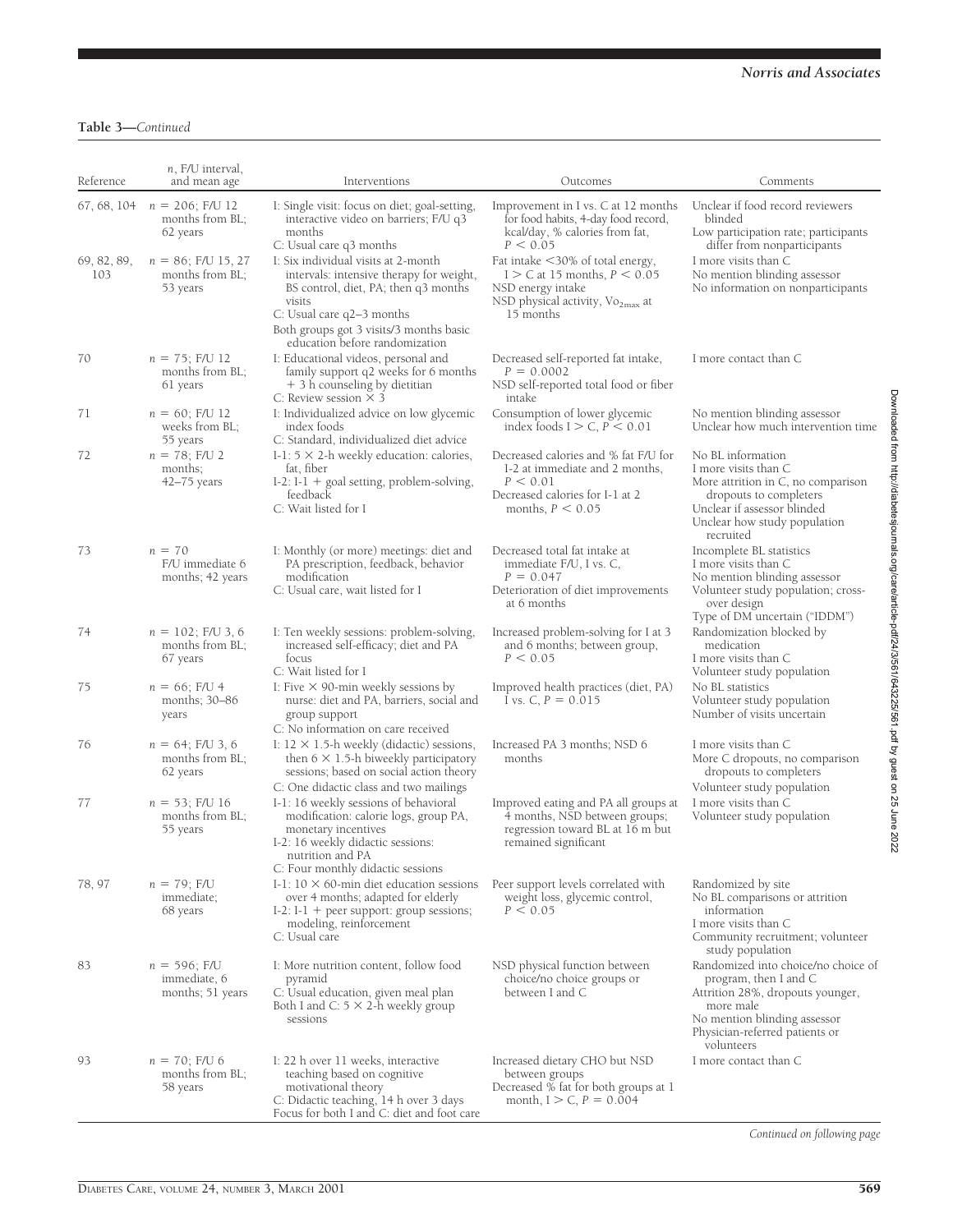#### **Table 3—***Continued*

| Reference          | n, F/U interval,<br>and mean age                     | Interventions                                                                                                                                                                                                                               | Outcomes                                                                                                                                                   | Comments                                                                                                                                                                                      |
|--------------------|------------------------------------------------------|---------------------------------------------------------------------------------------------------------------------------------------------------------------------------------------------------------------------------------------------|------------------------------------------------------------------------------------------------------------------------------------------------------------|-----------------------------------------------------------------------------------------------------------------------------------------------------------------------------------------------|
| 67, 68, 104        | $n = 206$ ; F/U 12<br>months from BL:<br>62 years    | I: Single visit: focus on diet; goal-setting,<br>interactive video on barriers; F/U q3<br>months<br>C: Usual care q3 months                                                                                                                 | Improvement in I vs. C at 12 months<br>for food habits, 4-day food record,<br>kcal/day, % calories from fat,<br>P < 0.05                                   | Unclear if food record reviewers<br>blinded<br>Low participation rate; participants<br>differ from nonparticipants                                                                            |
| 69, 82, 89,<br>103 | $n = 86$ ; F/U 15, 27<br>months from BL;<br>53 years | I: Six individual visits at 2-month<br>intervals: intensive therapy for weight,<br>BS control, diet, PA; then q3 months<br>visits<br>C: Usual care q2-3 months<br>Both groups got 3 visits/3 months basic<br>education before randomization | Fat intake $\leq$ 30% of total energy,<br>I > C at 15 months, $P < 0.05$<br>NSD energy intake<br>NSD physical activity, Vo <sub>2max</sub> at<br>15 months | I more visits than C<br>No mention blinding assessor<br>No information on nonparticipants                                                                                                     |
| 70                 | $n = 75$ ; F/U 12<br>months from BL;<br>61 years     | I: Educational videos, personal and<br>family support q2 weeks for 6 months<br>+ 3 h counseling by dietitian<br>C: Review session $\times$ 3                                                                                                | Decreased self-reported fat intake,<br>$P = 0.0002$<br>NSD self-reported total food or fiber<br>intake                                                     | I more contact than C                                                                                                                                                                         |
| 71                 | $n = 60$ ; F/U 12<br>weeks from BL;<br>55 years      | I: Individualized advice on low glycemic<br>index foods<br>C: Standard, individualized diet advice                                                                                                                                          | Consumption of lower glycemic<br>index foods $I > C$ , $P < 0.01$                                                                                          | No mention blinding assessor<br>Unclear how much intervention time                                                                                                                            |
| 72                 | $n = 78$ ; F/U 2<br>months;<br>$42 - 75$ years       | I-1: $5 \times 2$ -h weekly education: calories,<br>fat, fiber<br>I-2: I-1 $+$ goal setting, problem-solving,<br>feedback<br>C: Wait listed for I                                                                                           | Decreased calories and % fat F/U for<br>I-2 at immediate and 2 months,<br>P < 0.01<br>Decreased calories for I-1 at 2<br>months, $P < 0.05$                | No BL information<br>I more visits than C<br>More attrition in C, no comparison<br>dropouts to completers<br>Unclear if assessor blinded<br>Unclear how study population<br>recruited         |
| 73                 | $n = 70$<br>F/U immediate 6<br>months; 42 years      | I: Monthly (or more) meetings: diet and<br>PA prescription, feedback, behavior<br>modification<br>C: Usual care, wait listed for I                                                                                                          | Decreased total fat intake at<br>immediate F/U, I vs. C,<br>$P = 0.047$<br>Deterioration of diet improvements<br>at 6 months                               | Incomplete BL statistics<br>I more visits than C<br>No mention blinding assessor<br>Volunteer study population; cross-<br>over design<br>Type of DM uncertain ("IDDM")                        |
| 74                 | $n = 102$ ; F/U 3, 6<br>months from BL;<br>67 years  | I: Ten weekly sessions: problem-solving,<br>increased self-efficacy; diet and PA<br>focus<br>C: Wait listed for I                                                                                                                           | Increased problem-solving for I at 3<br>and 6 months; between group,<br>P < 0.05                                                                           | Randomization blocked by<br>medication<br>I more visits than C<br>Volunteer study population                                                                                                  |
| 75                 | $n = 66$ ; F/U 4<br>months; 30-86<br>years           | I: Five $\times$ 90-min weekly sessions by<br>nurse: diet and PA, barriers, social and<br>group support<br>C: No information on care received                                                                                               | Improved health practices (diet, PA)<br>I vs. C, $P = 0.015$                                                                                               | No BL statistics<br>Volunteer study population<br>Number of visits uncertain                                                                                                                  |
| 76                 | $n = 64$ ; F/U 3, 6<br>months from BL;<br>62 years   | I: $12 \times 1.5$ -h weekly (didactic) sessions,<br>then $6 \times 1.5$ -h biweekly participatory<br>sessions; based on social action theory<br>C: One didactic class and two mailings                                                     | Increased PA 3 months; NSD 6<br>months                                                                                                                     | I more visits than C<br>More C dropouts, no comparison<br>dropouts to completers<br>Volunteer study population                                                                                |
| 77                 | $n = 53$ ; F/U 16<br>months from BL;<br>55 years     | I-1: 16 weekly sessions of behavioral<br>modification: calorie logs, group PA,<br>monetary incentives<br>I-2: 16 weekly didactic sessions:<br>nutrition and PA<br>C: Four monthly didactic sessions                                         | Improved eating and PA all groups at<br>4 months, NSD between groups;<br>regression toward BL at 16 m but<br>remained significant                          | I more visits than C<br>Volunteer study population                                                                                                                                            |
| 78, 97             | $n = 79$ ; F/U<br>immediate;<br>68 years             | I-1: $10 \times 60$ -min diet education sessions<br>over 4 months; adapted for elderly<br>$I-2$ : $I-1$ + peer support: group sessions;<br>modeling, reinforcement<br>C: Usual care                                                         | Peer support levels correlated with<br>weight loss, glycemic control,<br>P < 0.05                                                                          | Randomized by site<br>No BL comparisons or attrition<br>information<br>I more visits than C<br>Community recruitment; volunteer<br>study population                                           |
| 83                 | $n = 596$ ; F/U<br>immediate, 6<br>months; 51 years  | I: More nutrition content, follow food<br>pyramid<br>C: Usual education, given meal plan<br>Both I and C: $5 \times 2$ -h weekly group<br>sessions                                                                                          | NSD physical function between<br>choice/no choice groups or<br>between I and C                                                                             | Randomized into choice/no choice of<br>program, then I and C<br>Attrition 28%, dropouts younger,<br>more male<br>No mention blinding assessor<br>Physician-referred patients or<br>volunteers |
| 93                 | $n = 70$ ; F/U 6<br>months from BL;<br>58 years      | I: 22 h over 11 weeks, interactive<br>teaching based on cognitive<br>motivational theory<br>C: Didactic teaching, 14 h over 3 days<br>Focus for both I and C: diet and foot care                                                            | Increased dietary CHO but NSD<br>between groups<br>Decreased % fat for both groups at 1<br>month, $I > C$ , $P = 0.004$                                    | I more contact than C                                                                                                                                                                         |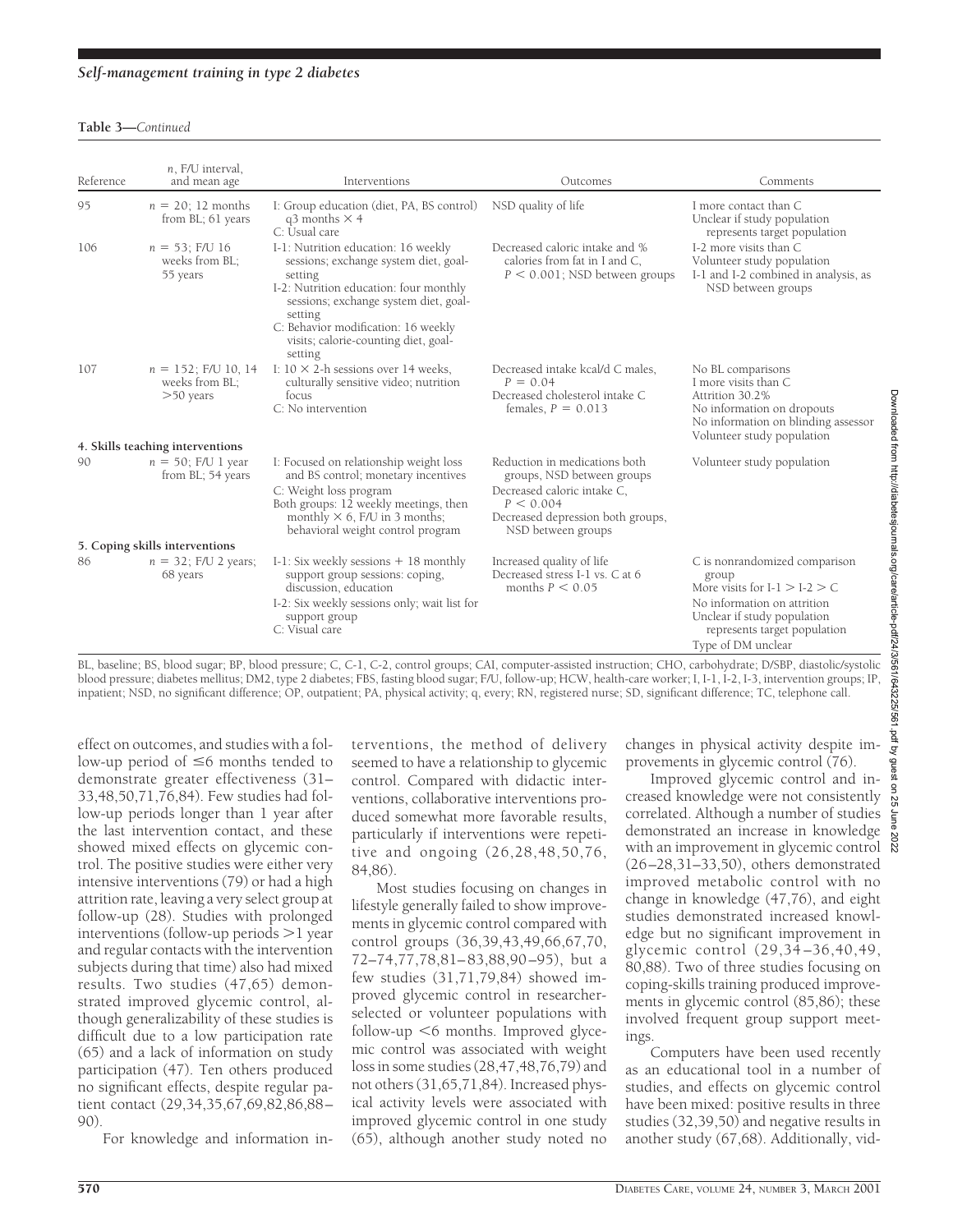#### **Table 3—***Continued*

| Reference | n, F/U interval,<br>and mean age                        | Interventions                                                                                                                                                                                                                                                                   | Outcomes                                                                                                                                                           | Comments                                                                                                                                                                                      |
|-----------|---------------------------------------------------------|---------------------------------------------------------------------------------------------------------------------------------------------------------------------------------------------------------------------------------------------------------------------------------|--------------------------------------------------------------------------------------------------------------------------------------------------------------------|-----------------------------------------------------------------------------------------------------------------------------------------------------------------------------------------------|
| 95        | $n = 20$ ; 12 months<br>from BL; 61 years               | I: Group education (diet, PA, BS control)<br>$q3$ months $\times$ 4<br>C: Usual care                                                                                                                                                                                            | NSD quality of life                                                                                                                                                | I more contact than C<br>Unclear if study population<br>represents target population                                                                                                          |
| 106       | $n = 53$ ; F/U 16<br>weeks from BL:<br>55 years         | I-1: Nutrition education: 16 weekly<br>sessions; exchange system diet, goal-<br>setting<br>I-2: Nutrition education: four monthly<br>sessions; exchange system diet, goal-<br>setting<br>C: Behavior modification: 16 weekly<br>visits; calorie-counting diet, goal-<br>setting | Decreased caloric intake and %<br>calories from fat in I and C.<br>$P < 0.001$ ; NSD between groups                                                                | I-2 more visits than C<br>Volunteer study population<br>I-1 and I-2 combined in analysis, as<br>NSD between groups                                                                            |
| 107       | $n = 152$ ; F/U 10, 14<br>weeks from BL:<br>$>50$ years | I: $10 \times 2$ -h sessions over 14 weeks,<br>culturally sensitive video; nutrition<br>focus<br>C: No intervention                                                                                                                                                             | Decreased intake kcal/d C males,<br>$P = 0.04$<br>Decreased cholesterol intake C<br>females, $P = 0.013$                                                           | No BL comparisons<br>I more visits than C<br>Attrition 30.2%<br>No information on dropouts<br>No information on blinding assessor<br>Volunteer study population                               |
|           | 4. Skills teaching interventions                        |                                                                                                                                                                                                                                                                                 |                                                                                                                                                                    |                                                                                                                                                                                               |
| 90        | $n = 50$ ; F/U 1 year<br>from BL; 54 years              | I: Focused on relationship weight loss<br>and BS control; monetary incentives<br>C: Weight loss program<br>Both groups: 12 weekly meetings, then<br>monthly $\times$ 6, F/U in 3 months;<br>behavioral weight control program                                                   | Reduction in medications both<br>groups, NSD between groups<br>Decreased caloric intake C.<br>P < 0.004<br>Decreased depression both groups,<br>NSD between groups | Volunteer study population                                                                                                                                                                    |
|           | 5. Coping skills interventions                          |                                                                                                                                                                                                                                                                                 |                                                                                                                                                                    |                                                                                                                                                                                               |
| 86        | $n = 32$ ; F/U 2 years;<br>68 years                     | I-1: Six weekly sessions $+$ 18 monthly<br>support group sessions: coping,<br>discussion, education<br>I-2: Six weekly sessions only; wait list for<br>support group<br>C: Visual care                                                                                          | Increased quality of life<br>Decreased stress I-1 vs. C at 6<br>months $P < 0.05$                                                                                  | C is nonrandomized comparison<br>group<br>More visits for $I-1 > I-2 > C$<br>No information on attrition<br>Unclear if study population<br>represents target population<br>Type of DM unclear |

BL, baseline; BS, blood sugar; BP, blood pressure; C, C-1, C-2, control groups; CAI, computer-assisted instruction; CHO, carbohydrate; D/SBP, diastolic/systolic blood pressure; diabetes mellitus; DM2, type 2 diabetes; FBS, fasting blood sugar; F/U, follow-up; HCW, health-care worker; I, I-1, I-2, I-3, intervention groups; IP, inpatient; NSD, no significant difference; OP, outpatient; PA, physical activity; q, every; RN, registered nurse; SD, significant difference; TC, telephone call.

effect on outcomes, and studies with a follow-up period of  $\leq 6$  months tended to demonstrate greater effectiveness (31– 33,48,50,71,76,84). Few studies had follow-up periods longer than 1 year after the last intervention contact, and these showed mixed effects on glycemic control. The positive studies were either very intensive interventions (79) or had a high attrition rate, leaving a very select group at follow-up (28). Studies with prolonged interventions (follow-up periods  $>1$  year and regular contacts with the intervention subjects during that time) also had mixed results. Two studies (47,65) demonstrated improved glycemic control, although generalizability of these studies is difficult due to a low participation rate (65) and a lack of information on study participation (47). Ten others produced no significant effects, despite regular patient contact (29,34,35,67,69,82,86,88– 90).

For knowledge and information in-

terventions, the method of delivery seemed to have a relationship to glycemic control. Compared with didactic interventions, collaborative interventions produced somewhat more favorable results, particularly if interventions were repetitive and ongoing (26,28,48,50,76, 84,86).

Most studies focusing on changes in lifestyle generally failed to show improvements in glycemic control compared with control groups (36,39,43,49,66,67,70, 72–74,77,78,81–83,88,90–95), but a few studies (31,71,79,84) showed improved glycemic control in researcherselected or volunteer populations with follow-up  $<6$  months. Improved glycemic control was associated with weight loss in some studies (28,47,48,76,79) and not others (31,65,71,84). Increased physical activity levels were associated with improved glycemic control in one study (65), although another study noted no

changes in physical activity despite improvements in glycemic control (76).

Improved glycemic control and increased knowledge were not consistently correlated. Although a number of studies demonstrated an increase in knowledge with an improvement in glycemic control (26–28,31–33,50), others demonstrated improved metabolic control with no change in knowledge (47,76), and eight studies demonstrated increased knowledge but no significant improvement in glycemic control (29,34–36,40,49, 80,88). Two of three studies focusing on coping-skills training produced improvements in glycemic control (85,86); these involved frequent group support meetings.

Computers have been used recently as an educational tool in a number of studies, and effects on glycemic control have been mixed: positive results in three studies (32,39,50) and negative results in another study (67,68). Additionally, vid-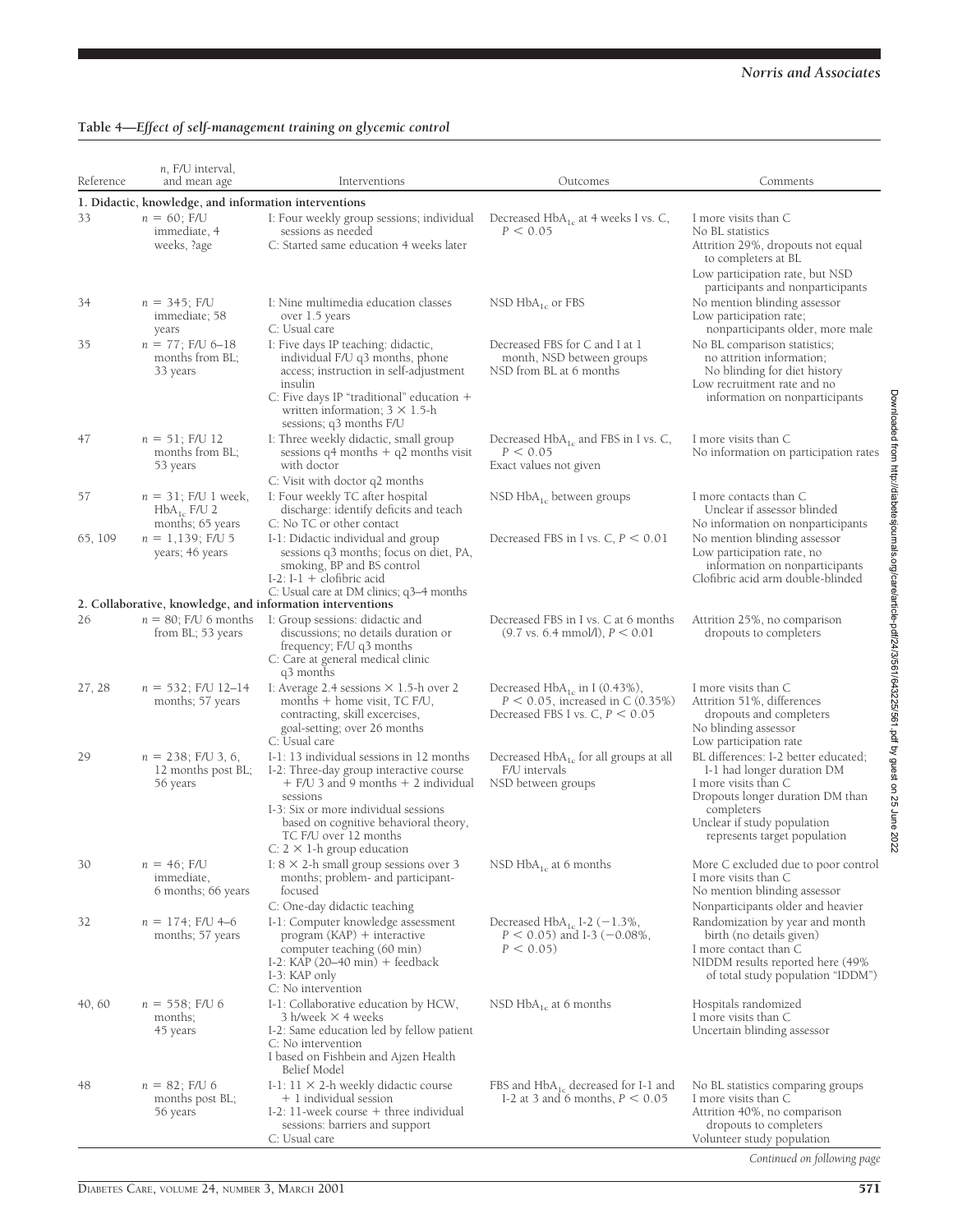## **Table 4—***Effect of self-management training on glycemic control*

| Reference | n, F/U interval,<br>and mean age                               | Interventions                                                                                                                                                                                                                                                                          | Outcomes                                                                                                       | Comments                                                                                                                                                                                                                                                                                                                     |
|-----------|----------------------------------------------------------------|----------------------------------------------------------------------------------------------------------------------------------------------------------------------------------------------------------------------------------------------------------------------------------------|----------------------------------------------------------------------------------------------------------------|------------------------------------------------------------------------------------------------------------------------------------------------------------------------------------------------------------------------------------------------------------------------------------------------------------------------------|
|           | 1. Didactic, knowledge, and information interventions          |                                                                                                                                                                                                                                                                                        |                                                                                                                |                                                                                                                                                                                                                                                                                                                              |
| 33        | $n = 60$ ; F/U<br>immediate, 4<br>weeks, ?age                  | I: Four weekly group sessions; individual<br>sessions as needed<br>C: Started same education 4 weeks later                                                                                                                                                                             | Decreased $HbA_{1c}$ at 4 weeks I vs. C,<br>P < 0.05                                                           | I more visits than C<br>No BL statistics<br>Attrition 29%, dropouts not equal<br>to completers at BL<br>Low participation rate, but NSD                                                                                                                                                                                      |
| 34        | $n = 345$ ; F/U<br>immediate; 58<br>years                      | I: Nine multimedia education classes<br>over 1.5 years<br>C: Usual care                                                                                                                                                                                                                | NSD $HbA_{1c}$ or FBS                                                                                          | participants and nonparticipants<br>No mention blinding assessor<br>Low participation rate;<br>nonparticipants older, more male                                                                                                                                                                                              |
| 35        | $n = 77$ ; F/U 6-18<br>months from BL;<br>33 years             | I: Five days IP teaching: didactic,<br>individual F/U q3 months, phone<br>access; instruction in self-adjustment<br>insulin<br>C: Five days IP "traditional" education $+$<br>written information; $3 \times 1.5$ -h<br>sessions; q3 months F/U                                        | Decreased FBS for C and I at 1<br>month, NSD between groups<br>NSD from BL at 6 months                         | No BL comparison statistics;<br>no attrition information;<br>No blinding for diet history<br>Low recruitment rate and no<br>information on nonparticipants                                                                                                                                                                   |
| 47        | $n = 51$ ; F/U 12<br>months from BL;<br>53 years               | I: Three weekly didactic, small group<br>sessions $q4$ months $+$ $q2$ months visit<br>with doctor<br>C: Visit with doctor q2 months                                                                                                                                                   | Decreased $HbA_{1c}$ and FBS in I vs. C,<br>P < 0.05<br>Exact values not given                                 | I more visits than C<br>No information on participation rates                                                                                                                                                                                                                                                                |
| 57        | $n = 31$ ; F/U 1 week,<br>$HbA_{1c}$ F/U 2<br>months; 65 years | I: Four weekly TC after hospital<br>discharge: identify deficits and teach<br>C: No TC or other contact                                                                                                                                                                                | NSD $HbA_{1c}$ between groups                                                                                  | I more contacts than C<br>Unclear if assessor blinded<br>No information on nonparticipants                                                                                                                                                                                                                                   |
| 65, 109   | $n = 1,139$ ; F/U 5<br>years; 46 years                         | I-1: Didactic individual and group<br>sessions q3 months; focus on diet, PA,<br>smoking, BP and BS control<br>$I-2$ : $I-1 +$ clofibric acid<br>C: Usual care at DM clinics; q3-4 months                                                                                               | Decreased FBS in I vs. C, $P < 0.01$                                                                           | No mention blinding assessor<br>Low participation rate, no<br>information on nonparticipants<br>Clofibric acid arm double-blinded                                                                                                                                                                                            |
|           |                                                                | 2. Collaborative, knowledge, and information interventions                                                                                                                                                                                                                             |                                                                                                                |                                                                                                                                                                                                                                                                                                                              |
| 26        | $n = 80$ ; F/U 6 months<br>from BL; 53 years                   | I: Group sessions: didactic and<br>discussions; no details duration or<br>frequency; F/U q3 months<br>C: Care at general medical clinic<br>q3 months                                                                                                                                   | Decreased FBS in I vs. C at 6 months<br>$(9.7 \text{ vs. } 6.4 \text{ mmol/l}), P \leq 0.01$                   | Attrition 25%, no comparison<br>dropouts to completers                                                                                                                                                                                                                                                                       |
| 27, 28    | $n = 532$ ; F/U 12-14<br>months; 57 years                      | I: Average 2.4 sessions $\times$ 1.5-h over 2<br>months $+$ home visit, TC F/U,<br>contracting, skill excercises,<br>goal-setting; over 26 months<br>C: Usual care                                                                                                                     | Decreased $HbA_{1c}$ in I (0.43%),<br>$P < 0.05$ , increased in C (0.35%)<br>Decreased FBS I vs. C, $P < 0.05$ | I more visits than C<br>Attrition 51%, differences<br>dropouts and completers<br>No blinding assessor<br>Low participation rate                                                                                                                                                                                              |
| 29        | $n = 238$ ; F/U 3, 6,<br>12 months post BL;<br>56 years        | I-1: 13 individual sessions in 12 months<br>I-2: Three-day group interactive course<br>+ F/U 3 and 9 months + 2 individual<br>sessions<br>I-3: Six or more individual sessions<br>based on cognitive behavioral theory,<br>TC F/U over 12 months<br>C: $2 \times 1$ -h group education | Decreased HbA <sub>1c</sub> for all groups at all<br>F/U intervals<br>NSD between groups                       | Downloaded from http://diabetesjournals.org/care/article-pdf/24/3/561/643225/561.pdf by guest on 25 June 2022<br>BL differences: I-2 better educated;<br>I-1 had longer duration DM<br>I more visits than C<br>Dropouts longer duration DM than<br>completers<br>Unclear if study population<br>represents target population |
| 30        | $n = 46$ ; F/U<br>immediate,<br>6 months; 66 years             | I: $8 \times 2$ -h small group sessions over 3<br>months; problem- and participant-<br>focused<br>C: One-day didactic teaching                                                                                                                                                         | NSD $HbA_{1c}$ at 6 months                                                                                     | More C excluded due to poor control<br>I more visits than C<br>No mention blinding assessor<br>Nonparticipants older and heavier                                                                                                                                                                                             |
| 32        | $n = 174$ ; F/U 4-6<br>months; 57 years                        | I-1: Computer knowledge assessment<br>$program (KAP) + interactive$<br>computer teaching (60 min)<br>I-2: KAP $(20-40 \text{ min})$ + feedback<br>I-3: KAP only<br>C: No intervention                                                                                                  | Decreased $HbA_{1c}$ I-2 (-1.3%,<br>$P < 0.05$ ) and I-3 (-0.08%,<br>$P < 0.05$ )                              | Randomization by year and month<br>birth (no details given)<br>I more contact than C<br>NIDDM results reported here (49%<br>of total study population "IDDM")                                                                                                                                                                |
| 40,60     | $n = 558$ ; F/U 6<br>months:<br>45 years                       | I-1: Collaborative education by HCW,<br>3 h/week $\times$ 4 weeks<br>I-2: Same education led by fellow patient<br>C: No intervention<br>I based on Fishbein and Ajzen Health<br>Belief Model                                                                                           | NSD $HbA_{1c}$ at 6 months                                                                                     | Hospitals randomized<br>I more visits than C<br>Uncertain blinding assessor                                                                                                                                                                                                                                                  |
| 48        | $n = 82$ ; F/U 6<br>months post BL;<br>56 years                | I-1: $11 \times 2$ -h weekly didactic course<br>+ 1 individual session<br>$I-2: 11$ -week course $+$ three individual<br>sessions: barriers and support<br>C: Usual care                                                                                                               | FBS and $\text{HbA}_{1c}$ decreased for I-1 and<br>I-2 at 3 and 6 months, $P < 0.05$                           | No BL statistics comparing groups<br>I more visits than C<br>Attrition 40%, no comparison<br>dropouts to completers<br>Volunteer study population                                                                                                                                                                            |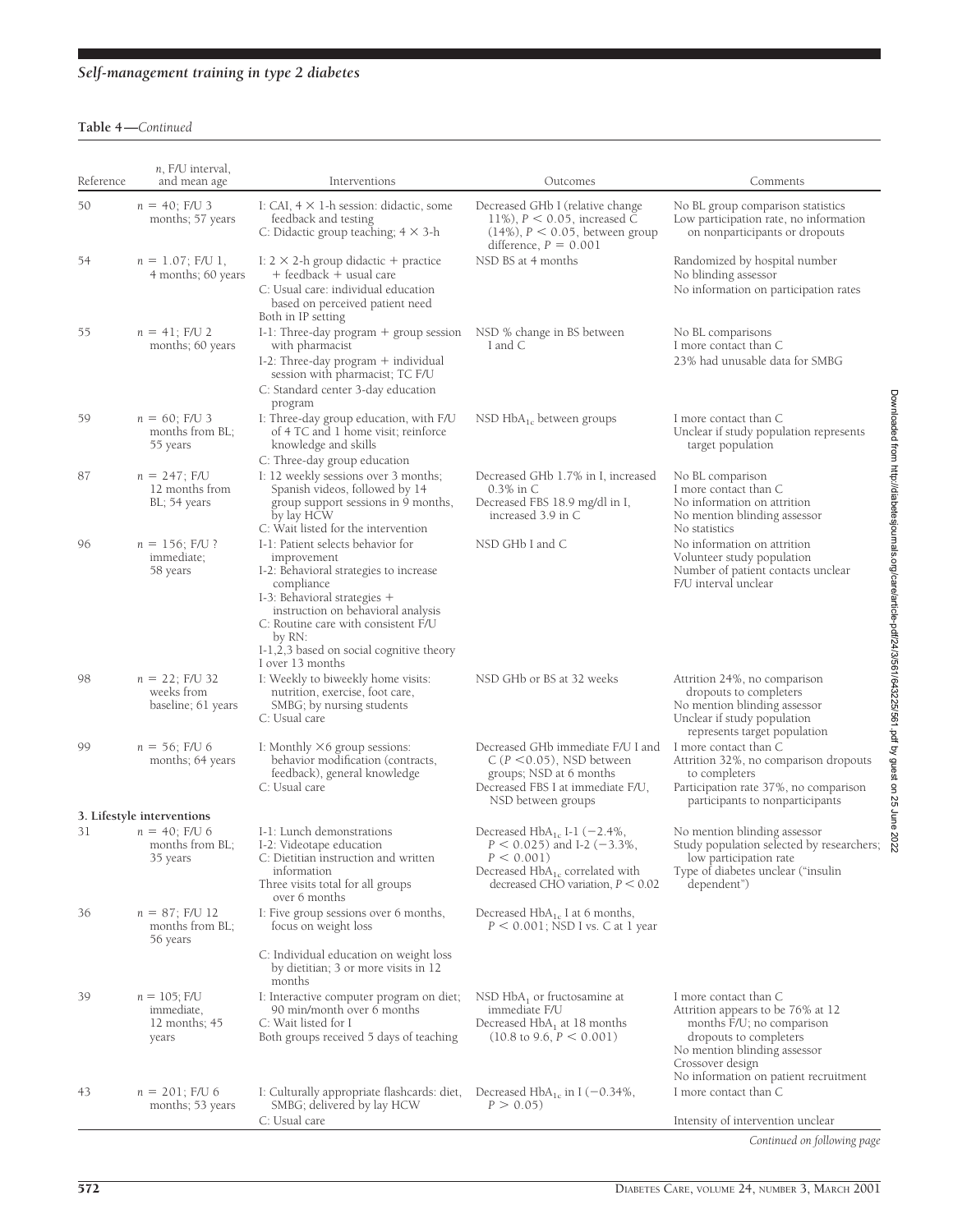## **Table 4—***Continued*

| Reference | n, F/U interval,<br>and mean age                            | Interventions                                                                                                                                                                                                                                                                                   | Outcomes                                                                                                                                                          | Comments                                                                                                                                                                                                       |
|-----------|-------------------------------------------------------------|-------------------------------------------------------------------------------------------------------------------------------------------------------------------------------------------------------------------------------------------------------------------------------------------------|-------------------------------------------------------------------------------------------------------------------------------------------------------------------|----------------------------------------------------------------------------------------------------------------------------------------------------------------------------------------------------------------|
| 50        | $n = 40$ ; F/U 3<br>months; 57 years                        | I: CAI, $4 \times 1$ -h session: didactic, some<br>feedback and testing<br>C: Didactic group teaching; $4 \times 3$ -h                                                                                                                                                                          | Decreased GHb I (relative change<br>11%), $P < 0.05$ , increased C<br>$(14\%)$ , $P < 0.05$ , between group<br>difference, $P = 0.001$                            | No BL group comparison statistics<br>Low participation rate, no information<br>on nonparticipants or dropouts                                                                                                  |
| 54        | $n = 1.07$ ; F/U 1,<br>4 months; 60 years                   | I: $2 \times 2$ -h group didactic + practice<br>+ feedback + usual care<br>C: Usual care: individual education<br>based on perceived patient need                                                                                                                                               | NSD BS at 4 months                                                                                                                                                | Randomized by hospital number<br>No blinding assessor<br>No information on participation rates                                                                                                                 |
| 55        | $n = 41$ ; F/U 2<br>months; 60 years                        | Both in IP setting<br>I-1: Three-day program + group session<br>with pharmacist<br>I-2: Three-day program + individual<br>session with pharmacist; TC F/U<br>C: Standard center 3-day education                                                                                                 | NSD % change in BS between<br>I and C                                                                                                                             | No BL comparisons<br>I more contact than C<br>23% had unusable data for SMBG                                                                                                                                   |
| 59        | $n = 60$ ; F/U 3<br>months from BL;<br>55 years             | program<br>I: Three-day group education, with F/U<br>of 4 TC and 1 home visit; reinforce<br>knowledge and skills<br>C: Three-day group education                                                                                                                                                | NSD $HbA_{1c}$ between groups                                                                                                                                     | I more contact than C<br>Unclear if study population represents<br>target population                                                                                                                           |
| 87        | $n = 247$ ; F/U<br>12 months from<br>BL; 54 years           | I: 12 weekly sessions over 3 months;<br>Spanish videos, followed by 14<br>group support sessions in 9 months,<br>by lay HCW<br>C: Wait listed for the intervention                                                                                                                              | Decreased GHb 1.7% in I, increased<br>0.3% in C<br>Decreased FBS 18.9 mg/dl in I,<br>increased 3.9 in C                                                           | No BL comparison<br>I more contact than C<br>No information on attrition<br>No mention blinding assessor<br>No statistics                                                                                      |
| 96        | $n = 156$ ; F/U ?<br>immediate;<br>58 years                 | I-1: Patient selects behavior for<br>improvement<br>I-2: Behavioral strategies to increase<br>compliance<br>I-3: Behavioral strategies +<br>instruction on behavioral analysis<br>C: Routine care with consistent F/U<br>by RN:<br>I-1,2,3 based on social cognitive theory<br>I over 13 months | NSD GHb I and C                                                                                                                                                   | No information on attrition<br>Volunteer study population<br>Number of patient contacts unclear<br>F/U interval unclear                                                                                        |
| 98        | $n = 22$ ; F/U 32<br>weeks from<br>baseline; 61 years       | I: Weekly to biweekly home visits:<br>nutrition, exercise, foot care,<br>SMBG; by nursing students<br>C: Usual care                                                                                                                                                                             | NSD GHb or BS at 32 weeks                                                                                                                                         | Attrition 24%, no comparison<br>dropouts to completers<br>No mention blinding assessor<br>Unclear if study population<br>represents target population                                                          |
| 99        | $n = 56$ ; F/U 6<br>months; 64 years                        | I: Monthly $\times$ 6 group sessions:<br>behavior modification (contracts,<br>feedback), general knowledge<br>C: Usual care                                                                                                                                                                     | Decreased GHb immediate F/U I and<br>$C (P < 0.05)$ , NSD between<br>groups; NSD at 6 months<br>Decreased FBS I at immediate F/U,<br>NSD between groups           | I more contact than C<br>Attrition 32%, no comparison dropouts<br>to completers<br>Participation rate 37%, no comparison<br>participants to nonparticipants                                                    |
|           | 3. Lifestyle interventions                                  |                                                                                                                                                                                                                                                                                                 |                                                                                                                                                                   |                                                                                                                                                                                                                |
| 31        | $n = 40$ ; F/U 6<br>months from BL;<br>35 years             | I-1: Lunch demonstrations<br>I-2: Videotape education<br>C: Dietitian instruction and written<br>information<br>Three visits total for all groups<br>over 6 months                                                                                                                              | Decreased $HbA_{1c}$ I-1 (-2.4%,<br>$P < 0.025$ ) and I-2 (-3.3%,<br>$P < 0.001$ )<br>Decreased $HbA_{1c}$ correlated with<br>decreased CHO variation, $P < 0.02$ | No mention blinding assessor<br>Study population selected by researchers;<br>low participation rate<br>Type of diabetes unclear ("insulin<br>dependent")                                                       |
| 36        | $n = 87$ ; F/U 12<br>months from BL;<br>56 years            | I: Five group sessions over 6 months,<br>focus on weight loss<br>C: Individual education on weight loss<br>by dietitian; 3 or more visits in 12<br>months                                                                                                                                       | Decreased $HbA_{1c}$ I at 6 months,<br>$P < 0.001$ ; NSD I vs. C at 1 year                                                                                        |                                                                                                                                                                                                                |
| 39        | $n = 105$ ; F/U<br>immediate,<br>$12$ months; $45$<br>years | I: Interactive computer program on diet;<br>90 min/month over 6 months<br>C: Wait listed for I<br>Both groups received 5 days of teaching                                                                                                                                                       | NSD $HbA_1$ or fructosamine at<br>immediate F/U<br>Decreased $\rm HbA_1$ at 18 months<br>$(10.8 \text{ to } 9.6, P < 0.001)$                                      | I more contact than C<br>Attrition appears to be 76% at 12<br>months F/U; no comparison<br>dropouts to completers<br>No mention blinding assessor<br>Crossover design<br>No information on patient recruitment |
| 43        | $n = 201$ ; F/U 6<br>months; 53 years                       | I: Culturally appropriate flashcards: diet,<br>SMBG; delivered by lay HCW<br>C: Usual care                                                                                                                                                                                                      | Decreased $HbA_{1c}$ in I (-0.34%,<br>P > 0.05                                                                                                                    | I more contact than C<br>Intensity of intervention unclear                                                                                                                                                     |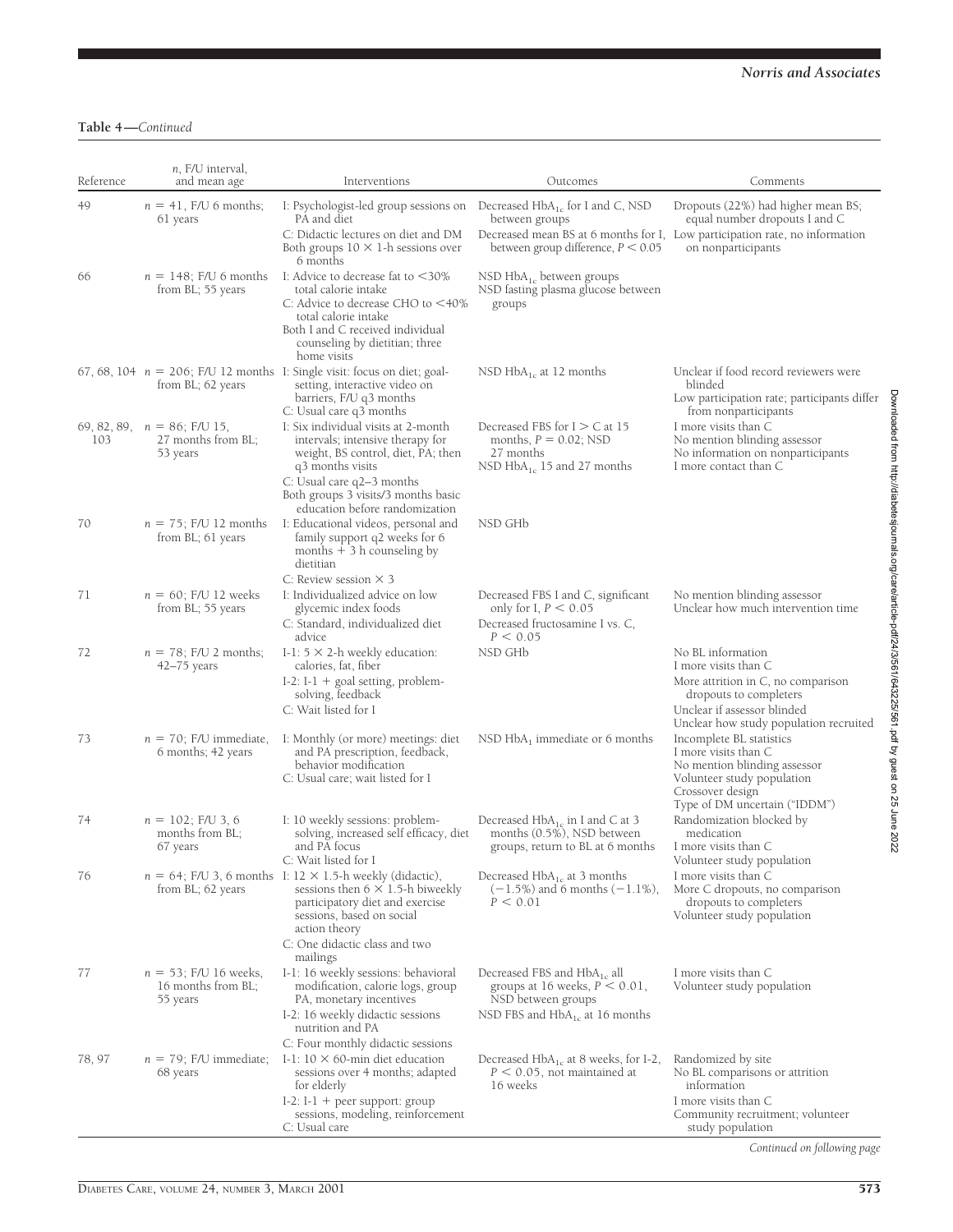#### *Norris and Associates*

#### **Table 4—***Continued*

| Reference | n, F/U interval,<br>and mean age                                 | Interventions                                                                                                                                                                                                                                | Outcomes                                                                                                                                   | Comments                                                                                                                                                                           |  |
|-----------|------------------------------------------------------------------|----------------------------------------------------------------------------------------------------------------------------------------------------------------------------------------------------------------------------------------------|--------------------------------------------------------------------------------------------------------------------------------------------|------------------------------------------------------------------------------------------------------------------------------------------------------------------------------------|--|
| 49        | $n = 41$ , F/U 6 months;<br>61 years                             | I: Psychologist-led group sessions on<br>PA and diet<br>C: Didactic lectures on diet and DM<br>Both groups $10 \times 1$ -h sessions over                                                                                                    | Decreased HbA <sub>1c</sub> for I and C, NSD<br>between groups<br>between group difference, $P < 0.05$                                     | Dropouts (22%) had higher mean BS;<br>equal number dropouts I and C<br>Decreased mean BS at 6 months for I, Low participation rate, no information<br>on nonparticipants           |  |
| 66        | $n = 148$ ; F/U 6 months<br>from BL; 55 years                    | 6 months<br>I: Advice to decrease fat to $<30\%$<br>total calorie intake<br>C: Advice to decrease CHO to $\leq 40\%$<br>total calorie intake<br>Both I and C received individual<br>counseling by dietitian; three<br>home visits            | NSD $HbA_{1c}$ between groups<br>NSD fasting plasma glucose between<br>groups                                                              |                                                                                                                                                                                    |  |
|           | from BL; 62 years                                                | 67, 68, 104 $n = 206$ ; F/U 12 months I: Single visit: focus on diet; goal-<br>setting, interactive video on<br>barriers, F/U q3 months<br>C: Usual care q3 months                                                                           | NSD $HbA_{1c}$ at 12 months                                                                                                                | Unclear if food record reviewers were<br>blinded<br>Low participation rate; participants differ<br>from nonparticipants                                                            |  |
| 103       | 69, 82, 89, $n = 86$ ; F/U 15,<br>27 months from BL;<br>53 years | I: Six individual visits at 2-month<br>intervals; intensive therapy for<br>weight, BS control, diet, PA; then<br>q3 months visits<br>C: Usual care q2-3 months<br>Both groups 3 visits/3 months basic                                        | Decreased FBS for $I > C$ at 15<br>months, $P = 0.02$ ; NSD<br>27 months<br>NSD $HbA_{1c}$ 15 and 27 months                                | I more visits than C<br>No mention blinding assessor<br>No information on nonparticipants<br>I more contact than C                                                                 |  |
| 70        | $n = 75$ ; F/U 12 months<br>from BL; 61 years                    | education before randomization<br>I: Educational videos, personal and<br>family support q2 weeks for 6<br>months $+3$ h counseling by<br>dietitian                                                                                           | NSD GH <sub>b</sub>                                                                                                                        |                                                                                                                                                                                    |  |
| 71        | $n = 60$ ; F/U 12 weeks<br>from BL; 55 years                     | C: Review session $\times$ 3<br>I: Individualized advice on low<br>glycemic index foods<br>C: Standard, individualized diet<br>advice                                                                                                        | Decreased FBS I and C, significant<br>only for I, $P < 0.05$<br>Decreased fructosamine I vs. C,<br>P < 0.05                                | No mention blinding assessor<br>Unclear how much intervention time                                                                                                                 |  |
| 72        | $n = 78$ ; F/U 2 months;<br>$42 - 75$ years                      | I-1: $5 \times 2$ -h weekly education:<br>calories, fat, fiber<br>I-2: I-1 $+$ goal setting, problem-<br>solving, feedback<br>C: Wait listed for I                                                                                           | NSD GHb                                                                                                                                    | No BL information<br>I more visits than C<br>More attrition in C, no comparison<br>dropouts to completers<br>Unclear if assessor blinded<br>Unclear how study population recruited |  |
| 73        | $n = 70$ ; F/U immediate,<br>6 months; 42 years                  | I: Monthly (or more) meetings: diet<br>and PA prescription, feedback,<br>behavior modification<br>C: Usual care; wait listed for I                                                                                                           | NSD $HbA_1$ immediate or 6 months                                                                                                          | Incomplete BL statistics<br>I more visits than C<br>No mention blinding assessor<br>Volunteer study population<br>Crossover design<br>Type of DM uncertain ("IDDM")                |  |
| 74        | $n = 102$ ; F/U 3, 6<br>months from BL;<br>67 years              | I: 10 weekly sessions: problem-<br>solving, increased self efficacy, diet<br>and PA focus<br>C: Wait listed for I                                                                                                                            | Decreased $HbA_{1c}$ in I and C at 3<br>months (0.5%), NSD between<br>groups, return to BL at 6 months                                     | Randomization blocked by<br>medication<br>I more visits than C<br>Volunteer study population                                                                                       |  |
| 76        | from BL; 62 years                                                | $n = 64$ ; F/U 3, 6 months I: 12 $\times$ 1.5-h weekly (didactic),<br>sessions then $6 \times 1.5$ -h biweekly<br>participatory diet and exercise<br>sessions, based on social<br>action theory<br>C: One didactic class and two<br>mailings | Decreased $HbA_{1c}$ at 3 months<br>$(-1.5\%)$ and 6 months $(-1.1\%).$<br>P < 0.01                                                        | I more visits than C<br>More C dropouts, no comparison<br>dropouts to completers<br>Volunteer study population                                                                     |  |
| 77        | $n = 53$ ; F/U 16 weeks,<br>16 months from BL;<br>55 years       | I-1: 16 weekly sessions: behavioral<br>modification, calorie logs, group<br>PA, monetary incentives<br>I-2: 16 weekly didactic sessions<br>nutrition and PA<br>C: Four monthly didactic sessions                                             | Decreased FBS and HbA <sub>1c</sub> all<br>groups at 16 weeks, $P \le 0.01$ ,<br>NSD between groups<br>NSD FBS and $HbA_{1c}$ at 16 months | I more visits than C<br>Volunteer study population                                                                                                                                 |  |
| 78, 97    | $n = 79$ ; F/U immediate;<br>68 years                            | I-1: $10 \times 60$ -min diet education<br>sessions over 4 months; adapted<br>for elderly<br>I-2: I-1 + peer support: group<br>sessions, modeling, reinforcement<br>C: Usual care                                                            | Decreased $HbA_{1c}$ at 8 weeks, for I-2,<br>$P < 0.05$ , not maintained at<br>16 weeks                                                    | Randomized by site<br>No BL comparisons or attrition<br>information<br>I more visits than C<br>Community recruitment; volunteer<br>study population                                |  |

Downloaded from http://diabetesjournals.org/care/article-pdf/24/3/561/643225/561,pdf by guest on 25 June 2022 Downloaded from http://diabetesjournals.org/care/article-pdf/24/3/561/643225/561.pdf by guest on 25 June 2022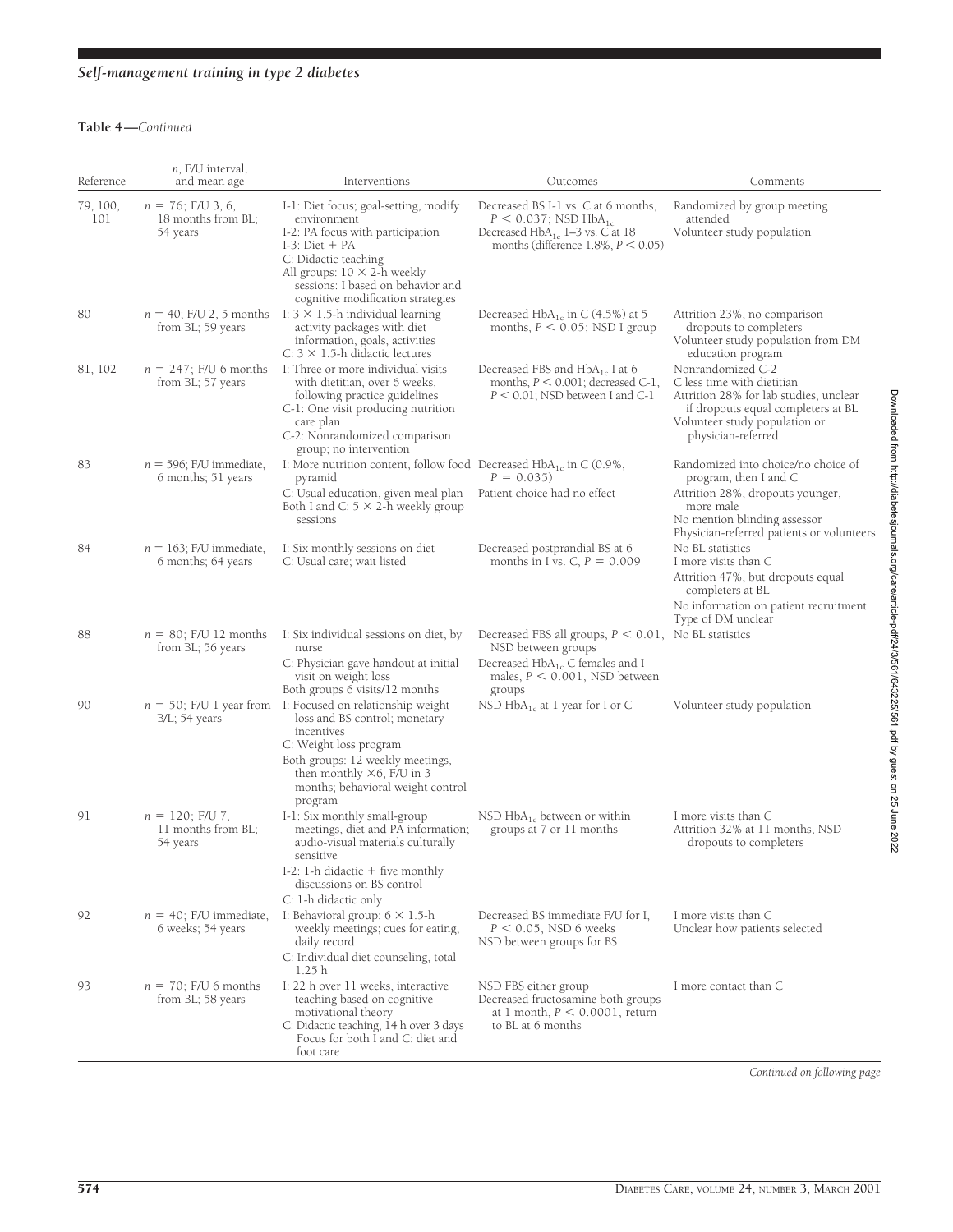## **Table 4—***Continued*

| Reference       | n, F/U interval,<br>and mean age                     | Interventions                                                                                                                                                                                                                                                  | Outcomes                                                                                                                                                                         | Comments                                                                                                                                                                               |
|-----------------|------------------------------------------------------|----------------------------------------------------------------------------------------------------------------------------------------------------------------------------------------------------------------------------------------------------------------|----------------------------------------------------------------------------------------------------------------------------------------------------------------------------------|----------------------------------------------------------------------------------------------------------------------------------------------------------------------------------------|
| 79, 100,<br>101 | $n = 76$ ; F/U 3, 6,<br>18 months from BL;           | I-1: Diet focus; goal-setting, modify<br>environment                                                                                                                                                                                                           | Decreased BS I-1 vs. C at 6 months,<br>$P < 0.037$ ; NSD $HbA_{1c}$                                                                                                              | Randomized by group meeting<br>attended                                                                                                                                                |
|                 | 54 years                                             | I-2: PA focus with participation<br>$I-3$ : Diet + PA<br>C: Didactic teaching<br>All groups: $10 \times 2$ -h weekly<br>sessions: I based on behavior and<br>cognitive modification strategies                                                                 | Decreased $HbA_{1c}$ 1–3 vs. C at 18<br>months (difference $1.8\%$ , $P < 0.05$ )                                                                                                | Volunteer study population                                                                                                                                                             |
| 80              | $n = 40$ ; F/U 2, 5 months<br>from BL; 59 years      | I: $3 \times 1.5$ -h individual learning<br>activity packages with diet<br>information, goals, activities<br>C: $3 \times 1.5$ -h didactic lectures                                                                                                            | Decreased $HbA_{1c}$ in C (4.5%) at 5<br>months, $P \leq 0.05$ ; NSD I group                                                                                                     | Attrition 23%, no comparison<br>dropouts to completers<br>Volunteer study population from DM<br>education program                                                                      |
| 81, 102         | $n = 247$ ; F/U 6 months<br>from BL; 57 years        | I: Three or more individual visits<br>with dietitian, over 6 weeks,<br>following practice guidelines<br>C-1: One visit producing nutrition<br>care plan<br>C-2: Nonrandomized comparison<br>group; no intervention                                             | Decreased FBS and HbA <sub>1c</sub> I at 6<br>months, $P \le 0.001$ ; decreased C-1,<br>$P < 0.01$ ; NSD between I and C-1                                                       | Nonrandomized C-2<br>C less time with dietitian<br>Attrition 28% for lab studies, unclear<br>if dropouts equal completers at BL<br>Volunteer study population or<br>physician-referred |
| 83              | $n = 596$ ; F/U immediate,<br>6 months; 51 years     | I: More nutrition content, follow food Decreased HbA <sub>1c</sub> in C (0.9%,<br>pyramid                                                                                                                                                                      | $P = 0.035$                                                                                                                                                                      | Randomized into choice/no choice of<br>program, then I and C                                                                                                                           |
|                 |                                                      | Patient choice had no effect<br>C: Usual education, given meal plan<br>Both I and C: $5 \times 2$ -h weekly group<br>sessions                                                                                                                                  |                                                                                                                                                                                  | Attrition 28%, dropouts younger,<br>more male<br>No mention blinding assessor<br>Physician-referred patients or volunteers                                                             |
| 84              | $n = 163$ ; F/U immediate,<br>6 months; 64 years     | I: Six monthly sessions on diet<br>C: Usual care; wait listed                                                                                                                                                                                                  | Decreased postprandial BS at 6<br>months in I vs. C, $P = 0.009$                                                                                                                 | No BL statistics<br>I more visits than C<br>Attrition 47%, but dropouts equal<br>completers at BL<br>No information on patient recruitment<br>Type of DM unclear                       |
| 88              | $n = 80$ ; F/U 12 months<br>from BL; 56 years        | I: Six individual sessions on diet, by<br>nurse<br>C: Physician gave handout at initial<br>visit on weight loss<br>Both groups 6 visits/12 months                                                                                                              | Decreased FBS all groups, $P \leq 0.01$ , No BL statistics<br>NSD between groups<br>Decreased HbA <sub>1c</sub> C females and I<br>males, $P \leq 0.001$ , NSD between<br>groups |                                                                                                                                                                                        |
| 90              | $B/L$ ; 54 years                                     | $n = 50$ ; F/U 1 year from I: Focused on relationship weight<br>loss and BS control; monetary<br>incentives<br>C: Weight loss program<br>Both groups: 12 weekly meetings,<br>then monthly $\times$ 6, F/U in 3<br>months; behavioral weight control<br>program | NSD $HbA_{1c}$ at 1 year for I or C                                                                                                                                              | Volunteer study population                                                                                                                                                             |
| 91              | $n = 120$ ; F/U 7,<br>11 months from BL;<br>54 years | I-1: Six monthly small-group<br>meetings, diet and PA information;<br>audio-visual materials culturally<br>sensitive<br>I-2: 1-h didactic $+$ five monthly<br>discussions on BS control<br>C: 1-h didactic only                                                | NSD $HbA_{1c}$ between or within<br>groups at 7 or 11 months                                                                                                                     | I more visits than C<br>Attrition 32% at 11 months, NSD<br>dropouts to completers                                                                                                      |
| 92              | $n = 40$ ; F/U immediate,<br>6 weeks; 54 years       | I: Behavioral group: $6 \times 1.5$ -h<br>weekly meetings; cues for eating,<br>daily record<br>C: Individual diet counseling, total                                                                                                                            | Decreased BS immediate F/U for I,<br>$P < 0.05$ , NSD 6 weeks<br>NSD between groups for BS                                                                                       | I more visits than C<br>Unclear how patients selected                                                                                                                                  |
| 93              | $n = 70$ ; F/U 6 months<br>from BL; 58 years         | 1.25h<br>I: 22 h over 11 weeks, interactive<br>teaching based on cognitive<br>motivational theory<br>C: Didactic teaching, 14 h over 3 days<br>Focus for both I and C: diet and<br>foot care                                                                   | NSD FBS either group<br>Decreased fructosamine both groups<br>at 1 month, $P < 0.0001$ , return<br>to BL at 6 months                                                             | I more contact than C                                                                                                                                                                  |

*Continued on following page*

Downloaded from http://diabetesjournals.org/care/article-pdf/24/3/561/643225/561.pdf by guest on 25 June 2022 Downloaded from http://diabetesjournals.org/care/article-pdf/24/3/561/643225/561.pdf by guest on 25 June 2022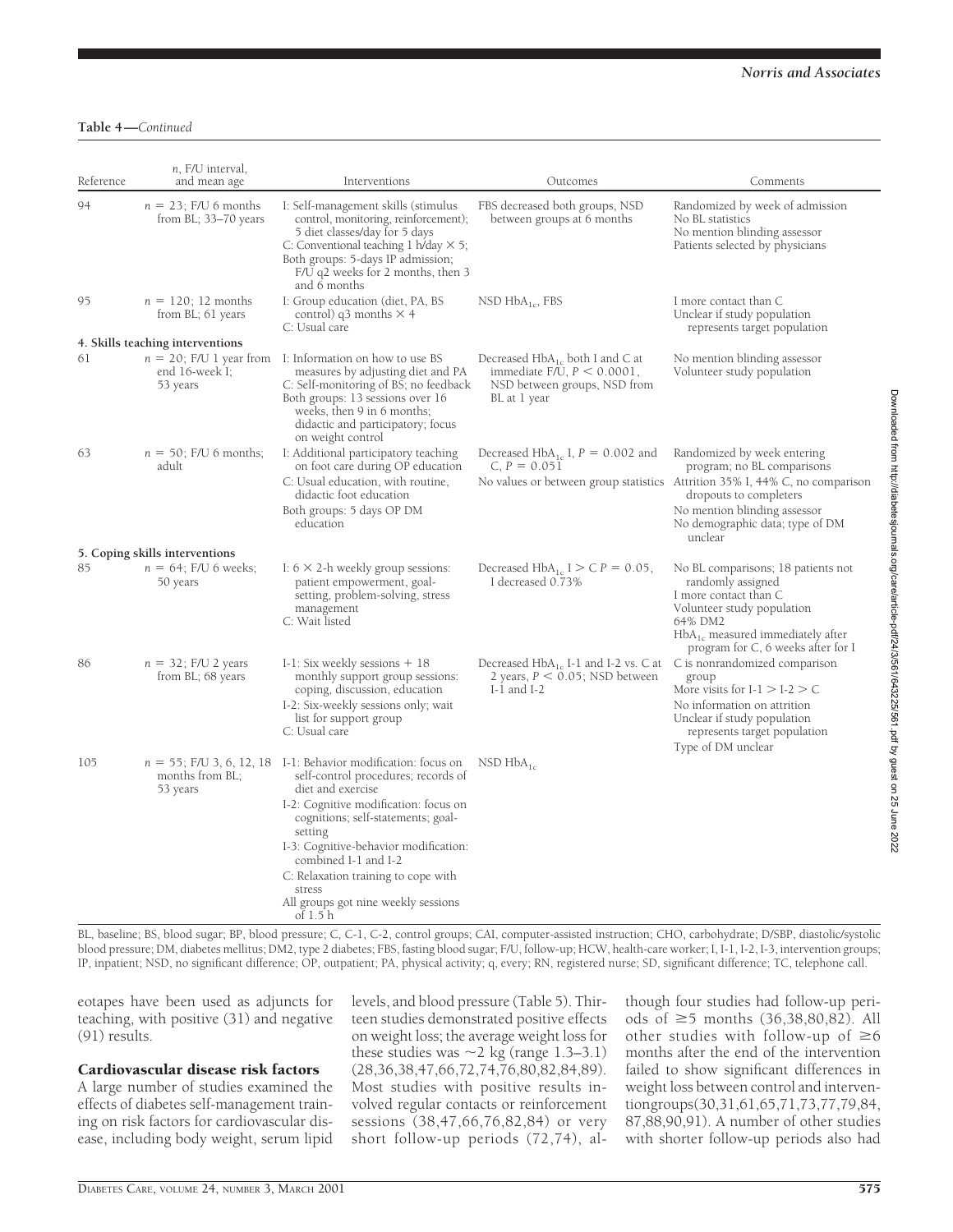#### **Table 4—***Continued*

| Reference | n, F/U interval,<br>and mean age                | Interventions                                                                                                                                                                                                                                                                                                                                                                               | Outcomes                                                                                                              | Comments                                                                                                                                                                                                                                         |
|-----------|-------------------------------------------------|---------------------------------------------------------------------------------------------------------------------------------------------------------------------------------------------------------------------------------------------------------------------------------------------------------------------------------------------------------------------------------------------|-----------------------------------------------------------------------------------------------------------------------|--------------------------------------------------------------------------------------------------------------------------------------------------------------------------------------------------------------------------------------------------|
| 94        | $n = 23$ ; F/U 6 months<br>from BL; 33-70 years | I: Self-management skills (stimulus<br>control, monitoring, reinforcement);<br>5 diet classes/day for 5 days<br>C: Conventional teaching 1 h/day $\times$ 5;<br>Both groups: 5-days IP admission;<br>F/U q2 weeks for 2 months, then 3<br>and 6 months                                                                                                                                      | FBS decreased both groups, NSD<br>between groups at 6 months                                                          | Randomized by week of admission<br>No BL statistics<br>No mention blinding assessor<br>Patients selected by physicians                                                                                                                           |
| 95        | $n = 120$ ; 12 months<br>from BL; 61 years      | I: Group education (diet, PA, BS<br>control) q3 months $\times$ 4<br>C: Usual care                                                                                                                                                                                                                                                                                                          | NSD $HbA_{1c}$ , FBS                                                                                                  | I more contact than C<br>Unclear if study population<br>represents target population                                                                                                                                                             |
|           | 4. Skills teaching interventions                |                                                                                                                                                                                                                                                                                                                                                                                             |                                                                                                                       |                                                                                                                                                                                                                                                  |
| 61        | end 16-week I;<br>53 years                      | $n = 20$ ; F/U 1 year from I: Information on how to use BS<br>measures by adjusting diet and PA<br>C: Self-monitoring of BS; no feedback<br>Both groups: 13 sessions over 16<br>weeks, then 9 in 6 months;<br>didactic and participatory; focus<br>on weight control                                                                                                                        | Decreased $HbA_{1c}$ both I and C at<br>immediate F/U, $P < 0.0001$ ,<br>NSD between groups, NSD from<br>BL at 1 year | No mention blinding assessor<br>Volunteer study population                                                                                                                                                                                       |
| 63        | $n = 50$ ; F/U 6 months;<br>adult               | I: Additional participatory teaching<br>on foot care during OP education<br>C: Usual education, with routine,<br>didactic foot education<br>Both groups: 5 days OP DM<br>education                                                                                                                                                                                                          | Decreased $HbA_{1c}$ I, $P = 0.002$ and<br>$C, P = 0.051$                                                             | Randomized by week entering<br>program; no BL comparisons<br>No values or between group statistics Attrition 35% I, 44% C, no comparison<br>dropouts to completers<br>No mention blinding assessor<br>No demographic data; type of DM<br>unclear |
|           | 5. Coping skills interventions                  |                                                                                                                                                                                                                                                                                                                                                                                             |                                                                                                                       |                                                                                                                                                                                                                                                  |
| 85        | $n = 64$ ; F/U 6 weeks;<br>50 years             | I: $6 \times 2$ -h weekly group sessions:<br>patient empowerment, goal-<br>setting, problem-solving, stress<br>management<br>C: Wait listed                                                                                                                                                                                                                                                 | Decreased HbA <sub>1c</sub> I > C P = 0.05,<br>I decreased 0.73%                                                      | No BL comparisons; 18 patients not<br>randomly assigned<br>I more contact than C<br>Volunteer study population<br>64% DM2<br>HbA <sub>1c</sub> measured immediately after<br>program for C, 6 weeks after for I                                  |
| 86        | $n = 32$ ; F/U 2 years<br>from BL; 68 years     | I-1: Six weekly sessions $+18$<br>monthly support group sessions:<br>coping, discussion, education<br>I-2: Six-weekly sessions only; wait<br>list for support group<br>C: Usual care                                                                                                                                                                                                        | Decreased $HbA_{1c}$ I-1 and I-2 vs. C at<br>2 years, $P < 0.05$ ; NSD between<br>$I-1$ and $I-2$                     | C is nonrandomized comparison<br>group<br>More visits for $I-1 > I-2 > C$<br>No information on attrition<br>Unclear if study population<br>represents target population<br>Type of DM unclear                                                    |
| 105       | months from BL;<br>53 years                     | $n = 55$ ; F/U 3, 6, 12, 18 I-1: Behavior modification: focus on<br>self-control procedures; records of<br>diet and exercise<br>I-2: Cognitive modification: focus on<br>cognitions; self-statements; goal-<br>setting<br>I-3: Cognitive-behavior modification:<br>combined I-1 and I-2<br>C: Relaxation training to cope with<br>stress<br>All groups got nine weekly sessions<br>of 1.5 h | $NSD HbA_{1c}$                                                                                                        |                                                                                                                                                                                                                                                  |

BL, baseline; BS, blood sugar; BP, blood pressure; C, C-1, C-2, control groups; CAI, computer-assisted instruction; CHO, carbohydrate; D/SBP, diastolic/systolic blood pressure; DM, diabetes mellitus; DM2, type 2 diabetes; FBS, fasting blood sugar; F/U, follow-up; HCW, health-care worker; I, I-1, I-2, I-3, intervention groups; IP, inpatient; NSD, no significant difference; OP, outpatient; PA, physical activity; q, every; RN, registered nurse; SD, significant difference; TC, telephone call.

eotapes have been used as adjuncts for teaching, with positive (31) and negative (91) results.

#### Cardiovascular disease risk factors

A large number of studies examined the effects of diabetes self-management training on risk factors for cardiovascular disease, including body weight, serum lipid levels, and blood pressure (Table 5). Thirteen studies demonstrated positive effects on weight loss; the average weight loss for these studies was  $\sim$ 2 kg (range 1.3–3.1) (28,36,38,47,66,72,74,76,80,82,84,89). Most studies with positive results involved regular contacts or reinforcement sessions (38,47,66,76,82,84) or very short follow-up periods (72,74), although four studies had follow-up periods of  $\ge 5$  months  $(36,38,80,82)$ . All other studies with follow-up of  $\geq 6$ months after the end of the intervention failed to show significant differences in weight loss between control and interventiongroups(30,31,61,65,71,73,77,79,84, 87,88,90,91). A number of other studies with shorter follow-up periods also had

Downloaded from http://diabetesjournals.org/care/article-pdf/24/3/561/643225/561.pdf by guest on 25 June 2022 Downloaded from http://diabetesjournals.org/care/article-pdf/24/3/561/643225/561.pdf by guest on 25 June 2022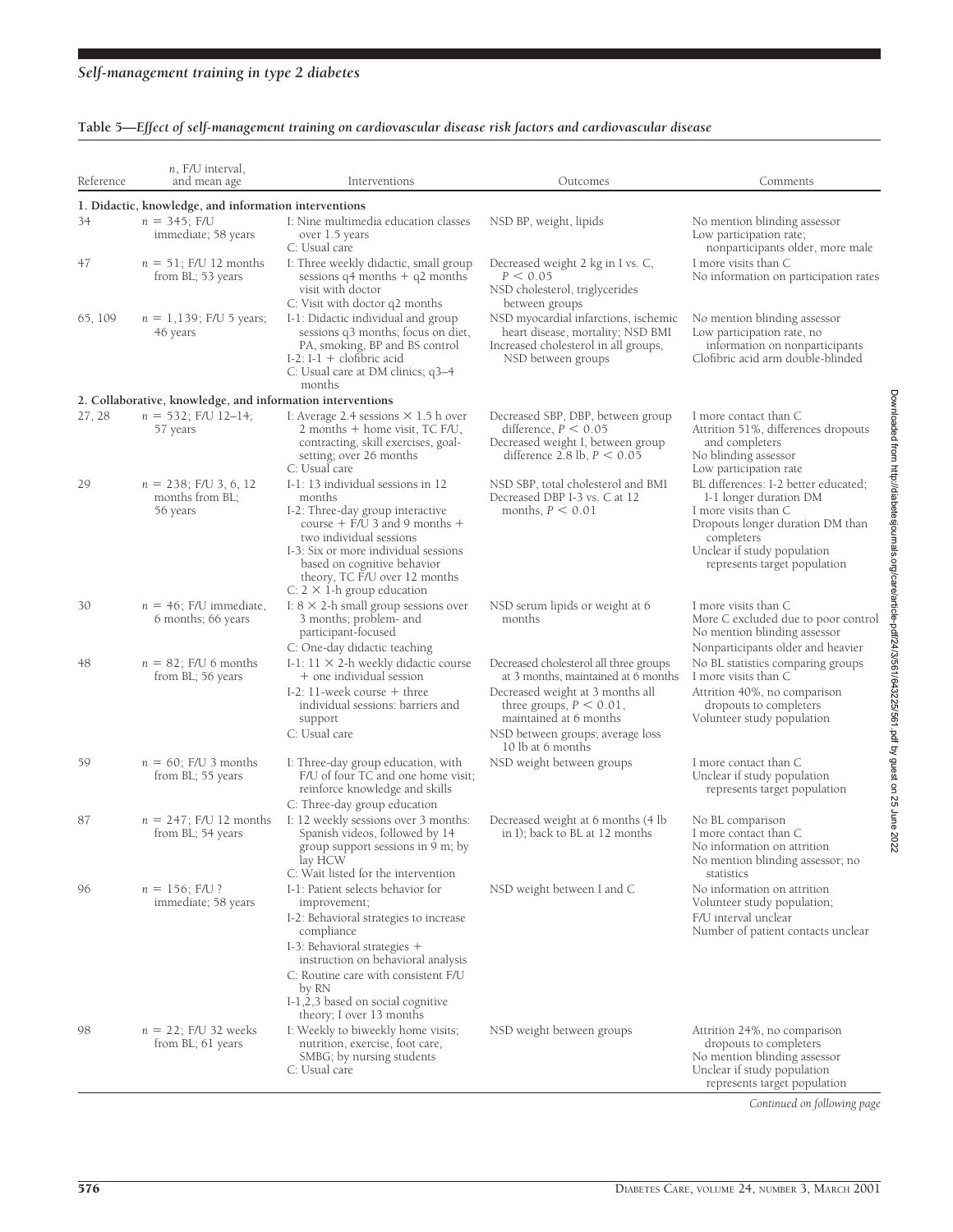|  |  | Table 5—Effect of self-management training on cardiovascular disease risk factors and cardiovascular disease |  |  |  |  |  |  |
|--|--|--------------------------------------------------------------------------------------------------------------|--|--|--|--|--|--|
|--|--|--------------------------------------------------------------------------------------------------------------|--|--|--|--|--|--|

| Reference | n. F/U interval,<br>and mean age                           | Interventions                                                                                                                                                                                                                                                                                    | Outcomes                                                                                                                                                                                                                              | Comments                                                                                                                                                                                                |
|-----------|------------------------------------------------------------|--------------------------------------------------------------------------------------------------------------------------------------------------------------------------------------------------------------------------------------------------------------------------------------------------|---------------------------------------------------------------------------------------------------------------------------------------------------------------------------------------------------------------------------------------|---------------------------------------------------------------------------------------------------------------------------------------------------------------------------------------------------------|
|           | 1. Didactic, knowledge, and information interventions      |                                                                                                                                                                                                                                                                                                  |                                                                                                                                                                                                                                       |                                                                                                                                                                                                         |
| 34        | $n = 345$ ; F/U<br>immediate; 58 years                     | I: Nine multimedia education classes<br>over 1.5 years<br>C: Usual care                                                                                                                                                                                                                          | NSD BP, weight, lipids                                                                                                                                                                                                                | No mention blinding assessor<br>Low participation rate;<br>nonparticipants older, more male                                                                                                             |
| 47        | $n = 51$ ; F/U 12 months<br>from BL; 53 years              | I: Three weekly didactic, small group<br>sessions $q4$ months $+ q2$ months<br>visit with doctor<br>C: Visit with doctor q2 months                                                                                                                                                               | Decreased weight 2 kg in I vs. C,<br>P < 0.05<br>NSD cholesterol, triglycerides<br>between groups                                                                                                                                     | I more visits than C<br>No information on participation rates                                                                                                                                           |
| 65, 109   | $n = 1,139$ ; F/U 5 years;<br>46 years                     | I-1: Didactic individual and group<br>sessions q3 months; focus on diet,<br>PA, smoking, BP and BS control<br>$I-2$ : $I-1 +$ clofibric acid<br>C: Usual care at DM clinics; q3–4<br>months                                                                                                      | NSD myocardial infarctions, ischemic<br>heart disease, mortality; NSD BMI<br>Increased cholesterol in all groups,<br>NSD between groups                                                                                               | No mention blinding assessor<br>Low participation rate, no<br>information on nonparticipants<br>Clofibric acid arm double-blinded                                                                       |
|           | 2. Collaborative, knowledge, and information interventions |                                                                                                                                                                                                                                                                                                  |                                                                                                                                                                                                                                       |                                                                                                                                                                                                         |
| 27, 28    | $n = 532$ ; F/U 12-14;<br>57 years                         | I: Average 2.4 sessions $\times$ 1.5 h over<br>2 months + home visit, TC F/U,<br>contracting, skill exercises, goal-<br>setting; over 26 months<br>C: Usual care                                                                                                                                 | Decreased SBP, DBP, between group<br>difference, $P < 0.05$<br>Decreased weight I, between group<br>difference 2.8 lb, $P < 0.05$                                                                                                     | I more contact than C<br>Attrition 51%, differences dropouts<br>and completers<br>No blinding assessor<br>Low participation rate                                                                        |
| 29        | $n = 238$ ; F/U 3, 6, 12<br>months from BL;<br>56 years    | I-1: 13 individual sessions in 12<br>months<br>I-2: Three-day group interactive<br>course $+$ F/U 3 and 9 months $+$<br>two individual sessions<br>I-3: Six or more individual sessions<br>based on cognitive behavior<br>theory, TC F/U over 12 months<br>C: $2 \times 1$ -h group education    | NSD SBP, total cholesterol and BMI<br>Decreased DBP I-3 vs. C at 12<br>months, $P < 0.01$                                                                                                                                             | BL differences: I-2 better educated;<br>I-1 longer duration DM<br>I more visits than C<br>Dropouts longer duration DM than<br>completers<br>Unclear if study population<br>represents target population |
| 30        | $n = 46$ ; F/U immediate,<br>6 months; 66 years            | I: $8 \times 2$ -h small group sessions over<br>3 months; problem- and<br>participant-focused<br>C: One-day didactic teaching                                                                                                                                                                    | NSD serum lipids or weight at 6<br>months                                                                                                                                                                                             | I more visits than C<br>More C excluded due to poor control<br>No mention blinding assessor<br>Nonparticipants older and heavier                                                                        |
| 48        | $n = 82$ ; F/U 6 months<br>from BL; 56 years               | I-1: $11 \times 2$ -h weekly didactic course<br>+ one individual session<br>I-2: 11-week course + three<br>individual sessions: barriers and<br>support<br>C: Usual care                                                                                                                         | Decreased cholesterol all three groups<br>at 3 months, maintained at 6 months<br>Decreased weight at 3 months all<br>three groups, $P \leq 0.01$ ,<br>maintained at 6 months<br>NSD between groups; average loss<br>10 lb at 6 months | No BL statistics comparing groups<br>I more visits than C<br>Attrition 40%, no comparison<br>dropouts to completers<br>Volunteer study population                                                       |
| 59        | $n = 60$ ; F/U 3 months<br>from BL; 55 years               | I: Three-day group education, with<br>F/U of four TC and one home visit:<br>reinforce knowledge and skills<br>C: Three-day group education                                                                                                                                                       | NSD weight between groups                                                                                                                                                                                                             | I more contact than C<br>Unclear if study population<br>represents target population                                                                                                                    |
| 87        | $n = 247$ ; F/U 12 months<br>from BL; 54 years             | I: 12 weekly sessions over 3 months:<br>Spanish videos, followed by 14<br>group support sessions in 9 m; by<br>lay HCW<br>C: Wait listed for the intervention                                                                                                                                    | Decreased weight at 6 months (4 lb)<br>in I); back to BL at 12 months                                                                                                                                                                 | No BL comparison<br>I more contact than C<br>No information on attrition<br>No mention blinding assessor; no<br>statistics                                                                              |
| 96        | $n = 156$ ; F/U ?<br>immediate; 58 years                   | I-1: Patient selects behavior for<br>improvement;<br>I-2: Behavioral strategies to increase<br>compliance<br>I-3: Behavioral strategies +<br>instruction on behavioral analysis<br>C: Routine care with consistent F/U<br>by RN<br>I-1,2,3 based on social cognitive<br>theory; I over 13 months | NSD weight between I and C                                                                                                                                                                                                            | No information on attrition<br>Volunteer study population;<br>F/U interval unclear<br>Number of patient contacts unclear                                                                                |
| 98        | $n = 22$ ; F/U 32 weeks<br>from BL; 61 years               | I: Weekly to biweekly home visits;<br>nutrition, exercise, foot care,<br>SMBG; by nursing students<br>C: Usual care                                                                                                                                                                              | NSD weight between groups                                                                                                                                                                                                             | Attrition 24%, no comparison<br>dropouts to completers<br>No mention blinding assessor<br>Unclear if study population<br>represents target population                                                   |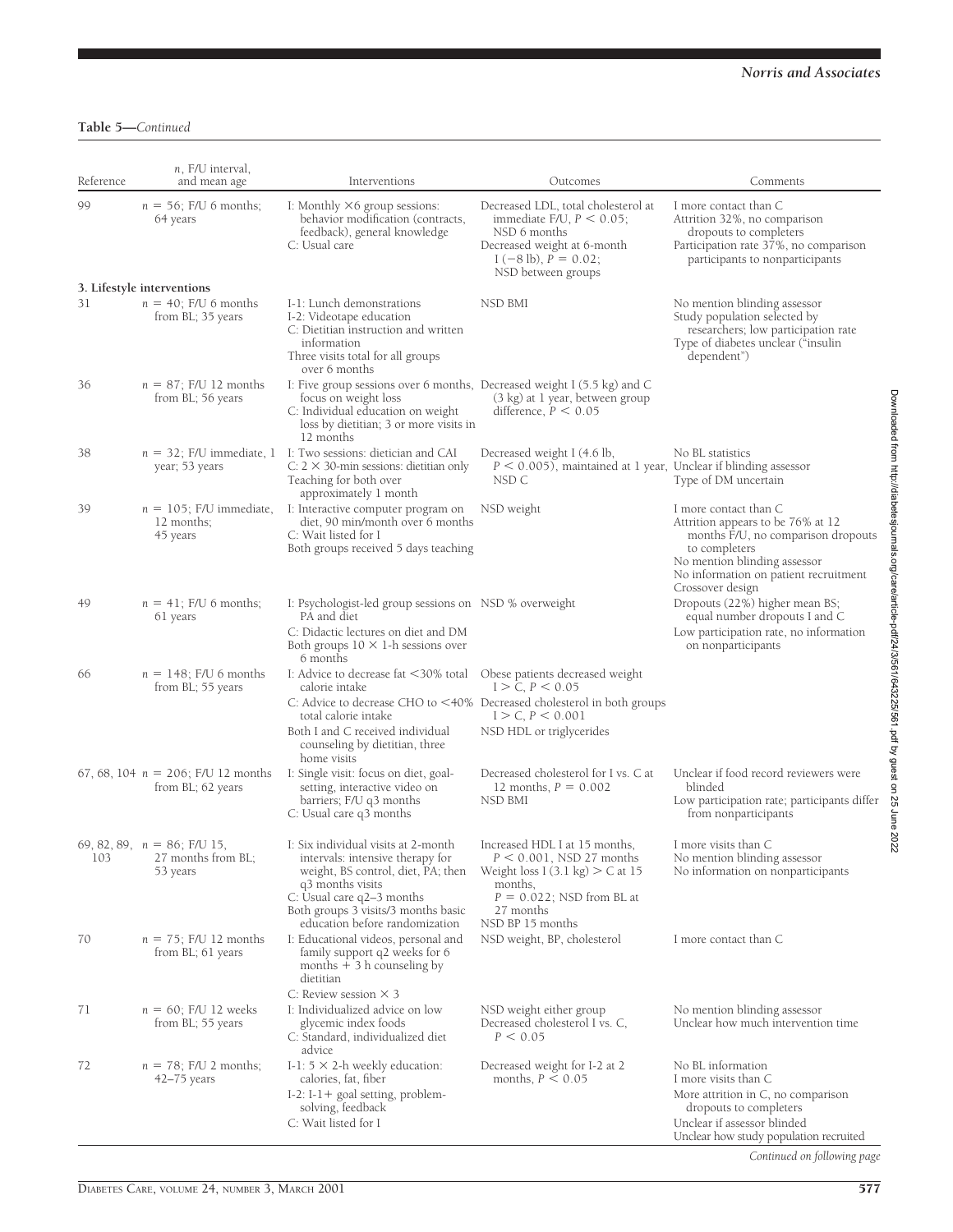#### **Table 5—***Continued*

| Reference | $n$ , F/U interval,<br>and mean age                                  | Interventions                                                                                                                                                                                           | Outcomes                                                                                                                                                           | Comments                                                                                                                                                                                                       |
|-----------|----------------------------------------------------------------------|---------------------------------------------------------------------------------------------------------------------------------------------------------------------------------------------------------|--------------------------------------------------------------------------------------------------------------------------------------------------------------------|----------------------------------------------------------------------------------------------------------------------------------------------------------------------------------------------------------------|
| 99        | $n = 56$ ; F/U 6 months;<br>64 years                                 | I: Monthly $\times$ 6 group sessions:<br>behavior modification (contracts,<br>feedback), general knowledge<br>C: Usual care                                                                             | Decreased LDL, total cholesterol at<br>immediate F/U, $P < 0.05$ ;<br>NSD 6 months<br>Decreased weight at 6-month<br>$I(-8 lb), P = 0.02;$<br>NSD between groups   | I more contact than C<br>Attrition 32%, no comparison<br>dropouts to completers<br>Participation rate 37%, no comparison<br>participants to nonparticipants                                                    |
|           | 3. Lifestyle interventions                                           |                                                                                                                                                                                                         |                                                                                                                                                                    |                                                                                                                                                                                                                |
| 31        | $n = 40$ ; F/U 6 months<br>from BL; 35 years                         | I-1: Lunch demonstrations<br>NSD BMI<br>I-2: Videotape education<br>C: Dietitian instruction and written<br>information<br>Three visits total for all groups<br>over 6 months                           |                                                                                                                                                                    | No mention blinding assessor<br>Study population selected by<br>researchers; low participation rate<br>Type of diabetes unclear ("insulin<br>dependent")                                                       |
| 36        | $n = 87$ ; F/U 12 months<br>from BL; 56 years                        | I: Five group sessions over 6 months, Decreased weight I (5.5 kg) and C<br>focus on weight loss<br>C: Individual education on weight<br>loss by dietitian; 3 or more visits in<br>12 months             | (3 kg) at 1 year, between group<br>difference, $P < 0.05$                                                                                                          |                                                                                                                                                                                                                |
| 38        | year; 53 years                                                       | $n = 32$ ; F/U immediate, 1 I: Two sessions: dietician and CAI<br>C: $2 \times 30$ -min sessions: dietitian only<br>Teaching for both over<br>approximately 1 month                                     | Decreased weight I (4.6 lb,<br>$P < 0.005$ ), maintained at 1 year, Unclear if blinding assessor<br>NSD C                                                          | No BL statistics<br>Type of DM uncertain                                                                                                                                                                       |
| 39        | 12 months;<br>45 years                                               | $n = 105$ ; F/U immediate, I: Interactive computer program on<br>diet, 90 min/month over 6 months<br>C: Wait listed for I<br>Both groups received 5 days teaching                                       | NSD weight                                                                                                                                                         | I more contact than C<br>Attrition appears to be 76% at 12<br>months F/U, no comparison dropouts<br>to completers<br>No mention blinding assessor<br>No information on patient recruitment<br>Crossover design |
| 49        | $n = 41$ ; F/U 6 months;<br>61 years                                 | I: Psychologist-led group sessions on NSD % overweight<br>PA and diet<br>C: Didactic lectures on diet and DM<br>Both groups $10 \times 1$ -h sessions over<br>6 months                                  |                                                                                                                                                                    | Dropouts (22%) higher mean BS;<br>equal number dropouts I and C<br>Low participation rate, no information<br>on nonparticipants                                                                                |
| 66        | $n = 148$ ; F/U 6 months<br>from BL; 55 years                        | calorie intake                                                                                                                                                                                          | I > C, P < 0.05                                                                                                                                                    |                                                                                                                                                                                                                |
|           |                                                                      | C: Advice to decrease CHO to <40% Decreased cholesterol in both groups<br>total calorie intake<br>Both I and C received individual<br>counseling by dietitian, three<br>home visits                     | I > C, P < 0.001<br>NSD HDL or triglycerides                                                                                                                       |                                                                                                                                                                                                                |
|           | 67, 68, 104 $n = 206$ ; F/U 12 months<br>from BL; 62 years           | I: Single visit: focus on diet, goal-<br>setting, interactive video on<br>barriers; F/U q3 months<br>C: Usual care q3 months                                                                            | Decreased cholesterol for I vs. C at<br>12 months, $P = 0.002$<br>NSD BMI                                                                                          | Unclear if food record reviewers were<br>blinded<br>Low participation rate; participants differ<br>from nonparticipants                                                                                        |
|           | 69, 82, 89, $n = 86$ ; F/U 15,<br>103 27 months from BL;<br>53 years | I: Six individual visits at 2-month<br>intervals: intensive therapy for<br>weight, BS control, diet, PA; then<br>q3 months visits<br>C: Usual care $q2-3$ months<br>Both groups 3 visits/3 months basic | Increased HDL I at 15 months.<br>$P < 0.001$ , NSD 27 months<br>Weight loss I $(3.1 \text{ kg})$ > C at 15<br>months,<br>$P = 0.022$ ; NSD from BL at<br>27 months | I more visits than C<br>No mention blinding assessor<br>No information on nonparticipants                                                                                                                      |
| 70        | $n = 75$ ; F/U 12 months<br>from BL; 61 years                        | education before randomization<br>I: Educational videos, personal and<br>family support q2 weeks for 6<br>months $+3$ h counseling by<br>dietitian<br>C: Review session $\times$ 3                      | NSD BP 15 months<br>NSD weight, BP, cholesterol                                                                                                                    | I more contact than C                                                                                                                                                                                          |
| 71        | $n = 60$ ; F/U 12 weeks<br>from BL; 55 years                         | I: Individualized advice on low<br>glycemic index foods<br>C: Standard, individualized diet<br>advice                                                                                                   | NSD weight either group<br>Decreased cholesterol I vs. C,<br>P < 0.05                                                                                              | No mention blinding assessor<br>Unclear how much intervention time                                                                                                                                             |
| 72        | $n = 78$ ; F/U 2 months;<br>$42 - 75$ years                          | I-1: $5 \times 2$ -h weekly education:<br>calories, fat, fiber<br>I-2: I-1 + goal setting, problem-<br>solving, feedback<br>C: Wait listed for I                                                        | Decreased weight for I-2 at 2<br>months, $P < 0.05$                                                                                                                | No BL information<br>I more visits than C<br>More attrition in C, no comparison<br>dropouts to completers<br>Unclear if assessor blinded<br>Unclear how study population recruited                             |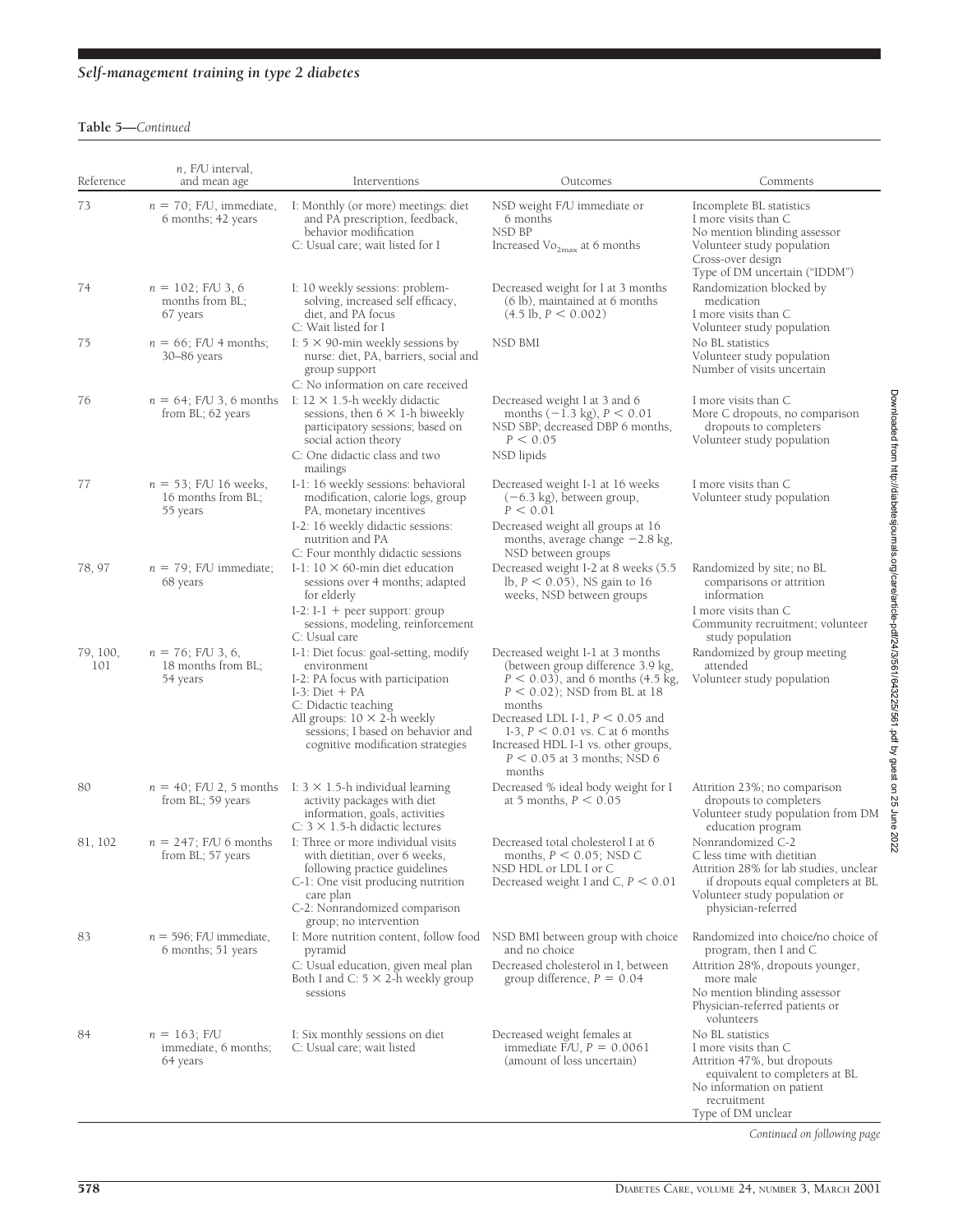#### **Table 5—***Continued*

| Reference       | n, F/U interval,<br>and mean age                           | Interventions                                                                                                                                                                                                                                                           | Outcomes                                                                                                                                                                                                                                                                                                             | Comments                                                                                                                                                                                      |
|-----------------|------------------------------------------------------------|-------------------------------------------------------------------------------------------------------------------------------------------------------------------------------------------------------------------------------------------------------------------------|----------------------------------------------------------------------------------------------------------------------------------------------------------------------------------------------------------------------------------------------------------------------------------------------------------------------|-----------------------------------------------------------------------------------------------------------------------------------------------------------------------------------------------|
| 73              | $n = 70$ ; F/U, immediate,<br>6 months; 42 years           | I: Monthly (or more) meetings: diet<br>and PA prescription, feedback,<br>behavior modification<br>C: Usual care; wait listed for I                                                                                                                                      | NSD weight F/U immediate or<br>6 months<br>NSD BP<br>Increased $\mathrm{Vo}_{2\mathrm{max}}$ at 6 months                                                                                                                                                                                                             | Incomplete BL statistics<br>I more visits than C<br>No mention blinding assessor<br>Volunteer study population<br>Cross-over design                                                           |
| 74              | $n = 102$ ; F/U 3, 6<br>months from BL;<br>67 years        | I: 10 weekly sessions: problem-<br>solving, increased self efficacy,<br>diet, and PA focus<br>C: Wait listed for I                                                                                                                                                      | Decreased weight for I at 3 months<br>(6 lb), maintained at 6 months<br>$(4.5 \text{ lb}, P < 0.002)$                                                                                                                                                                                                                | Type of DM uncertain ("IDDM")<br>Randomization blocked by<br>medication<br>I more visits than C<br>Volunteer study population                                                                 |
| 75              | $n = 66$ ; F/U 4 months;<br>30–86 years                    | I: $5 \times 90$ -min weekly sessions by<br>nurse: diet, PA, barriers, social and<br>group support<br>C: No information on care received                                                                                                                                | NSD BMI                                                                                                                                                                                                                                                                                                              | No BL statistics<br>Volunteer study population<br>Number of visits uncertain                                                                                                                  |
| 76              | from BL; 62 years                                          | $n = 64$ ; F/U 3, 6 months I: 12 $\times$ 1.5-h weekly didactic<br>sessions, then $6 \times 1$ -h biweekly<br>participatory sessions; based on<br>social action theory<br>C: One didactic class and two                                                                 | Decreased weight I at 3 and 6<br>months $(-1.3 \text{ kg})$ , $P < 0.01$<br>NSD SBP; decreased DBP 6 months,<br>P < 0.05<br>NSD lipids                                                                                                                                                                               | I more visits than C<br>More C dropouts, no comparison<br>dropouts to completers<br>Volunteer study population                                                                                |
| 77              | $n = 53$ ; F/U 16 weeks,<br>16 months from BL;<br>55 years | mailings<br>I-1: 16 weekly sessions: behavioral<br>modification, calorie logs, group<br>PA, monetary incentives                                                                                                                                                         | Decreased weight I-1 at 16 weeks<br>$(-6.3 \text{ kg})$ , between group,<br>P < 0.01                                                                                                                                                                                                                                 | I more visits than C<br>Volunteer study population                                                                                                                                            |
|                 |                                                            | I-2: 16 weekly didactic sessions:<br>nutrition and PA<br>C: Four monthly didactic sessions                                                                                                                                                                              | Decreased weight all groups at 16<br>months, average change $-2.8$ kg,<br>NSD between groups                                                                                                                                                                                                                         |                                                                                                                                                                                               |
| 78, 97          | $n = 79$ ; F/U immediate;<br>68 years                      | I-1: $10 \times 60$ -min diet education<br>sessions over 4 months; adapted<br>for elderly<br>$I-2: I-1$ + peer support: group<br>sessions, modeling, reinforcement                                                                                                      | Decreased weight I-2 at 8 weeks (5.5<br>lb, $P < 0.05$ ), NS gain to 16<br>weeks, NSD between groups                                                                                                                                                                                                                 | Randomized by site; no BL<br>comparisons or attrition<br>information<br>I more visits than C<br>Community recruitment; volunteer                                                              |
| 79, 100,<br>101 | $n = 76$ ; F/U 3, 6,<br>18 months from BL;<br>54 years     | C: Usual care<br>I-1: Diet focus: goal-setting, modify<br>environment<br>I-2: PA focus with participation<br>$I-3$ : Diet + PA<br>C: Didactic teaching<br>All groups: $10 \times 2$ -h weekly<br>sessions; I based on behavior and<br>cognitive modification strategies | Decreased weight I-1 at 3 months<br>(between group difference 3.9 kg,<br>$P < 0.03$ ), and 6 months (4.5 kg,<br>$P < 0.02$ ; NSD from BL at 18<br>months<br>Decreased LDL I-1, $P < 0.05$ and<br>I-3, $P < 0.01$ vs. C at 6 months<br>Increased HDL I-1 vs. other groups,<br>$P < 0.05$ at 3 months; NSD 6<br>months | study population<br>Randomized by group meeting<br>attended<br>Volunteer study population                                                                                                     |
| 80              | from BL; 59 years                                          | $n = 40$ ; F/U 2, 5 months I: 3 $\times$ 1.5-h individual learning<br>activity packages with diet<br>information, goals, activities<br>C: $3 \times 1.5$ -h didactic lectures                                                                                           | Decreased % ideal body weight for I<br>at 5 months, $P < 0.05$                                                                                                                                                                                                                                                       | Attrition 23%; no comparison<br>dropouts to completers<br>Volunteer study population from DM<br>education program                                                                             |
| 81, 102         | $n = 247$ ; F/U 6 months<br>from BL; 57 years              | I: Three or more individual visits<br>with dietitian, over 6 weeks,<br>following practice guidelines<br>C-1: One visit producing nutrition<br>care plan<br>C-2: Nonrandomized comparison<br>group; no intervention                                                      | Decreased total cholesterol I at 6<br>months, $P < 0.05$ ; NSD C<br>NSD HDL or LDL I or C<br>Decreased weight I and C, $P < 0.01$                                                                                                                                                                                    | Nonrandomized C-2<br>C less time with dietitian<br>Attrition 28% for lab studies, unclear<br>if dropouts equal completers at BL<br>Volunteer study population or<br>physician-referred        |
| 83              | $n = 596$ ; F/U immediate,<br>6 months; 51 years           | I: More nutrition content, follow food<br>pyramid<br>C: Usual education, given meal plan<br>Both I and C: $5 \times 2$ -h weekly group<br>sessions                                                                                                                      | NSD BMI between group with choice<br>and no choice<br>Decreased cholesterol in I, between<br>group difference, $P = 0.04$                                                                                                                                                                                            | Randomized into choice/no choice of<br>program, then I and C<br>Attrition 28%, dropouts younger,<br>more male<br>No mention blinding assessor<br>Physician-referred patients or<br>volunteers |
| 84              | $n = 163$ ; F/U<br>immediate, 6 months;<br>64 years        | I: Six monthly sessions on diet<br>C: Usual care; wait listed                                                                                                                                                                                                           | Decreased weight females at<br>immediate F/U, $P = 0.0061$<br>(amount of loss uncertain)                                                                                                                                                                                                                             | No BL statistics<br>I more visits than C<br>Attrition 47%, but dropouts<br>equivalent to completers at BL<br>No information on patient<br>recruitment                                         |

*Continued on following page*

Type of DM unclear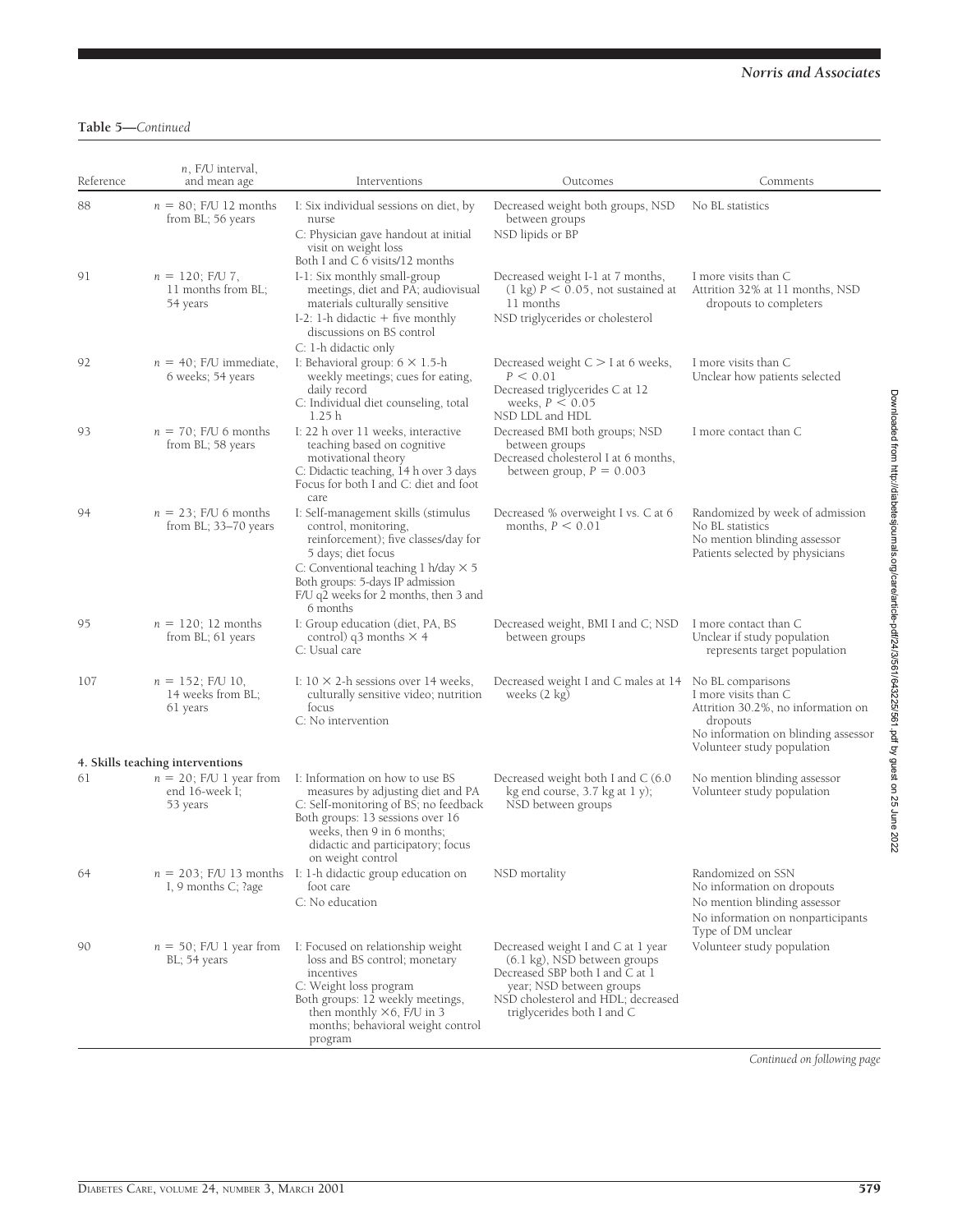#### **Table 5—***Continued*

| Reference | n, F/U interval,<br>and mean age                         | Interventions                                                                                                                                                                                                                                                     | Outcomes                                                                                                                                                                                              | Comments                                                                                                                                                         |  |
|-----------|----------------------------------------------------------|-------------------------------------------------------------------------------------------------------------------------------------------------------------------------------------------------------------------------------------------------------------------|-------------------------------------------------------------------------------------------------------------------------------------------------------------------------------------------------------|------------------------------------------------------------------------------------------------------------------------------------------------------------------|--|
| 88        | $n = 80$ ; F/U 12 months<br>from BL; 56 years            | I: Six individual sessions on diet, by<br>Decreased weight both groups, NSD<br>between groups<br>nurse<br>NSD lipids or BP<br>C: Physician gave handout at initial<br>visit on weight loss<br>Both I and C 6 visits/12 months                                     |                                                                                                                                                                                                       | No BL statistics                                                                                                                                                 |  |
| 91        | $n = 120$ ; F/U 7,<br>11 months from BL;<br>54 years     | I-1: Six monthly small-group<br>meetings, diet and PA; audiovisual<br>materials culturally sensitive<br>I-2: 1-h didactic $+$ five monthly<br>discussions on BS control                                                                                           | Decreased weight I-1 at 7 months,<br>$(1 \text{ kg})$ $P < 0.05$ , not sustained at<br>11 months<br>NSD triglycerides or cholesterol                                                                  | I more visits than C<br>Attrition 32% at 11 months, NSD<br>dropouts to completers                                                                                |  |
| 92        | $n = 40$ ; F/U immediate,<br>6 weeks; 54 years           | C: 1-h didactic only<br>I: Behavioral group: $6 \times 1.5$ -h<br>weekly meetings; cues for eating,<br>daily record<br>C: Individual diet counseling, total<br>1.25h                                                                                              | Decreased weight $C > I$ at 6 weeks,<br>P < 0.01<br>Decreased triglycerides C at 12<br>weeks, $P < 0.05$<br>NSD LDL and HDL                                                                           | I more visits than C<br>Unclear how patients selected                                                                                                            |  |
| 93        | $n = 70$ ; F/U 6 months<br>from BL; 58 years             | I: 22 h over 11 weeks, interactive<br>teaching based on cognitive<br>motivational theory<br>C: Didactic teaching, 14 h over 3 days<br>Focus for both I and C: diet and foot<br>care                                                                               | Decreased BMI both groups; NSD<br>between groups<br>Decreased cholesterol I at 6 months,<br>between group, $P = 0.003$                                                                                | I more contact than C                                                                                                                                            |  |
| 94        | $n = 23$ ; F/U 6 months<br>from BL; $33-70$ years        | I: Self-management skills (stimulus<br>control, monitoring,<br>reinforcement); five classes/day for<br>5 days; diet focus<br>C: Conventional teaching 1 h/day $\times$ 5<br>Both groups: 5-days IP admission<br>F/U q2 weeks for 2 months, then 3 and<br>6 months | Decreased % overweight I vs. C at 6<br>months, $P < 0.01$                                                                                                                                             | Randomized by week of admission<br>No BL statistics<br>No mention blinding assessor<br>Patients selected by physicians                                           |  |
| 95        | $n = 120$ ; 12 months<br>from BL; 61 years               | I: Group education (diet, PA, BS<br>control) q3 months $\times$ 4<br>C: Usual care                                                                                                                                                                                | Decreased weight, BMI I and C; NSD<br>between groups                                                                                                                                                  | I more contact than C<br>Unclear if study population<br>represents target population                                                                             |  |
| 107       | $n = 152$ ; F/U 10,<br>14 weeks from BL;<br>61 years     | I: $10 \times 2$ -h sessions over 14 weeks,<br>culturally sensitive video; nutrition<br>focus<br>C: No intervention                                                                                                                                               | Decreased weight I and C males at 14<br>weeks (2 kg)                                                                                                                                                  | No BL comparisons<br>I more visits than C<br>Attrition 30.2%, no information on<br>dropouts<br>No information on blinding assessor<br>Volunteer study population |  |
|           | 4. Skills teaching interventions                         |                                                                                                                                                                                                                                                                   |                                                                                                                                                                                                       |                                                                                                                                                                  |  |
| 61        | $n = 20$ ; F/U 1 year from<br>end 16-week I;<br>53 years | I: Information on how to use BS<br>measures by adjusting diet and PA<br>C: Self-monitoring of BS; no feedback<br>Both groups: 13 sessions over 16<br>weeks, then 9 in 6 months;<br>didactic and participatory; focus<br>on weight control                         | Decreased weight both I and $C(6.0)$<br>kg end course, 3.7 kg at 1 y);<br>NSD between groups                                                                                                          | No mention blinding assessor<br>Volunteer study population                                                                                                       |  |
| 64        | I, 9 months C; ?age                                      | $n = 203$ ; F/U 13 months I: 1-h didactic group education on<br>foot care<br>C: No education                                                                                                                                                                      | NSD mortality                                                                                                                                                                                         | Randomized on SSN<br>No information on dropouts<br>No mention blinding assessor<br>No information on nonparticipants<br>Type of DM unclear                       |  |
| 90        | $n = 50$ ; F/U 1 year from<br>BL; 54 years               | I: Focused on relationship weight<br>loss and BS control; monetary<br>incentives<br>C: Weight loss program<br>Both groups: 12 weekly meetings,<br>then monthly $\times$ 6, F/U in 3<br>months; behavioral weight control<br>program                               | Decreased weight I and C at 1 year<br>(6.1 kg), NSD between groups<br>Decreased SBP both I and C at 1<br>year; NSD between groups<br>NSD cholesterol and HDL; decreased<br>triglycerides both I and C | Volunteer study population                                                                                                                                       |  |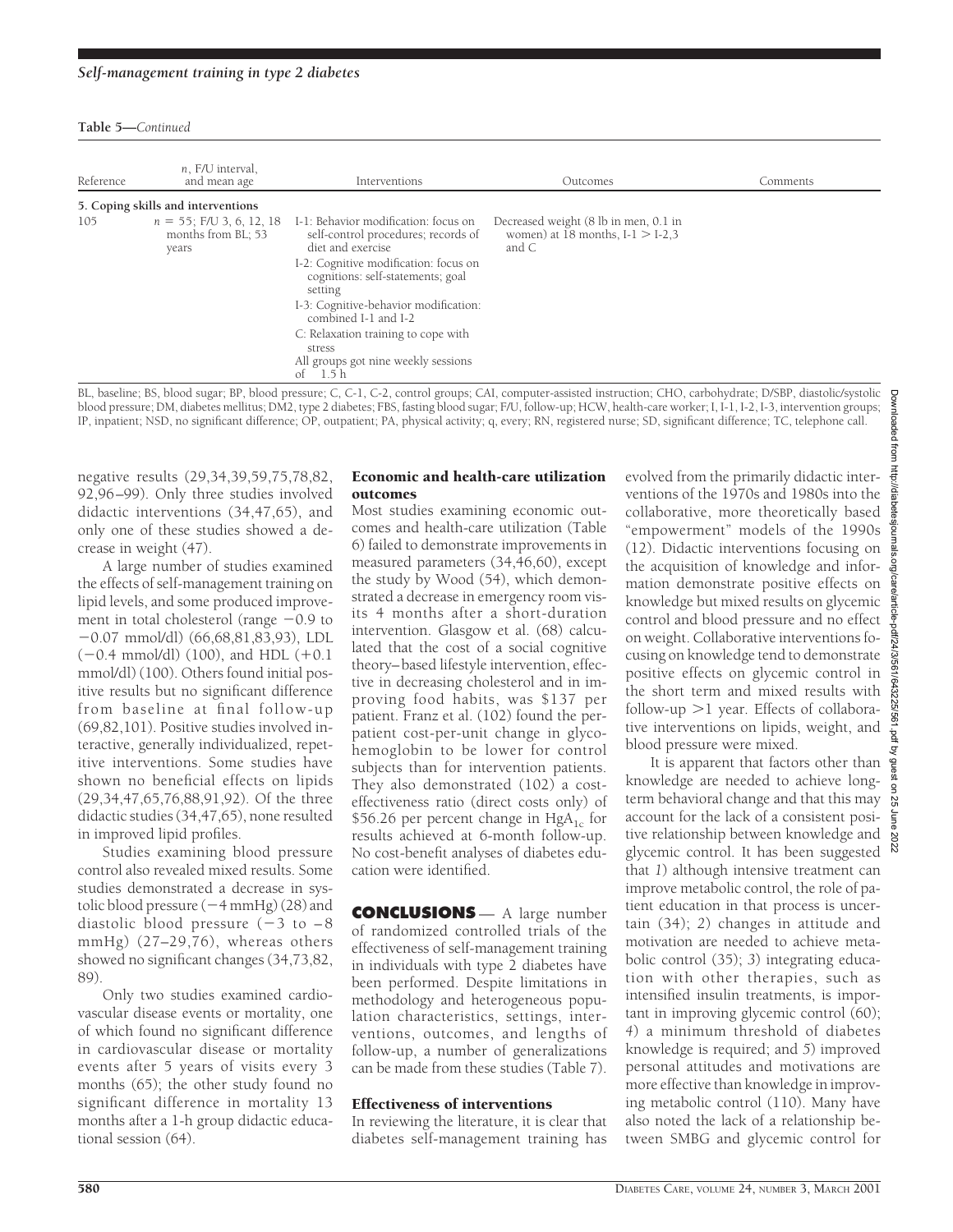**Table 5—***Continued*

| Reference | n, F/U interval,<br>and mean age   | Interventions                                                                                                                                                                                                                                                                                                                                                                               | Outcomes                                                                             | Comments |
|-----------|------------------------------------|---------------------------------------------------------------------------------------------------------------------------------------------------------------------------------------------------------------------------------------------------------------------------------------------------------------------------------------------------------------------------------------------|--------------------------------------------------------------------------------------|----------|
|           | 5. Coping skills and interventions |                                                                                                                                                                                                                                                                                                                                                                                             |                                                                                      |          |
| 105       | months from BL; 53<br>years        | $n = 55$ ; F/U 3, 6, 12, 18 I-1: Behavior modification: focus on<br>self-control procedures; records of<br>diet and exercise<br>I-2: Cognitive modification: focus on<br>cognitions: self-statements; goal<br>setting<br>I-3: Cognitive-behavior modification:<br>combined I-1 and I-2<br>C: Relaxation training to cope with<br>stress<br>All groups got nine weekly sessions<br>of $1.5h$ | Decreased weight (8 lb in men, 0.1 in<br>women) at 18 months, $I-I > I-2,3$<br>and C |          |

BL, baseline; BS, blood sugar; BP, blood pressure; C, C-1, C-2, control groups; CAI, computer-assisted instruction; CHO, carbohydrate; D/SBP, diastolic/systolic blood pressure; DM, diabetes mellitus; DM2, type 2 diabetes; FBS, fasting blood sugar; F/U, follow-up; HCW, health-care worker; I, I-1, I-2, I-3, intervention groups; IP, inpatient; NSD, no significant difference; OP, outpatient; PA, physical activity; q, every; RN, registered nurse; SD, significant difference; TC, telephone call.

negative results (29,34,39,59,75,78,82, 92,96–99). Only three studies involved didactic interventions (34,47,65), and only one of these studies showed a decrease in weight (47).

A large number of studies examined the effects of self-management training on lipid levels, and some produced improvement in total cholesterol (range  $-0.9$  to  $-0.07$  mmol/dl) (66,68,81,83,93), LDL  $(-0.4 \text{ mmol/dl})$  (100), and HDL  $(+0.1$ mmol/dl) (100). Others found initial positive results but no significant difference from baseline at final follow-up (69,82,101). Positive studies involved interactive, generally individualized, repetitive interventions. Some studies have shown no beneficial effects on lipids (29,34,47,65,76,88,91,92). Of the three didactic studies (34,47,65), none resulted in improved lipid profiles.

Studies examining blood pressure control also revealed mixed results. Some studies demonstrated a decrease in systolic blood pressure  $(-4$  mmHg) (28) and diastolic blood pressure  $(-3 \text{ to } -8)$ mmHg) (27–29,76), whereas others showed no significant changes (34,73,82, 89).

Only two studies examined cardiovascular disease events or mortality, one of which found no significant difference in cardiovascular disease or mortality events after 5 years of visits every 3 months (65); the other study found no significant difference in mortality 13 months after a 1-h group didactic educational session (64).

## Economic and health-care utilization outcomes

Most studies examining economic outcomes and health-care utilization (Table 6) failed to demonstrate improvements in measured parameters (34,46,60), except the study by Wood (54), which demonstrated a decrease in emergency room visits 4 months after a short-duration intervention. Glasgow et al. (68) calculated that the cost of a social cognitive theory–based lifestyle intervention, effective in decreasing cholesterol and in improving food habits, was \$137 per patient. Franz et al. (102) found the perpatient cost-per-unit change in glycohemoglobin to be lower for control subjects than for intervention patients. They also demonstrated (102) a costeffectiveness ratio (direct costs only) of \$56.26 per percent change in  $HgA_{1c}$  for results achieved at 6-month follow-up. No cost-benefit analyses of diabetes education were identified.

**CONCLUSIONS** — A large number of randomized controlled trials of the effectiveness of self-management training in individuals with type 2 diabetes have been performed. Despite limitations in methodology and heterogeneous population characteristics, settings, interventions, outcomes, and lengths of follow-up, a number of generalizations can be made from these studies (Table 7).

## Effectiveness of interventions

In reviewing the literature, it is clear that diabetes self-management training has evolved from the primarily didactic interventions of the 1970s and 1980s into the collaborative, more theoretically based "empowerment" models of the 1990s (12). Didactic interventions focusing on the acquisition of knowledge and information demonstrate positive effects on knowledge but mixed results on glycemic control and blood pressure and no effect on weight. Collaborative interventions focusing on knowledge tend to demonstrate positive effects on glycemic control in the short term and mixed results with follow-up  $>1$  year. Effects of collaborative interventions on lipids, weight, and blood pressure were mixed.

It is apparent that factors other than knowledge are needed to achieve longterm behavioral change and that this may account for the lack of a consistent positive relationship between knowledge and glycemic control. It has been suggested that *1*) although intensive treatment can improve metabolic control, the role of patient education in that process is uncertain (34); *2*) changes in attitude and motivation are needed to achieve metabolic control (35); *3*) integrating education with other therapies, such as intensified insulin treatments, is important in improving glycemic control (60); *4*) a minimum threshold of diabetes knowledge is required; and *5*) improved personal attitudes and motivations are more effective than knowledge in improving metabolic control (110). Many have also noted the lack of a relationship between SMBG and glycemic control for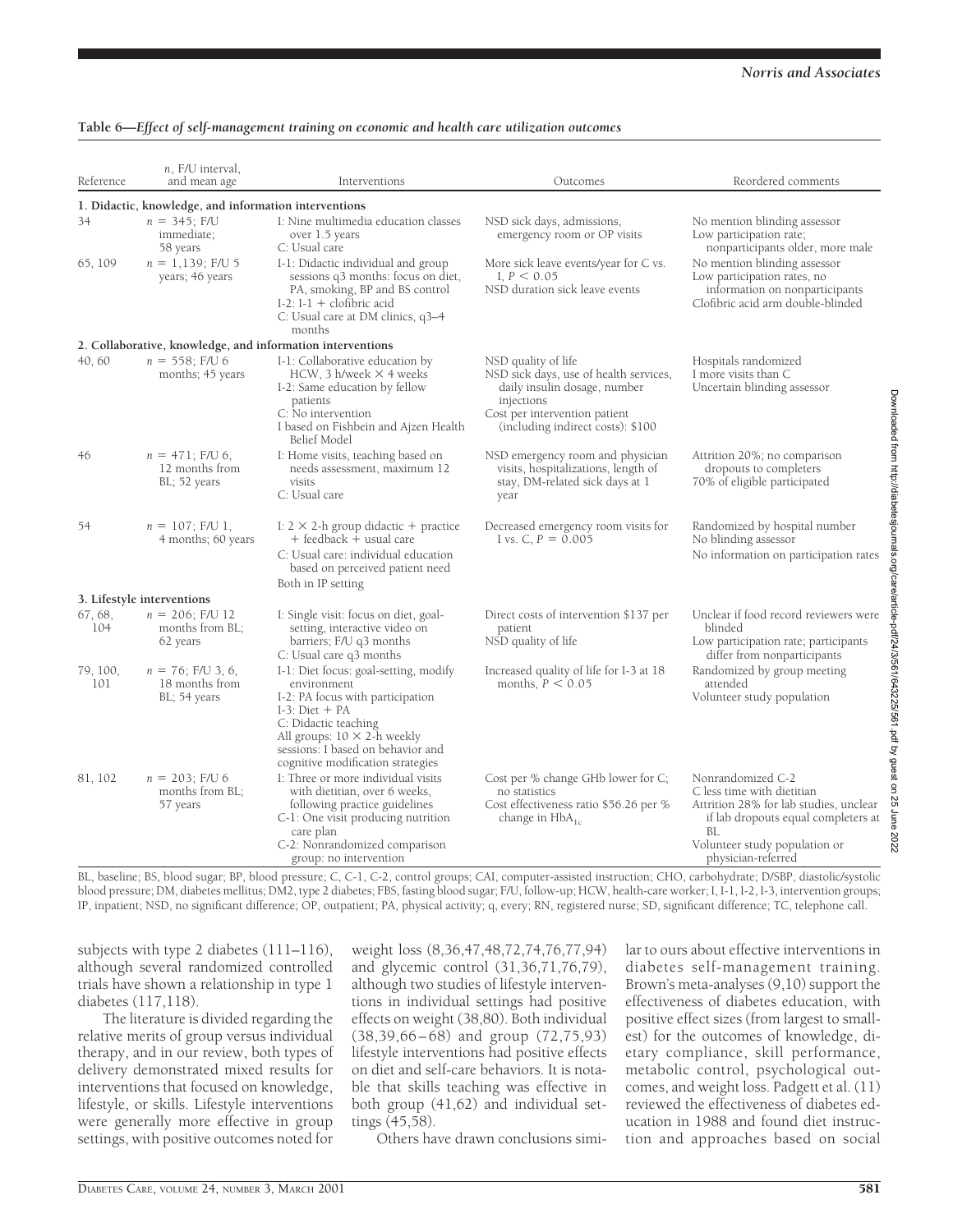|  |  |  | Table 6—Effect of self-management training on economic and health care utilization outcomes |  |  |  |  |  |  |  |
|--|--|--|---------------------------------------------------------------------------------------------|--|--|--|--|--|--|--|
|--|--|--|---------------------------------------------------------------------------------------------|--|--|--|--|--|--|--|

| Reference       | n, F/U interval,<br>and mean age                           | Interventions                                                                                                                                                                                                                                          | Outcomes                                                                                                                                                                          | Reordered comments                                                                                                                                                                            |
|-----------------|------------------------------------------------------------|--------------------------------------------------------------------------------------------------------------------------------------------------------------------------------------------------------------------------------------------------------|-----------------------------------------------------------------------------------------------------------------------------------------------------------------------------------|-----------------------------------------------------------------------------------------------------------------------------------------------------------------------------------------------|
|                 | 1. Didactic, knowledge, and information interventions      |                                                                                                                                                                                                                                                        |                                                                                                                                                                                   |                                                                                                                                                                                               |
| 34              | $n = 345$ ; F/U<br>immediate;<br>58 years                  | I: Nine multimedia education classes<br>over 1.5 years<br>C: Usual care                                                                                                                                                                                | NSD sick days, admissions,<br>emergency room or OP visits                                                                                                                         | No mention blinding assessor<br>Low participation rate;<br>nonparticipants older, more male                                                                                                   |
| 65, 109         | $n = 1,139$ ; F/U 5<br>years; 46 years                     | I-1: Didactic individual and group<br>sessions q3 months: focus on diet,<br>PA, smoking, BP and BS control<br>$I-2: I-1 + \text{clofibric acid}$<br>C: Usual care at DM clinics, q3-4<br>months                                                        | More sick leave events/year for C vs.<br>I, $P < 0.05$<br>NSD duration sick leave events                                                                                          | No mention blinding assessor<br>Low participation rates, no<br>information on nonparticipants<br>Clofibric acid arm double-blinded                                                            |
|                 | 2. Collaborative, knowledge, and information interventions |                                                                                                                                                                                                                                                        |                                                                                                                                                                                   |                                                                                                                                                                                               |
| 40,60           | $n = 558$ ; F/U 6<br>months; 45 years                      | I-1: Collaborative education by<br>HCW, 3 h/week $\times$ 4 weeks<br>I-2: Same education by fellow<br>patients<br>C: No intervention<br>I based on Fishbein and Ajzen Health<br>Belief Model                                                           | NSD quality of life<br>NSD sick days, use of health services,<br>daily insulin dosage, number<br>injections<br>Cost per intervention patient<br>(including indirect costs): \$100 | Hospitals randomized<br>I more visits than C<br>Uncertain blinding assessor                                                                                                                   |
| 46              | $n = 471$ ; F/U 6,<br>12 months from<br>BL; 52 years       | I: Home visits, teaching based on<br>needs assessment, maximum 12<br>visits<br>C: Usual care                                                                                                                                                           | NSD emergency room and physician<br>visits, hospitalizations, length of<br>stay, DM-related sick days at 1<br>year                                                                | Attrition 20%; no comparison<br>dropouts to completers<br>70% of eligible participated                                                                                                        |
| 54              | $n = 107$ ; F/U 1,<br>4 months; 60 years                   | I: $2 \times 2$ -h group didactic + practice<br>+ feedback + usual care<br>C: Usual care: individual education<br>based on perceived patient need<br>Both in IP setting                                                                                | Decreased emergency room visits for<br>I vs. C, $P = 0.005$                                                                                                                       | Randomized by hospital number<br>No blinding assessor<br>No information on participation rates                                                                                                |
|                 | 3. Lifestyle interventions                                 |                                                                                                                                                                                                                                                        |                                                                                                                                                                                   |                                                                                                                                                                                               |
| 67, 68,<br>104  | $n = 206$ ; F/U 12<br>months from BL;<br>62 years          | I: Single visit: focus on diet, goal-<br>setting, interactive video on<br>barriers; F/U q3 months<br>C: Usual care q3 months                                                                                                                           | Direct costs of intervention \$137 per<br>patient<br>NSD quality of life                                                                                                          | Unclear if food record reviewers were<br>blinded<br>Low participation rate; participants<br>differ from nonparticipants                                                                       |
| 79, 100,<br>101 | $n = 76$ ; F/U 3, 6,<br>18 months from<br>BL; 54 years     | I-1: Diet focus: goal-setting, modify<br>environment<br>I-2: PA focus with participation<br>$I-3$ : Diet + PA<br>C: Didactic teaching<br>All groups: $10 \times 2$ -h weekly<br>sessions: I based on behavior and<br>cognitive modification strategies | Increased quality of life for I-3 at 18<br>months, $P \leq 0.05$                                                                                                                  | Randomized by group meeting<br>attended<br>Volunteer study population                                                                                                                         |
| 81, 102         | $n = 203$ ; F/U 6<br>months from BL;<br>57 years           | I: Three or more individual visits<br>with dietitian, over 6 weeks,<br>following practice guidelines<br>C-1: One visit producing nutrition<br>care plan<br>C-2: Nonrandomized comparison<br>group: no intervention                                     | Cost per % change GHb lower for C;<br>no statistics<br>Cost effectiveness ratio \$56.26 per %<br>change in $HbA_{1c}$                                                             | Nonrandomized C-2<br>C less time with dietitian<br>Attrition 28% for lab studies, unclear<br>if lab dropouts equal completers at<br>BL<br>Volunteer study population or<br>physician-referred |

BL, baseline; BS, blood sugar; BP, blood pressure; C, C-1, C-2, control groups; CAI, computer-assisted instruction; CHO, carbohydrate; D/SBP, diastolic/systolic blood pressure; DM, diabetes mellitus; DM2, type 2 diabetes; FBS, fasting blood sugar; F/U, follow-up; HCW, health-care worker; I, I-1, I-2, I-3, intervention groups; IP, inpatient; NSD, no significant difference; OP, outpatient; PA, physical activity; q, every; RN, registered nurse; SD, significant difference; TC, telephone call.

subjects with type 2 diabetes (111–116), although several randomized controlled trials have shown a relationship in type 1 diabetes (117,118).

The literature is divided regarding the relative merits of group versus individual therapy, and in our review, both types of delivery demonstrated mixed results for interventions that focused on knowledge, lifestyle, or skills. Lifestyle interventions were generally more effective in group settings, with positive outcomes noted for

weight loss (8,36,47,48,72,74,76,77,94) and glycemic control (31,36,71,76,79), although two studies of lifestyle interventions in individual settings had positive effects on weight (38,80). Both individual (38,39,66–68) and group (72,75,93) lifestyle interventions had positive effects on diet and self-care behaviors. It is notable that skills teaching was effective in both group (41,62) and individual settings (45,58).

lar to ours about effective interventions in diabetes self-management training. Brown's meta-analyses (9,10) support the effectiveness of diabetes education, with positive effect sizes (from largest to smallest) for the outcomes of knowledge, dietary compliance, skill performance, metabolic control, psychological outcomes, and weight loss. Padgett et al. (11) reviewed the effectiveness of diabetes education in 1988 and found diet instruction and approaches based on social

Others have drawn conclusions simi-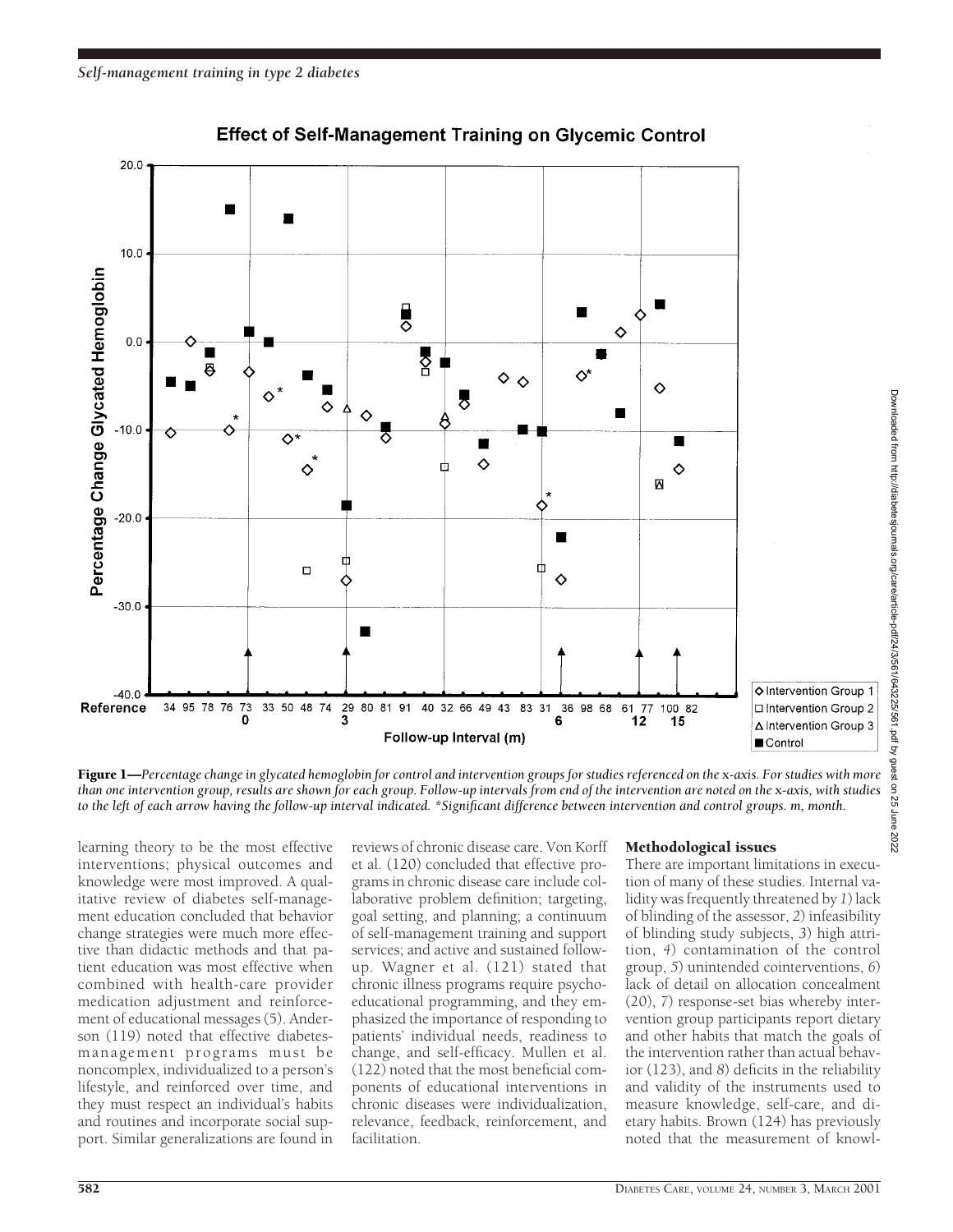

## **Effect of Self-Management Training on Glycemic Control**

Figure 1—*Percentage change in glycated hemoglobin for control and intervention groups for studies referenced on the* x*-axis. For studies with more than one intervention group, results are shown for each group. Follow-up intervals from end of the intervention are noted on the* x*-axis, with studies to the left of each arrow having the follow-up interval indicated. \*Significant difference between intervention and control groups. m, month.*

learning theory to be the most effective interventions; physical outcomes and knowledge were most improved. A qualitative review of diabetes self-management education concluded that behavior change strategies were much more effective than didactic methods and that patient education was most effective when combined with health-care provider medication adjustment and reinforcement of educational messages (5). Anderson (119) noted that effective diabetesmanagement programs must be noncomplex, individualized to a person's lifestyle, and reinforced over time, and they must respect an individual's habits and routines and incorporate social support. Similar generalizations are found in reviews of chronic disease care. Von Korff et al. (120) concluded that effective programs in chronic disease care include collaborative problem definition; targeting, goal setting, and planning; a continuum of self-management training and support services; and active and sustained followup. Wagner et al. (121) stated that chronic illness programs require psychoeducational programming, and they emphasized the importance of responding to patients' individual needs, readiness to change, and self-efficacy. Mullen et al. (122) noted that the most beneficial components of educational interventions in chronic diseases were individualization, relevance, feedback, reinforcement, and facilitation.

#### Methodological issues

There are important limitations in execution of many of these studies. Internal validity was frequently threatened by *1*) lack of blinding of the assessor, *2*) infeasibility of blinding study subjects, *3*) high attrition, *4*) contamination of the control group, *5*) unintended cointerventions, *6*) lack of detail on allocation concealment (20), *7*) response-set bias whereby intervention group participants report dietary and other habits that match the goals of the intervention rather than actual behavior (123), and *8*) deficits in the reliability and validity of the instruments used to measure knowledge, self-care, and dietary habits. Brown (124) has previously noted that the measurement of knowl-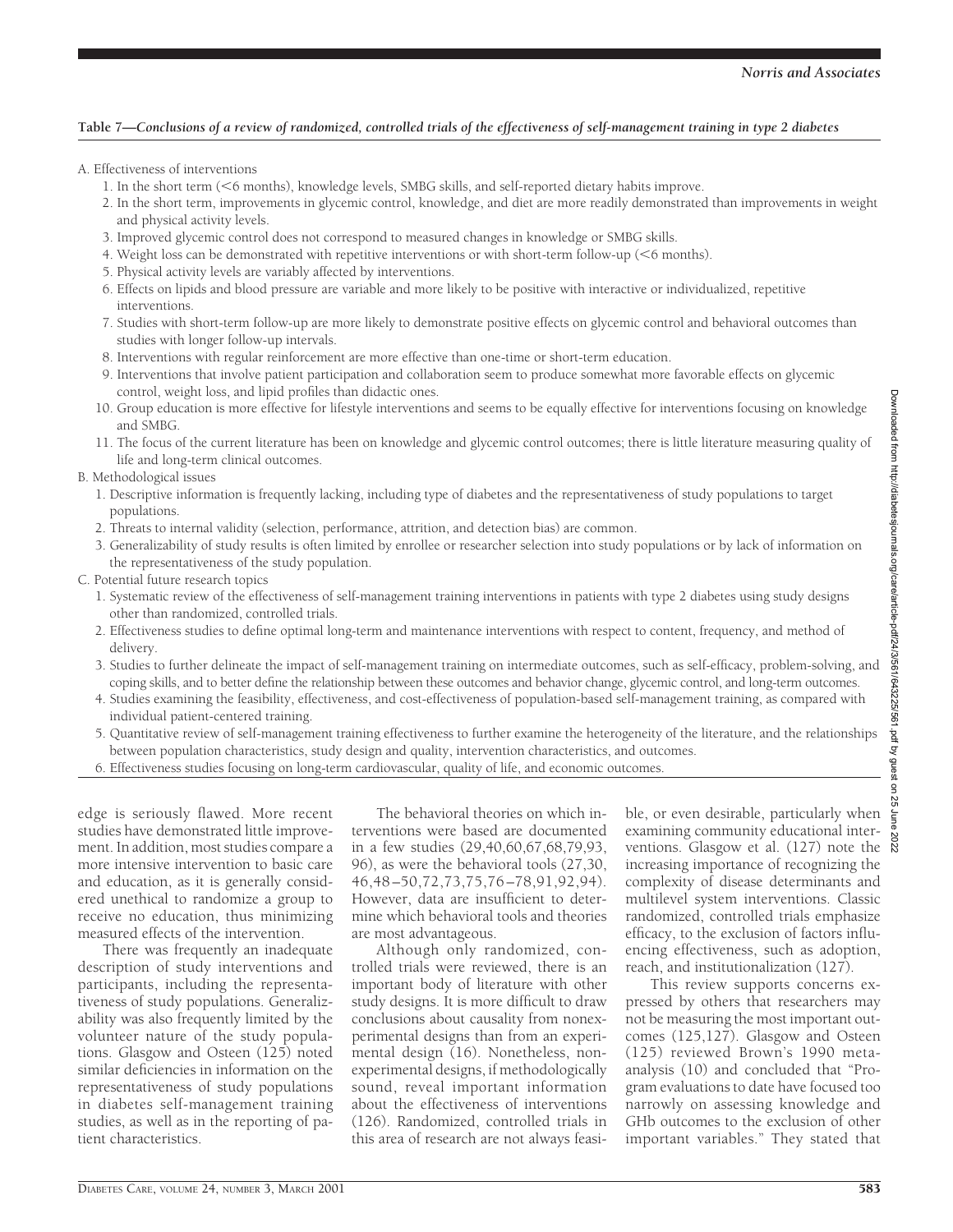## **Table 7—***Conclusions of a review of randomized, controlled trials of the effectiveness of self-management training in type 2 diabetes*

## A. Effectiveness of interventions

- 1. In the short term (<6 months), knowledge levels, SMBG skills, and self-reported dietary habits improve.
- 2. In the short term, improvements in glycemic control, knowledge, and diet are more readily demonstrated than improvements in weight and physical activity levels.
- 3. Improved glycemic control does not correspond to measured changes in knowledge or SMBG skills.
- 4. Weight loss can be demonstrated with repetitive interventions or with short-term follow-up (<6 months).
- 5. Physical activity levels are variably affected by interventions.
- 6. Effects on lipids and blood pressure are variable and more likely to be positive with interactive or individualized, repetitive interventions.
- 7. Studies with short-term follow-up are more likely to demonstrate positive effects on glycemic control and behavioral outcomes than studies with longer follow-up intervals.
- 8. Interventions with regular reinforcement are more effective than one-time or short-term education.
- 9. Interventions that involve patient participation and collaboration seem to produce somewhat more favorable effects on glycemic control, weight loss, and lipid profiles than didactic ones.
- 10. Group education is more effective for lifestyle interventions and seems to be equally effective for interventions focusing on knowledge and SMBG.
- 11. The focus of the current literature has been on knowledge and glycemic control outcomes; there is little literature measuring quality of life and long-term clinical outcomes.
- B. Methodological issues
	- 1. Descriptive information is frequently lacking, including type of diabetes and the representativeness of study populations to target populations.
	- 2. Threats to internal validity (selection, performance, attrition, and detection bias) are common.
	- 3. Generalizability of study results is often limited by enrollee or researcher selection into study populations or by lack of information on the representativeness of the study population.
- C. Potential future research topics
	- 1. Systematic review of the effectiveness of self-management training interventions in patients with type 2 diabetes using study designs other than randomized, controlled trials.
	- 2. Effectiveness studies to define optimal long-term and maintenance interventions with respect to content, frequency, and method of delivery.
	- 3. Studies to further delineate the impact of self-management training on intermediate outcomes, such as self-efficacy, problem-solving, and coping skills, and to better define the relationship between these outcomes and behavior change, glycemic control, and long-term outcomes.
	- 4. Studies examining the feasibility, effectiveness, and cost-effectiveness of population-based self-management training, as compared with individual patient-centered training.
	- 5. Quantitative review of self-management training effectiveness to further examine the heterogeneity of the literature, and the relationships between population characteristics, study design and quality, intervention characteristics, and outcomes.
	- 6. Effectiveness studies focusing on long-term cardiovascular, quality of life, and economic outcomes.

edge is seriously flawed. More recent studies have demonstrated little improvement. In addition, most studies compare a more intensive intervention to basic care and education, as it is generally considered unethical to randomize a group to receive no education, thus minimizing measured effects of the intervention.

There was frequently an inadequate description of study interventions and participants, including the representativeness of study populations. Generalizability was also frequently limited by the volunteer nature of the study populations. Glasgow and Osteen (125) noted similar deficiencies in information on the representativeness of study populations in diabetes self-management training studies, as well as in the reporting of patient characteristics.

The behavioral theories on which interventions were based are documented in a few studies (29,40,60,67,68,79,93, 96), as were the behavioral tools (27,30, 46,48–50,72,73,75,76–78,91,92,94). However, data are insufficient to determine which behavioral tools and theories are most advantageous.

Although only randomized, controlled trials were reviewed, there is an important body of literature with other study designs. It is more difficult to draw conclusions about causality from nonexperimental designs than from an experimental design (16). Nonetheless, nonexperimental designs, if methodologically sound, reveal important information about the effectiveness of interventions (126). Randomized, controlled trials in this area of research are not always feasi-

ble, or even desirable, particularly when examining community educational interventions. Glasgow et al. (127) note the increasing importance of recognizing the complexity of disease determinants and multilevel system interventions. Classic randomized, controlled trials emphasize efficacy, to the exclusion of factors influencing effectiveness, such as adoption, reach, and institutionalization (127).

This review supports concerns expressed by others that researchers may not be measuring the most important outcomes (125,127). Glasgow and Osteen (125) reviewed Brown's 1990 metaanalysis (10) and concluded that "Program evaluations to date have focused too narrowly on assessing knowledge and GHb outcomes to the exclusion of other important variables." They stated that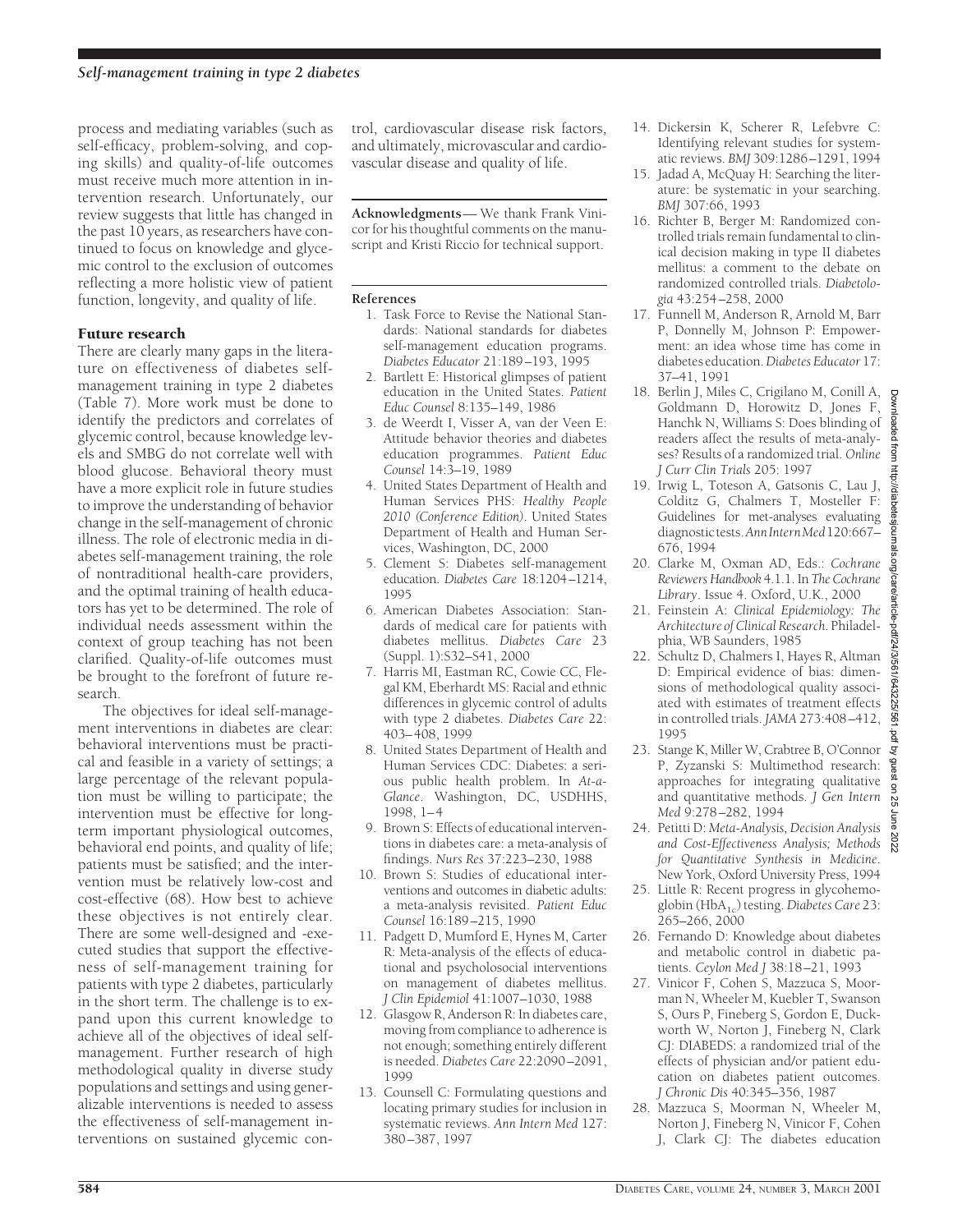process and mediating variables (such as self-efficacy, problem-solving, and coping skills) and quality-of-life outcomes must receive much more attention in intervention research. Unfortunately, our review suggests that little has changed in the past 10 years, as researchers have continued to focus on knowledge and glycemic control to the exclusion of outcomes reflecting a more holistic view of patient function, longevity, and quality of life.

## Future research

There are clearly many gaps in the literature on effectiveness of diabetes selfmanagement training in type 2 diabetes (Table 7). More work must be done to identify the predictors and correlates of glycemic control, because knowledge levels and SMBG do not correlate well with blood glucose. Behavioral theory must have a more explicit role in future studies to improve the understanding of behavior change in the self-management of chronic illness. The role of electronic media in diabetes self-management training, the role of nontraditional health-care providers, and the optimal training of health educators has yet to be determined. The role of individual needs assessment within the context of group teaching has not been clarified. Quality-of-life outcomes must be brought to the forefront of future research.

The objectives for ideal self-management interventions in diabetes are clear: behavioral interventions must be practical and feasible in a variety of settings; a large percentage of the relevant population must be willing to participate; the intervention must be effective for longterm important physiological outcomes, behavioral end points, and quality of life; patients must be satisfied; and the intervention must be relatively low-cost and cost-effective (68). How best to achieve these objectives is not entirely clear. There are some well-designed and -executed studies that support the effectiveness of self-management training for patients with type 2 diabetes, particularly in the short term. The challenge is to expand upon this current knowledge to achieve all of the objectives of ideal selfmanagement. Further research of high methodological quality in diverse study populations and settings and using generalizable interventions is needed to assess the effectiveness of self-management interventions on sustained glycemic control, cardiovascular disease risk factors, and ultimately, microvascular and cardiovascular disease and quality of life.

**Acknowledgments**— We thank Frank Vinicor for his thoughtful comments on the manuscript and Kristi Riccio for technical support.

#### **References**

- 1. Task Force to Revise the National Standards: National standards for diabetes self-management education programs. *Diabetes Educator* 21:189–193, 1995
- 2. Bartlett E: Historical glimpses of patient education in the United States. *Patient Educ Counsel* 8:135–149, 1986
- 3. de Weerdt I, Visser A, van der Veen E: Attitude behavior theories and diabetes education programmes. *Patient Educ Counsel* 14:3–19, 1989
- 4. United States Department of Health and Human Services PHS: *Healthy People 2010 (Conference Edition)*. United States Department of Health and Human Services, Washington, DC, 2000
- 5. Clement S: Diabetes self-management education. *Diabetes Care* 18:1204–1214, 1995
- 6. American Diabetes Association: Standards of medical care for patients with diabetes mellitus. *Diabetes Care* 23 (Suppl. 1):S32–S41, 2000
- 7. Harris MI, Eastman RC, Cowie CC, Flegal KM, Eberhardt MS: Racial and ethnic differences in glycemic control of adults with type 2 diabetes. *Diabetes Care* 22: 403–408, 1999
- 8. United States Department of Health and Human Services CDC: Diabetes: a serious public health problem. In *At-a-Glance*. Washington, DC, USDHHS, 1998, 1–4
- 9. Brown S: Effects of educational interventions in diabetes care: a meta-analysis of findings. *Nurs Res* 37:223–230, 1988
- 10. Brown S: Studies of educational interventions and outcomes in diabetic adults: a meta-analysis revisited. *Patient Educ Counsel* 16:189–215, 1990
- 11. Padgett D, Mumford E, Hynes M, Carter R: Meta-analysis of the effects of educational and psycholosocial interventions on management of diabetes mellitus. *J Clin Epidemiol* 41:1007–1030, 1988
- 12. Glasgow R, Anderson R: In diabetes care, moving from compliance to adherence is not enough; something entirely different is needed. *Diabetes Care* 22:2090–2091, 1999
- 13. Counsell C: Formulating questions and locating primary studies for inclusion in systematic reviews. *Ann Intern Med* 127: 380–387, 1997
- 14. Dickersin K, Scherer R, Lefebvre C: Identifying relevant studies for systematic reviews. *BMJ* 309:1286–1291, 1994
- 15. Jadad A, McQuay H: Searching the literature: be systematic in your searching. *BMJ* 307:66, 1993
- 16. Richter B, Berger M: Randomized controlled trials remain fundamental to clinical decision making in type II diabetes mellitus: a comment to the debate on randomized controlled trials. *Diabetologia* 43:254–258, 2000
- 17. Funnell M, Anderson R, Arnold M, Barr P, Donnelly M, Johnson P: Empowerment: an idea whose time has come in diabetes education.*Diabetes Educator* 17: 37–41, 1991
- 18. Berlin J, Miles C, Crigilano M, Conill A, Goldmann D, Horowitz D, Jones F, Hanchk N, Williams S: Does blinding of readers affect the results of meta-analyses? Results of a randomized trial. *Online J Curr Clin Trials* 205: 1997
- 19. Irwig L, Toteson A, Gatsonis C, Lau J, Colditz G, Chalmers T, Mosteller F: Guidelines for met-analyses evaluating diagnostictests.*AnnInternMed*120:667– 676, 1994
- 20. Clarke M, Oxman AD, Eds.: *Cochrane Reviewers Handbook* 4.1.1. In *The Cochrane Library*. Issue 4. Oxford, U.K., 2000
- 21. Feinstein A: *Clinical Epidemiology: The Architecture of Clinical Research*. Philadelphia, WB Saunders, 1985
- 22. Schultz D, Chalmers I, Hayes R, Altman D: Empirical evidence of bias: dimensions of methodological quality associated with estimates of treatment effects in controlled trials. *JAMA* 273:408–412, 1995
- 23. Stange K, Miller W, Crabtree B, O'Connor P, Zyzanski S: Multimethod research: approaches for integrating qualitative and quantitative methods. *J Gen Intern Med* 9:278–282, 1994
- 24. Petitti D: *Meta-Analysis, Decision Analysis and Cost-Effectiveness Analysis; Methods for Quantitative Synthesis in Medicine*. New York, Oxford University Press, 1994
- 25. Little R: Recent progress in glycohemoglobin (HbA1c) testing. *Diabetes Care* 23: 265–266, 2000
- 26. Fernando D: Knowledge about diabetes and metabolic control in diabetic patients. *Ceylon Med J* 38:18–21, 1993
- 27. Vinicor F, Cohen S, Mazzuca S, Moorman N, Wheeler M, Kuebler T, Swanson S, Ours P, Fineberg S, Gordon E, Duckworth W, Norton J, Fineberg N, Clark CJ: DIABEDS: a randomized trial of the effects of physician and/or patient education on diabetes patient outcomes. *J Chronic Dis* 40:345–356, 1987
- 28. Mazzuca S, Moorman N, Wheeler M, Norton J, Fineberg N, Vinicor F, Cohen J, Clark CJ: The diabetes education

**Iloaded**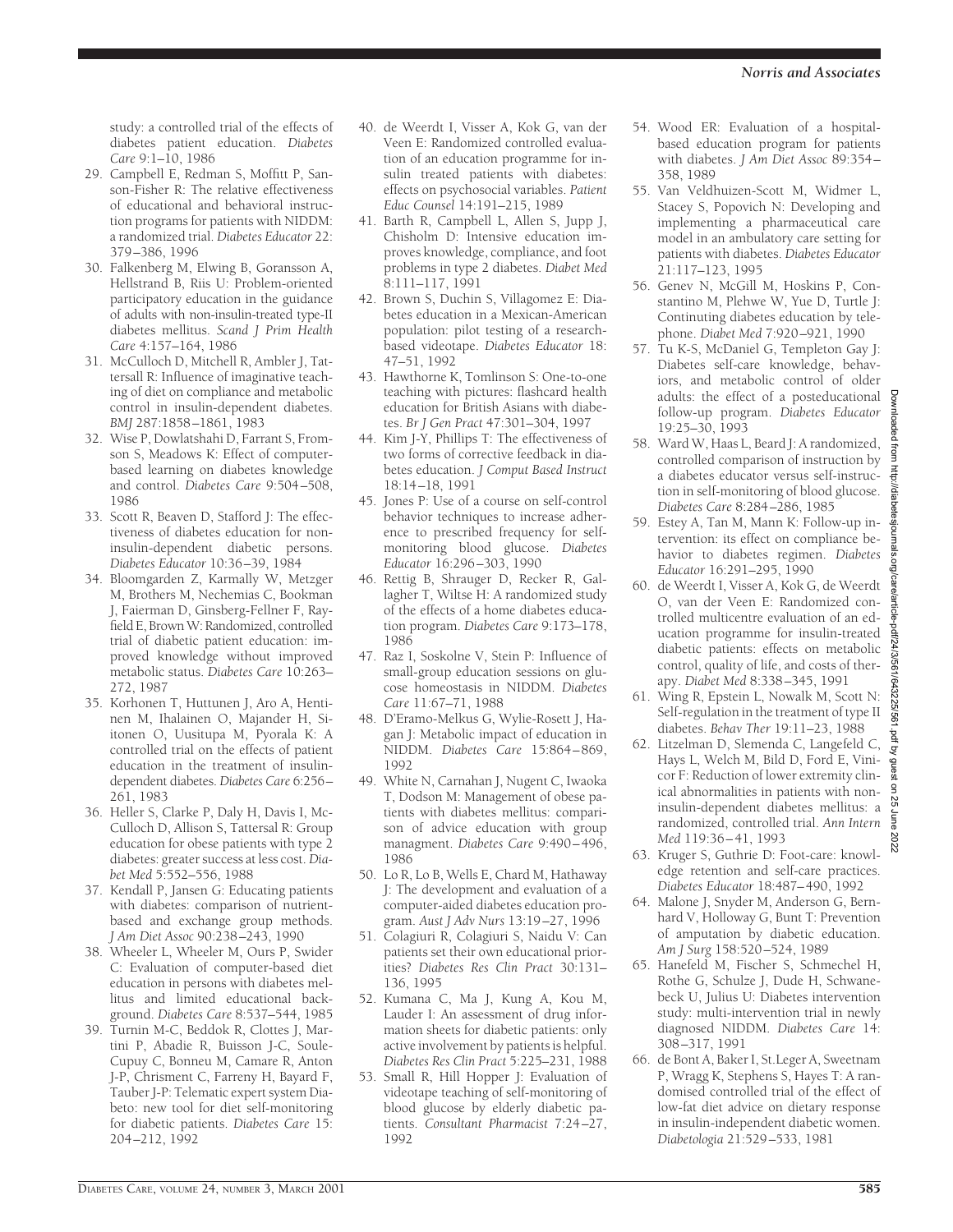study: a controlled trial of the effects of diabetes patient education. *Diabetes Care* 9:1–10, 1986

- 29. Campbell E, Redman S, Moffitt P, Sanson-Fisher R: The relative effectiveness of educational and behavioral instruction programs for patients with NIDDM: a randomized trial. *Diabetes Educator* 22: 379–386, 1996
- 30. Falkenberg M, Elwing B, Goransson A, Hellstrand B, Riis U: Problem-oriented participatory education in the guidance of adults with non-insulin-treated type-II diabetes mellitus. *Scand J Prim Health Care* 4:157–164, 1986
- 31. McCulloch D, Mitchell R, Ambler J, Tattersall R: Influence of imaginative teaching of diet on compliance and metabolic control in insulin-dependent diabetes. *BMJ* 287:1858–1861, 1983
- 32. Wise P, Dowlatshahi D, Farrant S, Fromson S, Meadows K: Effect of computerbased learning on diabetes knowledge and control. *Diabetes Care* 9:504–508, 1986
- 33. Scott R, Beaven D, Stafford J: The effectiveness of diabetes education for noninsulin-dependent diabetic persons. *Diabetes Educator* 10:36–39, 1984
- 34. Bloomgarden Z, Karmally W, Metzger M, Brothers M, Nechemias C, Bookman J, Faierman D, Ginsberg-Fellner F, Rayfield E, Brown W: Randomized, controlled trial of diabetic patient education: improved knowledge without improved metabolic status. *Diabetes Care* 10:263– 272, 1987
- 35. Korhonen T, Huttunen J, Aro A, Hentinen M, Ihalainen O, Majander H, Siitonen O, Uusitupa M, Pyorala K: A controlled trial on the effects of patient education in the treatment of insulindependent diabetes. *Diabetes Care* 6:256– 261, 1983
- 36. Heller S, Clarke P, Daly H, Davis I, Mc-Culloch D, Allison S, Tattersal R: Group education for obese patients with type 2 diabetes: greater success at less cost.*Diabet Med* 5:552–556, 1988
- 37. Kendall P, Jansen G: Educating patients with diabetes: comparison of nutrientbased and exchange group methods. *J Am Diet Assoc* 90:238–243, 1990
- 38. Wheeler L, Wheeler M, Ours P, Swider C: Evaluation of computer-based diet education in persons with diabetes mellitus and limited educational background. *Diabetes Care* 8:537–544, 1985
- 39. Turnin M-C, Beddok R, Clottes J, Martini P, Abadie R, Buisson J-C, Soule-Cupuy C, Bonneu M, Camare R, Anton J-P, Chrisment C, Farreny H, Bayard F, Tauber J-P: Telematic expert system Diabeto: new tool for diet self-monitoring for diabetic patients. *Diabetes Care* 15: 204–212, 1992
- 40. de Weerdt I, Visser A, Kok G, van der Veen E: Randomized controlled evaluation of an education programme for insulin treated patients with diabetes: effects on psychosocial variables. *Patient Educ Counsel* 14:191–215, 1989
- 41. Barth R, Campbell L, Allen S, Jupp J, Chisholm D: Intensive education improves knowledge, compliance, and foot problems in type 2 diabetes. *Diabet Med* 8:111–117, 1991
- 42. Brown S, Duchin S, Villagomez E: Diabetes education in a Mexican-American population: pilot testing of a researchbased videotape. *Diabetes Educator* 18: 47–51, 1992
- 43. Hawthorne K, Tomlinson S: One-to-one teaching with pictures: flashcard health education for British Asians with diabetes. *Br J Gen Pract* 47:301–304, 1997
- 44. Kim J-Y, Phillips T: The effectiveness of two forms of corrective feedback in diabetes education. *J Comput Based Instruct* 18:14–18, 1991
- 45. Jones P: Use of a course on self-control behavior techniques to increase adherence to prescribed frequency for selfmonitoring blood glucose. *Diabetes Educator* 16:296–303, 1990
- 46. Rettig B, Shrauger D, Recker R, Gallagher T, Wiltse H: A randomized study of the effects of a home diabetes education program. *Diabetes Care* 9:173–178, 1986
- 47. Raz I, Soskolne V, Stein P: Influence of small-group education sessions on glucose homeostasis in NIDDM. *Diabetes Care* 11:67–71, 1988
- 48. D'Eramo-Melkus G, Wylie-Rosett J, Hagan J: Metabolic impact of education in NIDDM. *Diabetes Care* 15:864–869, 1992
- 49. White N, Carnahan J, Nugent C, Iwaoka T, Dodson M: Management of obese patients with diabetes mellitus: comparison of advice education with group managment. *Diabetes Care* 9:490–496, 1986
- 50. Lo R, Lo B, Wells E, Chard M, Hathaway J: The development and evaluation of a computer-aided diabetes education program. *Aust J Adv Nurs* 13:19–27, 1996
- 51. Colagiuri R, Colagiuri S, Naidu V: Can patients set their own educational priorities? *Diabetes Res Clin Pract* 30:131– 136, 1995
- 52. Kumana C, Ma J, Kung A, Kou M, Lauder I: An assessment of drug information sheets for diabetic patients: only active involvement by patients is helpful. *Diabetes Res Clin Pract* 5:225–231, 1988
- 53. Small R, Hill Hopper J: Evaluation of videotape teaching of self-monitoring of blood glucose by elderly diabetic patients. *Consultant Pharmacist* 7:24–27, 1992
- 54. Wood ER: Evaluation of a hospitalbased education program for patients with diabetes. *J Am Diet Assoc* 89:354– 358, 1989
- 55. Van Veldhuizen-Scott M, Widmer L, Stacey S, Popovich N: Developing and implementing a pharmaceutical care model in an ambulatory care setting for patients with diabetes. *Diabetes Educator* 21:117–123, 1995
- 56. Genev N, McGill M, Hoskins P, Constantino M, Plehwe W, Yue D, Turtle J: Continuting diabetes education by telephone. *Diabet Med* 7:920–921, 1990
- 57. Tu K-S, McDaniel G, Templeton Gay J: Diabetes self-care knowledge, behaviors, and metabolic control of older adults: the effect of a posteducational follow-up program. *Diabetes Educator* 19:25–30, 1993
- 58. Ward W, Haas L, Beard J: A randomized, controlled comparison of instruction by a diabetes educator versus self-instruction in self-monitoring of blood glucose. *Diabetes Care* 8:284–286, 1985
- 59. Estey A, Tan M, Mann K: Follow-up intervention: its effect on compliance behavior to diabetes regimen. *Diabetes Educator* 16:291–295, 1990
- 60. de Weerdt I, Visser A, Kok G, de Weerdt O, van der Veen E: Randomized controlled multicentre evaluation of an education programme for insulin-treated diabetic patients: effects on metabolic control, quality of life, and costs of therapy. *Diabet Med* 8:338–345, 1991
- 61. Wing R, Epstein L, Nowalk M, Scott N: Self-regulation in the treatment of type II diabetes. *Behav Ther* 19:11–23, 1988
- 62. Litzelman D, Slemenda C, Langefeld C, Hays L, Welch M, Bild D, Ford E, Vinicor F: Reduction of lower extremity clinical abnormalities in patients with noninsulin-dependent diabetes mellitus: a randomized, controlled trial. *Ann Intern Med* 119:36–41, 1993
- 63. Kruger S, Guthrie D: Foot-care: knowledge retention and self-care practices. *Diabetes Educator* 18:487–490, 1992
- 64. Malone J, Snyder M, Anderson G, Bernhard V, Holloway G, Bunt T: Prevention of amputation by diabetic education. *Am J Surg* 158:520–524, 1989
- 65. Hanefeld M, Fischer S, Schmechel H, Rothe G, Schulze J, Dude H, Schwanebeck U, Julius U: Diabetes intervention study: multi-intervention trial in newly diagnosed NIDDM. *Diabetes Care* 14: 308–317, 1991
- 66. de Bont A, Baker I, St.Leger A, Sweetnam P, Wragg K, Stephens S, Hayes T: A randomised controlled trial of the effect of low-fat diet advice on dietary response in insulin-independent diabetic women. *Diabetologia* 21:529–533, 1981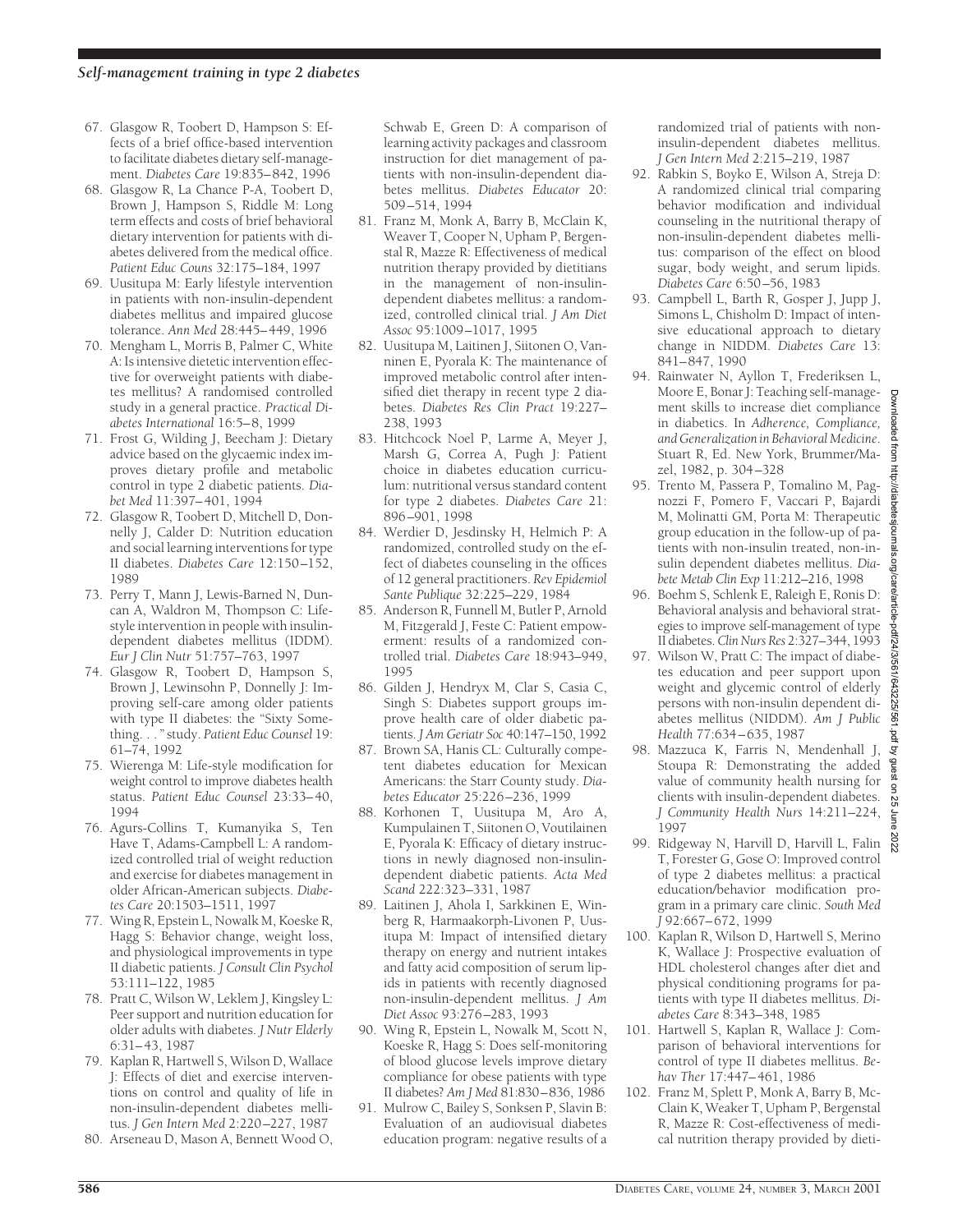- 67. Glasgow R, Toobert D, Hampson S: Effects of a brief office-based intervention to facilitate diabetes dietary self-management. *Diabetes Care* 19:835–842, 1996
- 68. Glasgow R, La Chance P-A, Toobert D, Brown J, Hampson S, Riddle M: Long term effects and costs of brief behavioral dietary intervention for patients with diabetes delivered from the medical office. *Patient Educ Couns* 32:175–184, 1997
- 69. Uusitupa M: Early lifestyle intervention in patients with non-insulin-dependent diabetes mellitus and impaired glucose tolerance. *Ann Med* 28:445–449, 1996
- 70. Mengham L, Morris B, Palmer C, White A: Is intensive dietetic intervention effective for overweight patients with diabetes mellitus? A randomised controlled study in a general practice. *Practical Diabetes International* 16:5–8, 1999
- 71. Frost G, Wilding J, Beecham J: Dietary advice based on the glycaemic index improves dietary profile and metabolic control in type 2 diabetic patients. *Diabet Med* 11:397–401, 1994
- 72. Glasgow R, Toobert D, Mitchell D, Donnelly J, Calder D: Nutrition education and social learning interventions for type II diabetes. *Diabetes Care* 12:150–152, 1989
- 73. Perry T, Mann J, Lewis-Barned N, Duncan A, Waldron M, Thompson C: Lifestyle intervention in people with insulindependent diabetes mellitus (IDDM). *Eur J Clin Nutr* 51:757–763, 1997
- 74. Glasgow R, Toobert D, Hampson S, Brown J, Lewinsohn P, Donnelly J: Improving self-care among older patients with type II diabetes: the "Sixty Something. . . " study. *Patient Educ Counsel* 19: 61–74, 1992
- 75. Wierenga M: Life-style modification for weight control to improve diabetes health status. *Patient Educ Counsel* 23:33–40, 1994
- 76. Agurs-Collins T, Kumanyika S, Ten Have T, Adams-Campbell L: A randomized controlled trial of weight reduction and exercise for diabetes management in older African-American subjects. *Diabetes Care* 20:1503–1511, 1997
- 77. Wing R, Epstein L, Nowalk M, Koeske R, Hagg S: Behavior change, weight loss, and physiological improvements in type II diabetic patients. *J Consult Clin Psychol* 53:111–122, 1985
- 78. Pratt C, Wilson W, Leklem J, Kingsley L: Peer support and nutrition education for older adults with diabetes. *J Nutr Elderly* 6:31–43, 1987
- 79. Kaplan R, Hartwell S, Wilson D, Wallace J: Effects of diet and exercise interventions on control and quality of life in non-insulin-dependent diabetes mellitus. *J Gen Intern Med* 2:220–227, 1987
- 80. Arseneau D, Mason A, Bennett Wood O,

Schwab E, Green D: A comparison of learning activity packages and classroom instruction for diet management of patients with non-insulin-dependent diabetes mellitus. *Diabetes Educator* 20: 509–514, 1994

- 81. Franz M, Monk A, Barry B, McClain K, Weaver T, Cooper N, Upham P, Bergenstal R, Mazze R: Effectiveness of medical nutrition therapy provided by dietitians in the management of non-insulindependent diabetes mellitus: a randomized, controlled clinical trial. *J Am Diet Assoc* 95:1009–1017, 1995
- 82. Uusitupa M, Laitinen J, Siitonen O, Vanninen E, Pyorala K: The maintenance of improved metabolic control after intensified diet therapy in recent type 2 diabetes. *Diabetes Res Clin Pract* 19:227– 238, 1993
- 83. Hitchcock Noel P, Larme A, Meyer J, Marsh G, Correa A, Pugh J: Patient choice in diabetes education curriculum: nutritional versus standard content for type 2 diabetes. *Diabetes Care* 21: 896–901, 1998
- 84. Werdier D, Jesdinsky H, Helmich P: A randomized, controlled study on the effect of diabetes counseling in the offices of 12 general practitioners. *Rev Epidemiol Sante Publique* 32:225–229, 1984
- 85. Anderson R, Funnell M, Butler P, Arnold M, Fitzgerald J, Feste C: Patient empowerment: results of a randomized controlled trial. *Diabetes Care* 18:943–949, 1995
- 86. Gilden J, Hendryx M, Clar S, Casia C, Singh S: Diabetes support groups improve health care of older diabetic patients. *J Am Geriatr Soc* 40:147–150, 1992
- 87. Brown SA, Hanis CL: Culturally competent diabetes education for Mexican Americans: the Starr County study. *Diabetes Educator* 25:226–236, 1999
- 88. Korhonen T, Uusitupa M, Aro A, Kumpulainen T, Siitonen O, Voutilainen E, Pyorala K: Efficacy of dietary instructions in newly diagnosed non-insulindependent diabetic patients. *Acta Med Scand* 222:323–331, 1987
- 89. Laitinen J, Ahola I, Sarkkinen E, Winberg R, Harmaakorph-Livonen P, Uusitupa M: Impact of intensified dietary therapy on energy and nutrient intakes and fatty acid composition of serum lipids in patients with recently diagnosed non-insulin-dependent mellitus. *J Am Diet Assoc* 93:276–283, 1993
- 90. Wing R, Epstein L, Nowalk M, Scott N, Koeske R, Hagg S: Does self-monitoring of blood glucose levels improve dietary compliance for obese patients with type II diabetes? *Am J Med* 81:830–836, 1986
- 91. Mulrow C, Bailey S, Sonksen P, Slavin B: Evaluation of an audiovisual diabetes education program: negative results of a

randomized trial of patients with noninsulin-dependent diabetes mellitus. *J Gen Intern Med* 2:215–219, 1987

- 92. Rabkin S, Boyko E, Wilson A, Streja D: A randomized clinical trial comparing behavior modification and individual counseling in the nutritional therapy of non-insulin-dependent diabetes mellitus: comparison of the effect on blood sugar, body weight, and serum lipids. *Diabetes Care* 6:50–56, 1983
- 93. Campbell L, Barth R, Gosper J, Jupp J, Simons L, Chisholm D: Impact of intensive educational approach to dietary change in NIDDM. *Diabetes Care* 13: 841–847, 1990
- 94. Rainwater N, Ayllon T, Frederiksen L, Moore E, Bonar J: Teaching self-management skills to increase diet compliance in diabetics. In *Adherence, Compliance, and Generalization in Behavioral Medicine*. Stuart R, Ed. New York, Brummer/Mazel, 1982, p. 304–328
- 95. Trento M, Passera P, Tomalino M, Pagnozzi F, Pomero F, Vaccari P, Bajardi M, Molinatti GM, Porta M: Therapeutic group education in the follow-up of patients with non-insulin treated, non-insulin dependent diabetes mellitus. *Diabete Metab Clin Exp* 11:212–216, 1998
- 96. Boehm S, Schlenk E, Raleigh E, Ronis D: Behavioral analysis and behavioral strategies to improve self-management of type II diabetes.*Clin Nurs Res* 2:327–344, 1993
- 97. Wilson W, Pratt C: The impact of diabetes education and peer support upon weight and glycemic control of elderly persons with non-insulin dependent diabetes mellitus (NIDDM). *Am J Public Health* 77:634–635, 1987
- 98. Mazzuca K, Farris N, Mendenhall J, Stoupa R: Demonstrating the added value of community health nursing for clients with insulin-dependent diabetes. *J Community Health Nurs* 14:211–224, 1997
- 99. Ridgeway N, Harvill D, Harvill L, Falin T, Forester G, Gose O: Improved control of type 2 diabetes mellitus: a practical education/behavior modification program in a primary care clinic. *South Med J* 92:667–672, 1999
- 100. Kaplan R, Wilson D, Hartwell S, Merino K, Wallace J: Prospective evaluation of HDL cholesterol changes after diet and physical conditioning programs for patients with type II diabetes mellitus. *Diabetes Care* 8:343–348, 1985
- 101. Hartwell S, Kaplan R, Wallace J: Comparison of behavioral interventions for control of type II diabetes mellitus. *Behav Ther* 17:447–461, 1986
- 102. Franz M, Splett P, Monk A, Barry B, Mc-Clain K, Weaker T, Upham P, Bergenstal R, Mazze R: Cost-effectiveness of medical nutrition therapy provided by dieti-